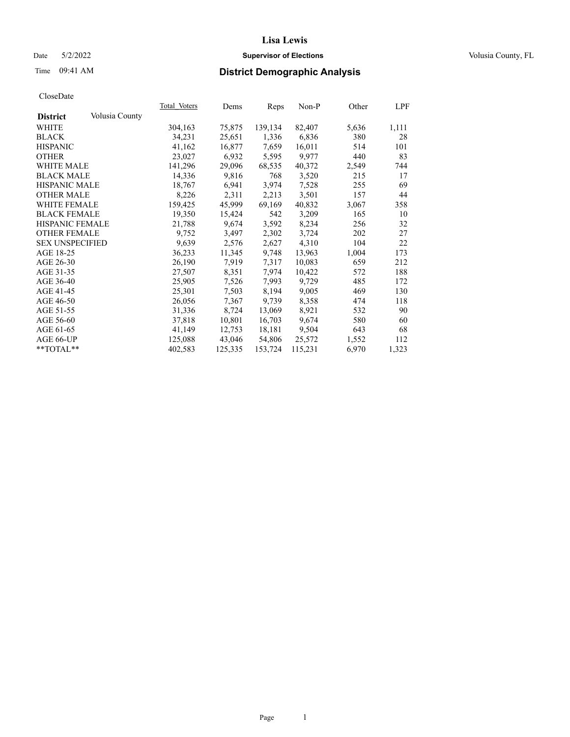## Date 5/2/2022 **Supervisor of Elections Supervisor of Elections** Volusia County, FL

# Time 09:41 AM **District Demographic Analysis**

|                        |                | Total Voters | Dems    | Reps    | Non-P   | Other | LPF   |
|------------------------|----------------|--------------|---------|---------|---------|-------|-------|
| <b>District</b>        | Volusia County |              |         |         |         |       |       |
| WHITE                  |                | 304,163      | 75,875  | 139,134 | 82,407  | 5,636 | 1,111 |
| <b>BLACK</b>           |                | 34,231       | 25,651  | 1,336   | 6,836   | 380   | 28    |
| <b>HISPANIC</b>        |                | 41,162       | 16,877  | 7,659   | 16,011  | 514   | 101   |
| <b>OTHER</b>           |                | 23,027       | 6,932   | 5,595   | 9,977   | 440   | 83    |
| <b>WHITE MALE</b>      |                | 141,296      | 29,096  | 68,535  | 40,372  | 2,549 | 744   |
| <b>BLACK MALE</b>      |                | 14,336       | 9,816   | 768     | 3,520   | 215   | 17    |
| <b>HISPANIC MALE</b>   |                | 18,767       | 6,941   | 3,974   | 7,528   | 255   | 69    |
| <b>OTHER MALE</b>      |                | 8,226        | 2,311   | 2,213   | 3,501   | 157   | 44    |
| <b>WHITE FEMALE</b>    |                | 159,425      | 45,999  | 69,169  | 40,832  | 3,067 | 358   |
| <b>BLACK FEMALE</b>    |                | 19,350       | 15,424  | 542     | 3,209   | 165   | 10    |
| HISPANIC FEMALE        |                | 21,788       | 9,674   | 3,592   | 8,234   | 256   | 32    |
| <b>OTHER FEMALE</b>    |                | 9,752        | 3,497   | 2,302   | 3,724   | 202   | 27    |
| <b>SEX UNSPECIFIED</b> |                | 9.639        | 2,576   | 2,627   | 4.310   | 104   | 22    |
| AGE 18-25              |                | 36,233       | 11,345  | 9,748   | 13,963  | 1,004 | 173   |
| AGE 26-30              |                | 26,190       | 7,919   | 7,317   | 10,083  | 659   | 212   |
| AGE 31-35              |                | 27,507       | 8,351   | 7,974   | 10,422  | 572   | 188   |
| AGE 36-40              |                | 25,905       | 7,526   | 7,993   | 9,729   | 485   | 172   |
| AGE 41-45              |                | 25,301       | 7,503   | 8,194   | 9,005   | 469   | 130   |
| AGE 46-50              |                | 26,056       | 7,367   | 9,739   | 8,358   | 474   | 118   |
| AGE 51-55              |                | 31,336       | 8,724   | 13,069  | 8,921   | 532   | 90    |
| AGE 56-60              |                | 37,818       | 10,801  | 16,703  | 9,674   | 580   | 60    |
| AGE 61-65              |                | 41,149       | 12,753  | 18,181  | 9,504   | 643   | 68    |
| AGE 66-UP              |                | 125,088      | 43,046  | 54,806  | 25,572  | 1,552 | 112   |
| $*$ TOTAL $*$          |                | 402,583      | 125,335 | 153,724 | 115,231 | 6,970 | 1,323 |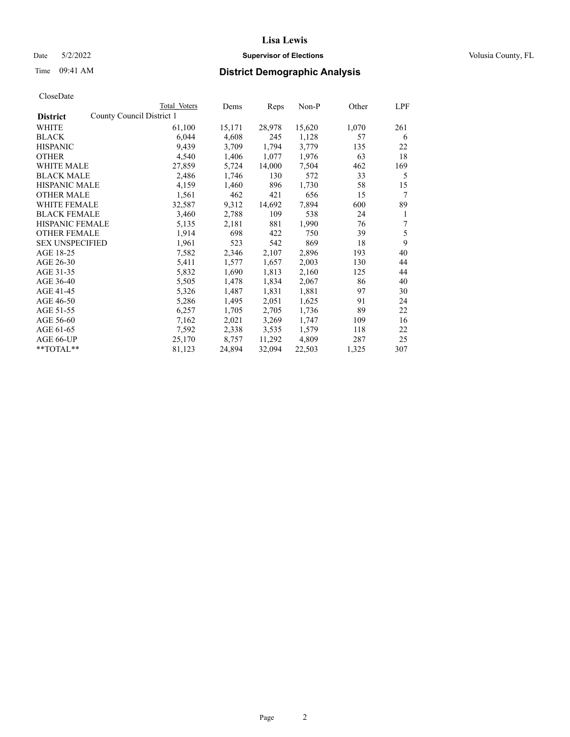## Date 5/2/2022 **Supervisor of Elections Supervisor of Elections** Volusia County, FL

| CloseDate |
|-----------|
|-----------|

|                                              | Total Voters | Dems   | Reps   | Non-P  | Other | LPF |
|----------------------------------------------|--------------|--------|--------|--------|-------|-----|
| County Council District 1<br><b>District</b> |              |        |        |        |       |     |
| WHITE                                        | 61,100       | 15,171 | 28,978 | 15,620 | 1,070 | 261 |
| <b>BLACK</b>                                 | 6,044        | 4,608  | 245    | 1,128  | 57    | 6   |
| <b>HISPANIC</b>                              | 9,439        | 3,709  | 1,794  | 3,779  | 135   | 22  |
| <b>OTHER</b>                                 | 4,540        | 1,406  | 1,077  | 1,976  | 63    | 18  |
| WHITE MALE                                   | 27,859       | 5,724  | 14,000 | 7,504  | 462   | 169 |
| <b>BLACK MALE</b>                            | 2,486        | 1,746  | 130    | 572    | 33    | 5   |
| <b>HISPANIC MALE</b>                         | 4,159        | 1,460  | 896    | 1,730  | 58    | 15  |
| <b>OTHER MALE</b>                            | 1,561        | 462    | 421    | 656    | 15    | 7   |
| <b>WHITE FEMALE</b>                          | 32,587       | 9,312  | 14,692 | 7,894  | 600   | 89  |
| <b>BLACK FEMALE</b>                          | 3,460        | 2,788  | 109    | 538    | 24    | 1   |
| <b>HISPANIC FEMALE</b>                       | 5,135        | 2,181  | 881    | 1,990  | 76    | 7   |
| <b>OTHER FEMALE</b>                          | 1,914        | 698    | 422    | 750    | 39    | 5   |
| <b>SEX UNSPECIFIED</b>                       | 1,961        | 523    | 542    | 869    | 18    | 9   |
| AGE 18-25                                    | 7,582        | 2,346  | 2,107  | 2,896  | 193   | 40  |
| AGE 26-30                                    | 5,411        | 1,577  | 1,657  | 2,003  | 130   | 44  |
| AGE 31-35                                    | 5,832        | 1,690  | 1,813  | 2,160  | 125   | 44  |
| AGE 36-40                                    | 5,505        | 1,478  | 1,834  | 2,067  | 86    | 40  |
| AGE 41-45                                    | 5,326        | 1,487  | 1,831  | 1,881  | 97    | 30  |
| AGE 46-50                                    | 5,286        | 1,495  | 2,051  | 1,625  | 91    | 24  |
| AGE 51-55                                    | 6,257        | 1,705  | 2,705  | 1,736  | 89    | 22  |
| AGE 56-60                                    | 7,162        | 2,021  | 3,269  | 1,747  | 109   | 16  |
| AGE 61-65                                    | 7,592        | 2,338  | 3,535  | 1,579  | 118   | 22  |
| AGE 66-UP                                    | 25,170       | 8,757  | 11,292 | 4,809  | 287   | 25  |
| **TOTAL**                                    | 81,123       | 24,894 | 32,094 | 22,503 | 1,325 | 307 |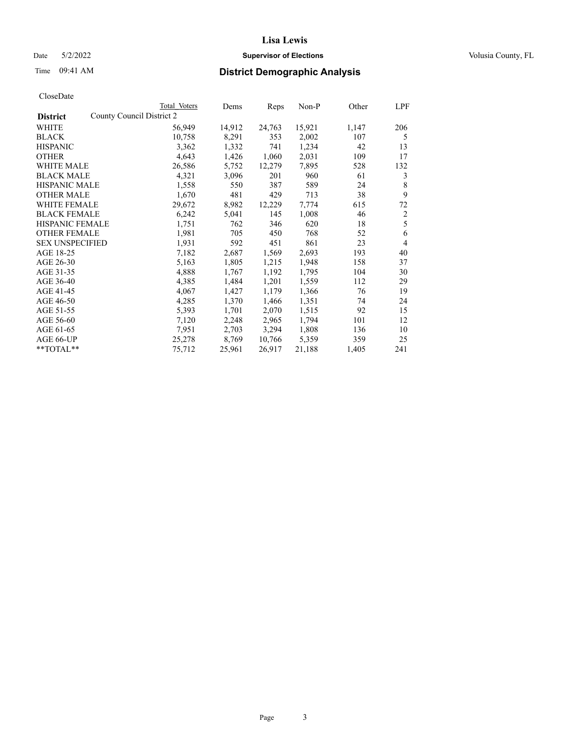## Date 5/2/2022 **Supervisor of Elections Supervisor of Elections** Volusia County, FL

| CloseDate |
|-----------|
|-----------|

|                        | Total Voters              | Dems   | Reps   | Non-P  | Other | LPF            |
|------------------------|---------------------------|--------|--------|--------|-------|----------------|
| <b>District</b>        | County Council District 2 |        |        |        |       |                |
| WHITE                  | 56,949                    | 14,912 | 24,763 | 15,921 | 1,147 | 206            |
| <b>BLACK</b>           | 10,758                    | 8,291  | 353    | 2,002  | 107   | 5              |
| <b>HISPANIC</b>        | 3,362                     | 1,332  | 741    | 1,234  | 42    | 13             |
| <b>OTHER</b>           | 4,643                     | 1,426  | 1,060  | 2,031  | 109   | 17             |
| WHITE MALE             | 26,586                    | 5,752  | 12,279 | 7,895  | 528   | 132            |
| <b>BLACK MALE</b>      | 4,321                     | 3,096  | 201    | 960    | 61    | 3              |
| <b>HISPANIC MALE</b>   | 1,558                     | 550    | 387    | 589    | 24    | 8              |
| <b>OTHER MALE</b>      | 1,670                     | 481    | 429    | 713    | 38    | 9              |
| <b>WHITE FEMALE</b>    | 29,672                    | 8,982  | 12,229 | 7,774  | 615   | 72             |
| <b>BLACK FEMALE</b>    | 6,242                     | 5,041  | 145    | 1,008  | 46    | $\overline{c}$ |
| <b>HISPANIC FEMALE</b> | 1,751                     | 762    | 346    | 620    | 18    | 5              |
| <b>OTHER FEMALE</b>    | 1,981                     | 705    | 450    | 768    | 52    | 6              |
| <b>SEX UNSPECIFIED</b> | 1,931                     | 592    | 451    | 861    | 23    | 4              |
| AGE 18-25              | 7,182                     | 2,687  | 1,569  | 2,693  | 193   | 40             |
| AGE 26-30              | 5,163                     | 1,805  | 1,215  | 1,948  | 158   | 37             |
| AGE 31-35              | 4,888                     | 1,767  | 1,192  | 1,795  | 104   | 30             |
| AGE 36-40              | 4,385                     | 1,484  | 1,201  | 1,559  | 112   | 29             |
| AGE 41-45              | 4,067                     | 1,427  | 1,179  | 1,366  | 76    | 19             |
| AGE 46-50              | 4,285                     | 1,370  | 1,466  | 1,351  | 74    | 24             |
| AGE 51-55              | 5,393                     | 1,701  | 2,070  | 1,515  | 92    | 15             |
| AGE 56-60              | 7,120                     | 2,248  | 2,965  | 1,794  | 101   | 12             |
| AGE 61-65              | 7,951                     | 2,703  | 3,294  | 1,808  | 136   | 10             |
| AGE 66-UP              | 25,278                    | 8,769  | 10,766 | 5,359  | 359   | 25             |
| **TOTAL**              | 75,712                    | 25,961 | 26,917 | 21,188 | 1,405 | 241            |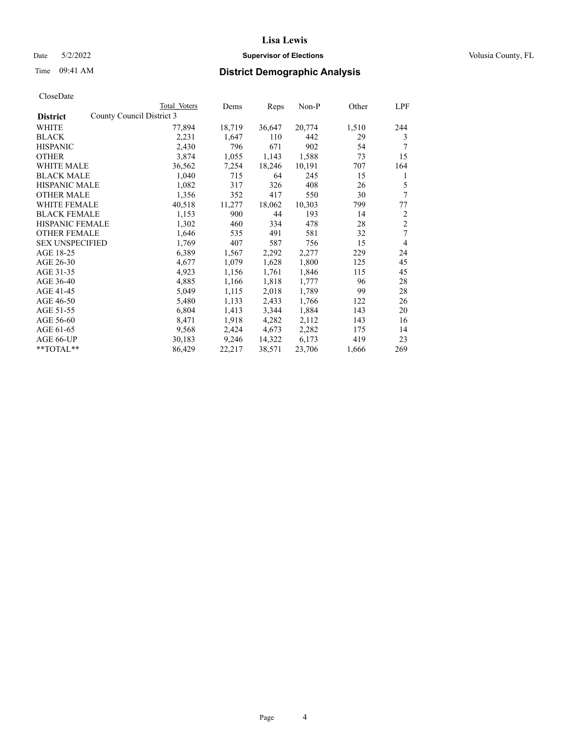## Date 5/2/2022 **Supervisor of Elections Supervisor of Elections** Volusia County, FL

| CloseDate |
|-----------|
|-----------|

|                        | Total Voters              | Dems   | Reps   | Non-P  | Other | LPF            |
|------------------------|---------------------------|--------|--------|--------|-------|----------------|
| <b>District</b>        | County Council District 3 |        |        |        |       |                |
| WHITE                  | 77,894                    | 18,719 | 36,647 | 20,774 | 1,510 | 244            |
| <b>BLACK</b>           | 2,231                     | 1,647  | 110    | 442    | 29    | 3              |
| <b>HISPANIC</b>        | 2,430                     | 796    | 671    | 902    | 54    | 7              |
| <b>OTHER</b>           | 3,874                     | 1,055  | 1,143  | 1,588  | 73    | 15             |
| <b>WHITE MALE</b>      | 36,562                    | 7,254  | 18,246 | 10,191 | 707   | 164            |
| <b>BLACK MALE</b>      | 1,040                     | 715    | 64     | 245    | 15    | 1              |
| <b>HISPANIC MALE</b>   | 1,082                     | 317    | 326    | 408    | 26    | 5              |
| <b>OTHER MALE</b>      | 1,356                     | 352    | 417    | 550    | 30    | 7              |
| <b>WHITE FEMALE</b>    | 40,518                    | 11,277 | 18,062 | 10,303 | 799   | 77             |
| <b>BLACK FEMALE</b>    | 1,153                     | 900    | 44     | 193    | 14    | $\overline{c}$ |
| <b>HISPANIC FEMALE</b> | 1,302                     | 460    | 334    | 478    | 28    | $\overline{c}$ |
| <b>OTHER FEMALE</b>    | 1,646                     | 535    | 491    | 581    | 32    | 7              |
| <b>SEX UNSPECIFIED</b> | 1,769                     | 407    | 587    | 756    | 15    | $\overline{4}$ |
| AGE 18-25              | 6,389                     | 1,567  | 2,292  | 2,277  | 229   | 24             |
| AGE 26-30              | 4,677                     | 1,079  | 1,628  | 1,800  | 125   | 45             |
| AGE 31-35              | 4,923                     | 1,156  | 1,761  | 1,846  | 115   | 45             |
| AGE 36-40              | 4,885                     | 1,166  | 1,818  | 1,777  | 96    | 28             |
| AGE 41-45              | 5,049                     | 1,115  | 2,018  | 1,789  | 99    | 28             |
| AGE 46-50              | 5,480                     | 1,133  | 2,433  | 1,766  | 122   | 26             |
| AGE 51-55              | 6,804                     | 1,413  | 3,344  | 1,884  | 143   | 20             |
| AGE 56-60              | 8,471                     | 1,918  | 4,282  | 2,112  | 143   | 16             |
| AGE 61-65              | 9,568                     | 2,424  | 4,673  | 2,282  | 175   | 14             |
| AGE 66-UP              | 30,183                    | 9,246  | 14,322 | 6,173  | 419   | 23             |
| **TOTAL**              | 86,429                    | 22,217 | 38,571 | 23,706 | 1,666 | 269            |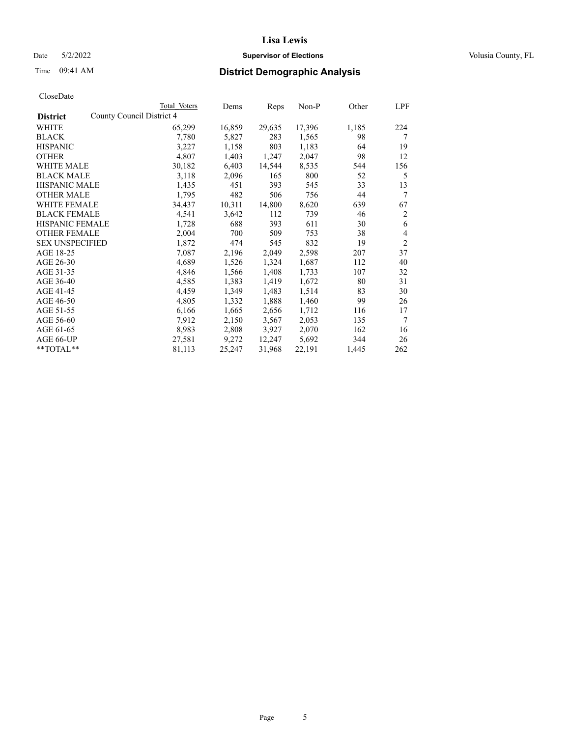## Date 5/2/2022 **Supervisor of Elections Supervisor of Elections** Volusia County, FL

# Time 09:41 AM **District Demographic Analysis**

|                        | Total Voters              | Dems   | Reps   | Non-P  | Other | LPF            |
|------------------------|---------------------------|--------|--------|--------|-------|----------------|
| <b>District</b>        | County Council District 4 |        |        |        |       |                |
| WHITE                  | 65,299                    | 16,859 | 29,635 | 17,396 | 1,185 | 224            |
| <b>BLACK</b>           | 7,780                     | 5,827  | 283    | 1,565  | 98    | 7              |
| <b>HISPANIC</b>        | 3,227                     | 1,158  | 803    | 1,183  | 64    | 19             |
| <b>OTHER</b>           | 4,807                     | 1,403  | 1,247  | 2,047  | 98    | 12             |
| WHITE MALE             | 30,182                    | 6,403  | 14,544 | 8,535  | 544   | 156            |
| <b>BLACK MALE</b>      | 3,118                     | 2,096  | 165    | 800    | 52    | 5              |
| <b>HISPANIC MALE</b>   | 1,435                     | 451    | 393    | 545    | 33    | 13             |
| <b>OTHER MALE</b>      | 1,795                     | 482    | 506    | 756    | 44    | 7              |
| <b>WHITE FEMALE</b>    | 34,437                    | 10,311 | 14,800 | 8,620  | 639   | 67             |
| <b>BLACK FEMALE</b>    | 4,541                     | 3,642  | 112    | 739    | 46    | $\overline{2}$ |
| <b>HISPANIC FEMALE</b> | 1,728                     | 688    | 393    | 611    | 30    | 6              |
| <b>OTHER FEMALE</b>    | 2,004                     | 700    | 509    | 753    | 38    | 4              |
| <b>SEX UNSPECIFIED</b> | 1,872                     | 474    | 545    | 832    | 19    | $\overline{2}$ |
| AGE 18-25              | 7,087                     | 2,196  | 2,049  | 2,598  | 207   | 37             |
| AGE 26-30              | 4,689                     | 1,526  | 1,324  | 1,687  | 112   | 40             |
| AGE 31-35              | 4,846                     | 1,566  | 1,408  | 1,733  | 107   | 32             |
| AGE 36-40              | 4,585                     | 1,383  | 1,419  | 1,672  | 80    | 31             |
| AGE 41-45              | 4,459                     | 1,349  | 1,483  | 1,514  | 83    | 30             |
| AGE 46-50              | 4,805                     | 1,332  | 1,888  | 1,460  | 99    | 26             |
| AGE 51-55              | 6,166                     | 1,665  | 2,656  | 1,712  | 116   | 17             |
| AGE 56-60              | 7,912                     | 2,150  | 3,567  | 2,053  | 135   | 7              |
| AGE 61-65              | 8,983                     | 2,808  | 3,927  | 2,070  | 162   | 16             |
| AGE 66-UP              | 27,581                    | 9,272  | 12,247 | 5,692  | 344   | 26             |
| $*$ $TOTAL**$          | 81,113                    | 25,247 | 31,968 | 22,191 | 1,445 | 262            |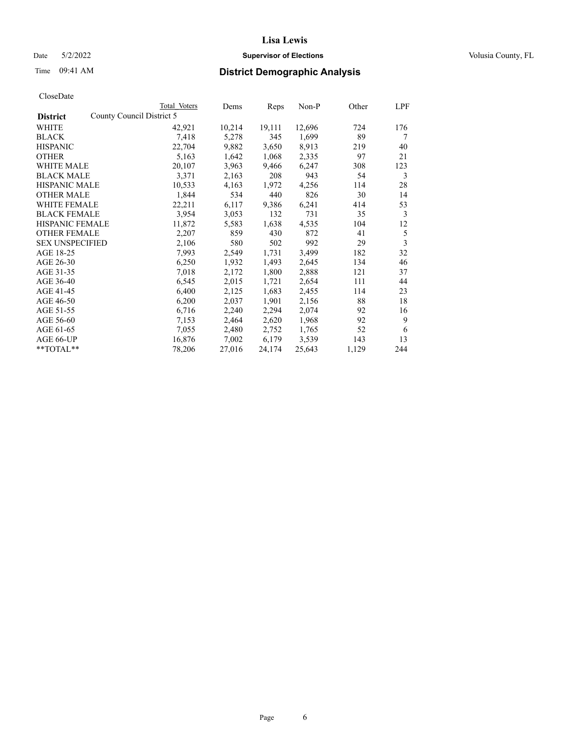## Date 5/2/2022 **Supervisor of Elections Supervisor of Elections** Volusia County, FL

| CloseDate |
|-----------|
|-----------|

|                                              | Total Voters | Dems   | Reps   | Non-P  | Other | LPF |
|----------------------------------------------|--------------|--------|--------|--------|-------|-----|
| County Council District 5<br><b>District</b> |              |        |        |        |       |     |
| <b>WHITE</b>                                 | 42,921       | 10,214 | 19,111 | 12,696 | 724   | 176 |
| <b>BLACK</b>                                 | 7,418        | 5,278  | 345    | 1,699  | 89    | 7   |
| <b>HISPANIC</b>                              | 22,704       | 9,882  | 3,650  | 8,913  | 219   | 40  |
| <b>OTHER</b>                                 | 5,163        | 1,642  | 1,068  | 2,335  | 97    | 21  |
| <b>WHITE MALE</b>                            | 20,107       | 3,963  | 9,466  | 6,247  | 308   | 123 |
| <b>BLACK MALE</b>                            | 3,371        | 2,163  | 208    | 943    | 54    | 3   |
| <b>HISPANIC MALE</b>                         | 10,533       | 4,163  | 1,972  | 4,256  | 114   | 28  |
| <b>OTHER MALE</b>                            | 1,844        | 534    | 440    | 826    | 30    | 14  |
| WHITE FEMALE                                 | 22,211       | 6,117  | 9,386  | 6,241  | 414   | 53  |
| <b>BLACK FEMALE</b>                          | 3,954        | 3,053  | 132    | 731    | 35    | 3   |
| <b>HISPANIC FEMALE</b>                       | 11,872       | 5,583  | 1,638  | 4,535  | 104   | 12  |
| <b>OTHER FEMALE</b>                          | 2,207        | 859    | 430    | 872    | 41    | 5   |
| <b>SEX UNSPECIFIED</b>                       | 2,106        | 580    | 502    | 992    | 29    | 3   |
| AGE 18-25                                    | 7,993        | 2,549  | 1,731  | 3,499  | 182   | 32  |
| AGE 26-30                                    | 6,250        | 1,932  | 1,493  | 2,645  | 134   | 46  |
| AGE 31-35                                    | 7,018        | 2,172  | 1,800  | 2,888  | 121   | 37  |
| AGE 36-40                                    | 6,545        | 2,015  | 1,721  | 2,654  | 111   | 44  |
| AGE 41-45                                    | 6,400        | 2,125  | 1,683  | 2,455  | 114   | 23  |
| AGE 46-50                                    | 6,200        | 2,037  | 1,901  | 2,156  | 88    | 18  |
| AGE 51-55                                    | 6,716        | 2,240  | 2,294  | 2,074  | 92    | 16  |
| AGE 56-60                                    | 7,153        | 2,464  | 2,620  | 1,968  | 92    | 9   |
| AGE 61-65                                    | 7,055        | 2,480  | 2,752  | 1,765  | 52    | 6   |
| AGE 66-UP                                    | 16,876       | 7,002  | 6,179  | 3,539  | 143   | 13  |
| **TOTAL**                                    | 78,206       | 27,016 | 24,174 | 25,643 | 1,129 | 244 |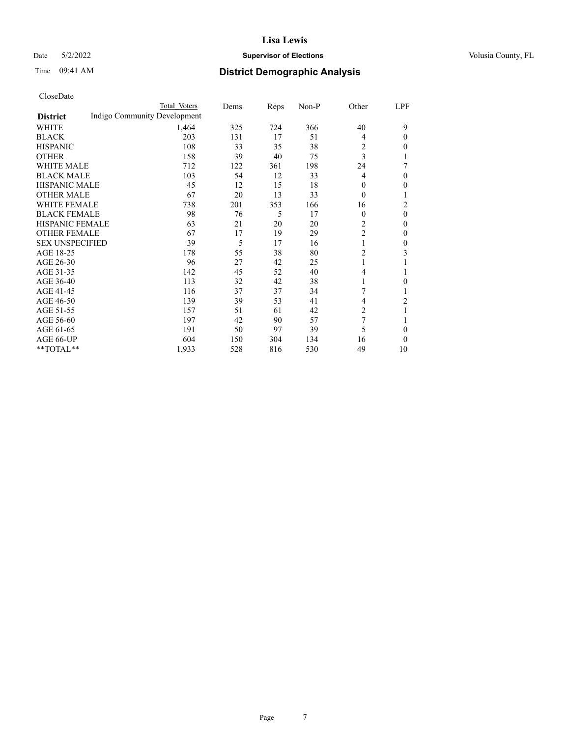## Date 5/2/2022 **Supervisor of Elections Supervisor of Elections** Volusia County, FL

# Time 09:41 AM **District Demographic Analysis**

|                        | Total Voters                 | Dems | Reps | Non-P | Other          | LPF            |
|------------------------|------------------------------|------|------|-------|----------------|----------------|
| <b>District</b>        | Indigo Community Development |      |      |       |                |                |
| WHITE                  | 1,464                        | 325  | 724  | 366   | 40             | 9              |
| <b>BLACK</b>           | 203                          | 131  | 17   | 51    | 4              | $\theta$       |
| <b>HISPANIC</b>        | 108                          | 33   | 35   | 38    | 2              | $\Omega$       |
| <b>OTHER</b>           | 158                          | 39   | 40   | 75    | 3              |                |
| <b>WHITE MALE</b>      | 712                          | 122  | 361  | 198   | 24             | 7              |
| <b>BLACK MALE</b>      | 103                          | 54   | 12   | 33    | 4              | $\theta$       |
| <b>HISPANIC MALE</b>   | 45                           | 12   | 15   | 18    | $\Omega$       | 0              |
| <b>OTHER MALE</b>      | 67                           | 20   | 13   | 33    | $\theta$       |                |
| <b>WHITE FEMALE</b>    | 738                          | 201  | 353  | 166   | 16             | 2              |
| <b>BLACK FEMALE</b>    | 98                           | 76   | 5    | 17    | $\theta$       | $\theta$       |
| HISPANIC FEMALE        | 63                           | 21   | 20   | 20    | 2              | $\Omega$       |
| <b>OTHER FEMALE</b>    | 67                           | 17   | 19   | 29    | $\overline{2}$ | $\theta$       |
| <b>SEX UNSPECIFIED</b> | 39                           | 5    | 17   | 16    | 1              | $\mathbf{0}$   |
| AGE 18-25              | 178                          | 55   | 38   | 80    | 2              | 3              |
| AGE 26-30              | 96                           | 27   | 42   | 25    | 1              |                |
| AGE 31-35              | 142                          | 45   | 52   | 40    | 4              |                |
| AGE 36-40              | 113                          | 32   | 42   | 38    |                | 0              |
| AGE 41-45              | 116                          | 37   | 37   | 34    | 7              |                |
| AGE 46-50              | 139                          | 39   | 53   | 41    | 4              | $\overline{c}$ |
| AGE 51-55              | 157                          | 51   | 61   | 42    | 2              | 1              |
| AGE 56-60              | 197                          | 42   | 90   | 57    | 7              |                |
| AGE 61-65              | 191                          | 50   | 97   | 39    | 5              | $\Omega$       |
| AGE 66-UP              | 604                          | 150  | 304  | 134   | 16             | $\Omega$       |
| **TOTAL**              | 1,933                        | 528  | 816  | 530   | 49             | 10             |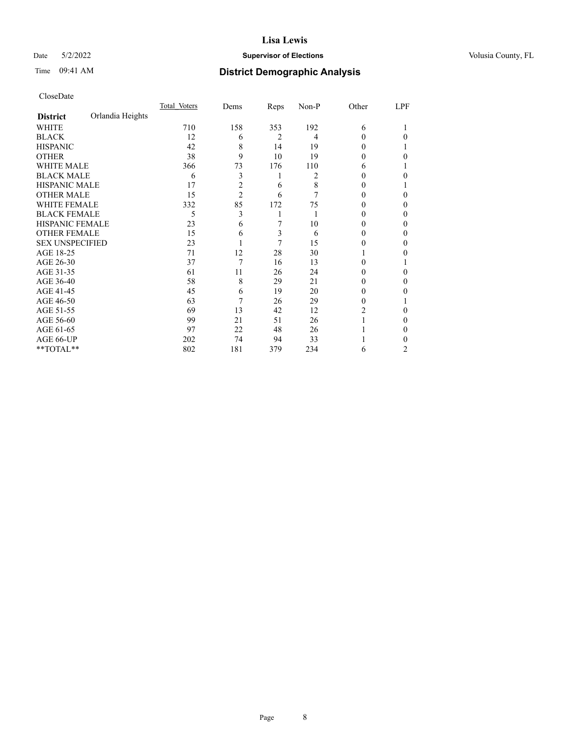## Date 5/2/2022 **Supervisor of Elections Supervisor of Elections** Volusia County, FL

# Time 09:41 AM **District Demographic Analysis**

|                        |                  | Total Voters | Dems           | Reps | Non-P | Other | LPF |
|------------------------|------------------|--------------|----------------|------|-------|-------|-----|
| <b>District</b>        | Orlandia Heights |              |                |      |       |       |     |
| WHITE                  |                  | 710          | 158            | 353  | 192   | 6     |     |
| <b>BLACK</b>           |                  | 12           | 6              | 2    | 4     | 0     | 0   |
| <b>HISPANIC</b>        |                  | 42           | 8              | 14   | 19    | 0     |     |
| <b>OTHER</b>           |                  | 38           | 9              | 10   | 19    | 0     | 0   |
| WHITE MALE             |                  | 366          | 73             | 176  | 110   | 6     |     |
| <b>BLACK MALE</b>      |                  | 6            | 3              | 1    | 2     |       | 0   |
| <b>HISPANIC MALE</b>   |                  | 17           | 2              | 6    | 8     | 0     |     |
| <b>OTHER MALE</b>      |                  | 15           | $\overline{2}$ | 6    | 7     | 0     | 0   |
| WHITE FEMALE           |                  | 332          | 85             | 172  | 75    |       | 0   |
| <b>BLACK FEMALE</b>    |                  | 5            | 3              | 1    |       | 0     | 0   |
| <b>HISPANIC FEMALE</b> |                  | 23           | 6              | 7    | 10    | 0     | 0   |
| <b>OTHER FEMALE</b>    |                  | 15           | 6              | 3    | 6     | 0     | 0   |
| <b>SEX UNSPECIFIED</b> |                  | 23           |                | 7    | 15    | 0     | 0   |
| AGE 18-25              |                  | 71           | 12             | 28   | 30    |       | 0   |
| AGE 26-30              |                  | 37           | 7              | 16   | 13    | 0     |     |
| AGE 31-35              |                  | 61           | 11             | 26   | 24    | 0     | 0   |
| AGE 36-40              |                  | 58           | 8              | 29   | 21    | 0     | 0   |
| AGE 41-45              |                  | 45           | 6              | 19   | 20    | 0     | 0   |
| AGE 46-50              |                  | 63           | 7              | 26   | 29    | 0     |     |
| AGE 51-55              |                  | 69           | 13             | 42   | 12    | 2     | 0   |
| AGE 56-60              |                  | 99           | 21             | 51   | 26    |       | 0   |
| AGE 61-65              |                  | 97           | 22             | 48   | 26    |       | 0   |
| AGE 66-UP              |                  | 202          | 74             | 94   | 33    |       | 0   |
| **TOTAL**              |                  | 802          | 181            | 379  | 234   | 6     | 2   |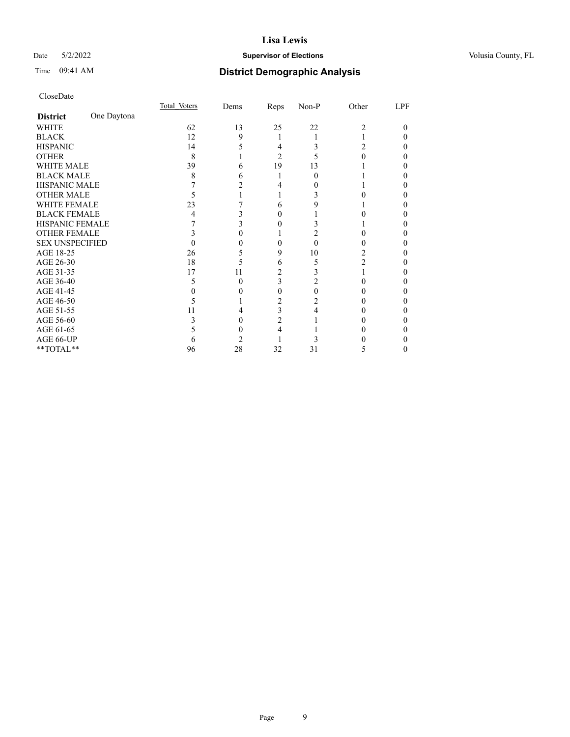## Date 5/2/2022 **Supervisor of Elections Supervisor of Elections** Volusia County, FL

# Time 09:41 AM **District Demographic Analysis**

|                        |             | Total Voters | Dems | Reps           | Non-P | Other | LPF |
|------------------------|-------------|--------------|------|----------------|-------|-------|-----|
| <b>District</b>        | One Daytona |              |      |                |       |       |     |
| WHITE                  |             | 62           | 13   | 25             | 22    | 2     | 0   |
| <b>BLACK</b>           |             | 12           | 9    |                |       |       |     |
| <b>HISPANIC</b>        |             | 14           |      | 4              | 3     | 2     |     |
| <b>OTHER</b>           |             | 8            |      | $\overline{c}$ |       |       |     |
| WHITE MALE             |             | 39           | h    | 19             | 13    |       |     |
| <b>BLACK MALE</b>      |             | 8            | h    |                | 0     |       |     |
| <b>HISPANIC MALE</b>   |             |              |      |                |       |       |     |
| <b>OTHER MALE</b>      |             |              |      |                |       |       | 0   |
| WHITE FEMALE           |             | 23           |      | h              |       |       |     |
| <b>BLACK FEMALE</b>    |             | 4            |      | 0              |       |       |     |
| <b>HISPANIC FEMALE</b> |             |              |      |                |       |       |     |
| <b>OTHER FEMALE</b>    |             |              |      |                |       |       |     |
| <b>SEX UNSPECIFIED</b> |             |              |      |                | 0     |       |     |
| AGE 18-25              |             | 26           |      | 9              | 10    |       |     |
| AGE 26-30              |             | 18           |      | 6              | 5     | 2     | 0   |
| AGE 31-35              |             | 17           | 11   | 2              |       |       |     |
| AGE 36-40              |             |              | 0    | 3              |       |       |     |
| AGE 41-45              |             |              |      | 0              | 0     |       |     |
| AGE 46-50              |             |              |      |                |       |       | 0   |
| AGE 51-55              |             | 11           |      | 3              |       |       |     |
| AGE 56-60              |             |              |      | $\mathfrak{D}$ |       |       |     |
| AGE 61-65              |             |              |      |                |       |       |     |
| AGE 66-UP              |             |              |      |                |       |       |     |
| **TOTAL**              |             | 96           | 28   | 32             | 31    | 5     | 0   |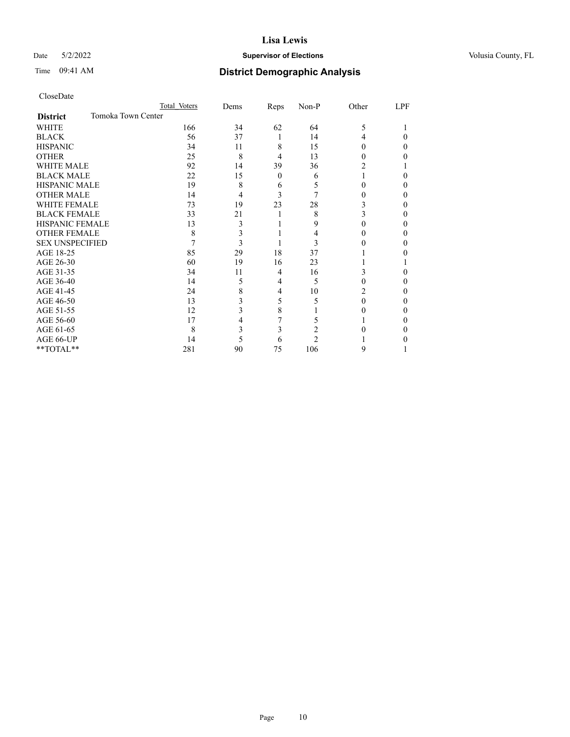## Date 5/2/2022 **Supervisor of Elections Supervisor of Elections** Volusia County, FL

# Time 09:41 AM **District Demographic Analysis**

|                        |                    | Total Voters | Dems | Reps     | Non-P | Other    | LPF |
|------------------------|--------------------|--------------|------|----------|-------|----------|-----|
| <b>District</b>        | Tomoka Town Center |              |      |          |       |          |     |
| WHITE                  |                    | 166          | 34   | 62       | 64    | 5        |     |
| <b>BLACK</b>           |                    | 56           | 37   | 1        | 14    | 4        | 0   |
| <b>HISPANIC</b>        |                    | 34           | 11   | 8        | 15    | 0        | 0   |
| <b>OTHER</b>           |                    | 25           | 8    | 4        | 13    | 0        | 0   |
| WHITE MALE             |                    | 92           | 14   | 39       | 36    |          |     |
| <b>BLACK MALE</b>      |                    | 22           | 15   | $\Omega$ | 6     |          | 0   |
| <b>HISPANIC MALE</b>   |                    | 19           | 8    | 6        | 5     | 0        | 0   |
| <b>OTHER MALE</b>      |                    | 14           | 4    | 3        |       | 0        | 0   |
| WHITE FEMALE           |                    | 73           | 19   | 23       | 28    | 3        | 0   |
| <b>BLACK FEMALE</b>    |                    | 33           | 21   |          | 8     | 3        | 0   |
| <b>HISPANIC FEMALE</b> |                    | 13           | 3    |          | 9     | 0        | 0   |
| <b>OTHER FEMALE</b>    |                    | 8            | 3    |          | 4     | 0        | 0   |
| <b>SEX UNSPECIFIED</b> |                    |              | 3    |          | 3     |          | 0   |
| AGE 18-25              |                    | 85           | 29   | 18       | 37    |          |     |
| AGE 26-30              |                    | 60           | 19   | 16       | 23    |          |     |
| AGE 31-35              |                    | 34           | 11   | 4        | 16    | 3        | 0   |
| AGE 36-40              |                    | 14           | 5    | 4        | 5     | 0        | 0   |
| AGE 41-45              |                    | 24           | 8    | 4        | 10    | 2        | 0   |
| AGE 46-50              |                    | 13           | 3    | 5        | 5     | $\Omega$ | 0   |
| AGE 51-55              |                    | 12           | 3    | 8        |       |          | 0   |
| AGE 56-60              |                    | 17           |      |          | 5     |          | 0   |
| AGE 61-65              |                    | 8            | 3    | 3        | 2     |          | 0   |
| AGE 66-UP              |                    | 14           | 5    | 6        | 2     |          |     |
| **TOTAL**              |                    | 281          | 90   | 75       | 106   | 9        |     |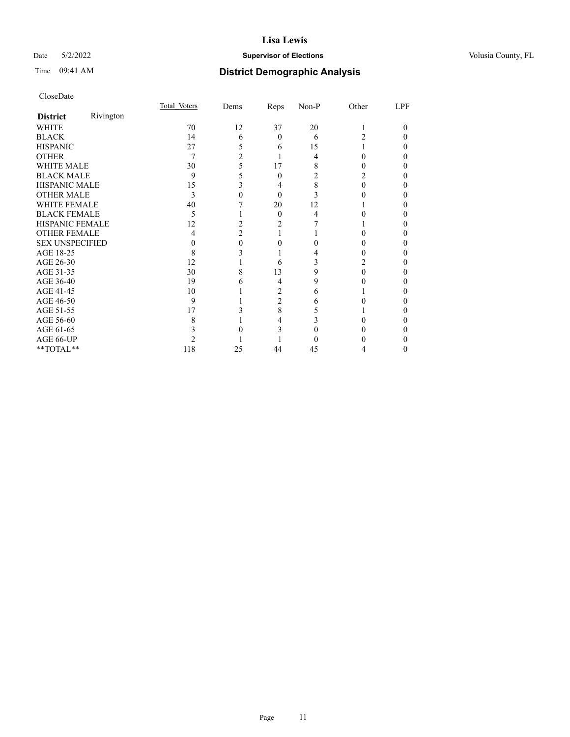## Date 5/2/2022 **Supervisor of Elections Supervisor of Elections** Volusia County, FL

# Time 09:41 AM **District Demographic Analysis**

|                        |           | Total Voters | Dems | Reps           | Non-P | Other | LPF |
|------------------------|-----------|--------------|------|----------------|-------|-------|-----|
| <b>District</b>        | Rivington |              |      |                |       |       |     |
| WHITE                  |           | 70           | 12   | 37             | 20    |       | 0   |
| <b>BLACK</b>           |           | 14           | 6    | 0              | 6     | 2     |     |
| <b>HISPANIC</b>        |           | 27           | 5    | 6              | 15    |       |     |
| <b>OTHER</b>           |           | 7            | 2    |                | 4     |       |     |
| WHITE MALE             |           | 30           | 5    | 17             | 8     |       | 0   |
| <b>BLACK MALE</b>      |           | 9            | 5    | $\theta$       |       |       |     |
| <b>HISPANIC MALE</b>   |           | 15           | 3    | 4              | 8     | 0     |     |
| <b>OTHER MALE</b>      |           | 3            | 0    | 0              | 3     |       |     |
| WHITE FEMALE           |           | 40           |      | 20             | 12    |       |     |
| <b>BLACK FEMALE</b>    |           | 5            |      | $\theta$       | 4     |       |     |
| <b>HISPANIC FEMALE</b> |           | 12           |      | 2              |       |       |     |
| <b>OTHER FEMALE</b>    |           | 4            | 2    |                |       | 0     | 0   |
| <b>SEX UNSPECIFIED</b> |           |              | 0    |                |       |       |     |
| AGE 18-25              |           | 8            |      |                |       |       |     |
| AGE 26-30              |           | 12           |      | 6              | 3     |       |     |
| AGE 31-35              |           | 30           |      | 13             | 9     |       |     |
| AGE 36-40              |           | 19           | 6    | 4              | 9     |       |     |
| AGE 41-45              |           | 10           |      | 2              | 6     |       |     |
| AGE 46-50              |           | 9            |      | $\overline{c}$ | 6     |       | 0   |
| AGE 51-55              |           | 17           |      | 8              |       |       |     |
| AGE 56-60              |           | 8            |      | 4              |       |       |     |
| AGE 61-65              |           |              |      |                |       |       |     |
| AGE 66-UP              |           |              |      |                |       |       |     |
| **TOTAL**              |           | 118          | 25   | 44             | 45    | 4     | 0   |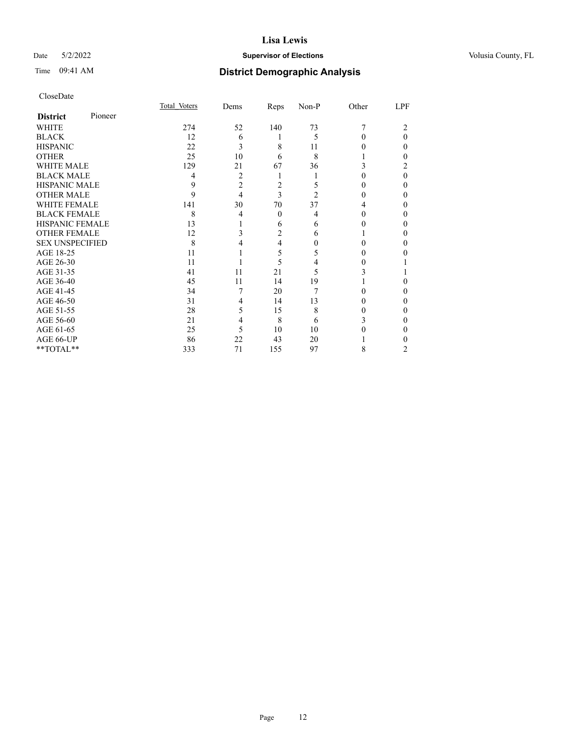## Date 5/2/2022 **Supervisor of Elections Supervisor of Elections** Volusia County, FL

|                        |         | Total Voters | Dems           | Reps           | Non-P | Other | LPF      |
|------------------------|---------|--------------|----------------|----------------|-------|-------|----------|
| <b>District</b>        | Pioneer |              |                |                |       |       |          |
| WHITE                  |         | 274          | 52             | 140            | 73    |       |          |
| <b>BLACK</b>           |         | 12           | 6              |                | 5     | 0     | $\Omega$ |
| <b>HISPANIC</b>        |         | 22           | 3              | 8              | 11    | 0     | 0        |
| <b>OTHER</b>           |         | 25           | 10             | 6              | 8     |       | 0        |
| <b>WHITE MALE</b>      |         | 129          | 21             | 67             | 36    |       | 2        |
| <b>BLACK MALE</b>      |         | 4            | 2              |                |       | 0     | 0        |
| <b>HISPANIC MALE</b>   |         | 9            | $\overline{2}$ | 2              | 5     |       | 0        |
| <b>OTHER MALE</b>      |         | 9            | 4              | 3              | 2     | 0     | 0        |
| <b>WHITE FEMALE</b>    |         | 141          | 30             | 70             | 37    | 4     | 0        |
| <b>BLACK FEMALE</b>    |         | 8            | 4              | $\theta$       | 4     | 0     | 0        |
| <b>HISPANIC FEMALE</b> |         | 13           |                | 6              | 6     |       | 0        |
| <b>OTHER FEMALE</b>    |         | 12           | 3              | $\overline{2}$ | 6     |       | 0        |
| <b>SEX UNSPECIFIED</b> |         | 8            |                | 4              | 0     |       | 0        |
| AGE 18-25              |         | 11           |                | 5              | 5     |       |          |
| AGE 26-30              |         | 11           |                | 5              | 4     | 0     |          |
| AGE 31-35              |         | 41           | 11             | 21             | 5     |       |          |
| AGE 36-40              |         | 45           | 11             | 14             | 19    |       | 0        |
| AGE 41-45              |         | 34           | 7              | 20             | 7     |       | 0        |
| AGE 46-50              |         | 31           | 4              | 14             | 13    | 0     | 0        |
| AGE 51-55              |         | 28           | 5              | 15             | 8     |       | 0        |
| AGE 56-60              |         | 21           | 4              | 8              | 6     |       | 0        |
| AGE 61-65              |         | 25           | 5              | 10             | 10    |       | 0        |
| AGE 66-UP              |         | 86           | 22             | 43             | 20    |       |          |
| **TOTAL**              |         | 333          | 71             | 155            | 97    | 8     | 2        |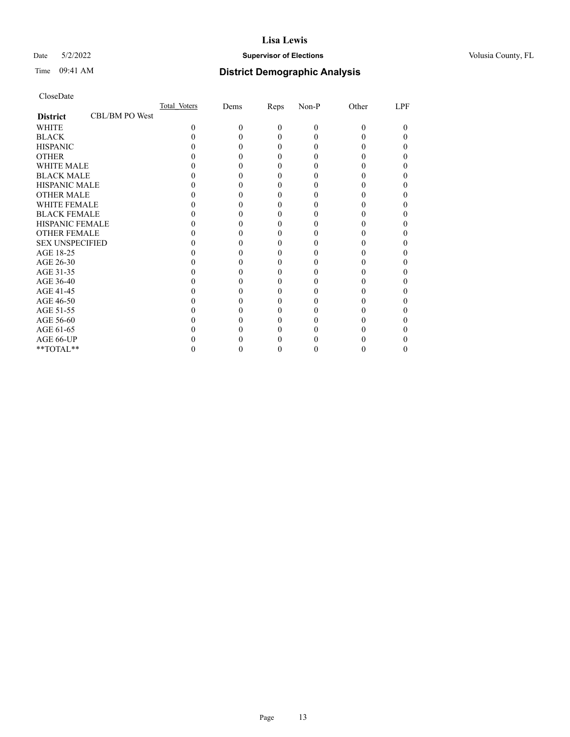## Date 5/2/2022 **Supervisor of Elections Supervisor of Elections** Volusia County, FL

# Time 09:41 AM **District Demographic Analysis**

|                        |                | Total Voters | Dems | Reps     | Non-P | Other | LPF |
|------------------------|----------------|--------------|------|----------|-------|-------|-----|
| <b>District</b>        | CBL/BM PO West |              |      |          |       |       |     |
| WHITE                  |                | $\Omega$     | 0    | $\theta$ | 0     | 0     |     |
| <b>BLACK</b>           |                |              |      | $_{0}$   |       |       |     |
| <b>HISPANIC</b>        |                |              |      | $_{0}$   |       |       |     |
| <b>OTHER</b>           |                |              |      |          |       |       |     |
| <b>WHITE MALE</b>      |                |              |      |          |       |       |     |
| <b>BLACK MALE</b>      |                |              |      |          |       |       |     |
| <b>HISPANIC MALE</b>   |                |              |      |          |       |       |     |
| <b>OTHER MALE</b>      |                |              |      |          |       |       |     |
| <b>WHITE FEMALE</b>    |                |              |      |          |       |       |     |
| <b>BLACK FEMALE</b>    |                |              |      | 0        |       |       |     |
| <b>HISPANIC FEMALE</b> |                |              |      |          |       |       |     |
| <b>OTHER FEMALE</b>    |                |              |      |          |       |       |     |
| <b>SEX UNSPECIFIED</b> |                |              |      |          |       |       |     |
| AGE 18-25              |                |              |      |          |       |       |     |
| AGE 26-30              |                |              |      |          |       |       |     |
| AGE 31-35              |                |              |      |          |       |       |     |
| AGE 36-40              |                |              |      |          |       |       |     |
| AGE 41-45              |                |              |      |          |       |       |     |
| AGE 46-50              |                |              |      |          |       |       |     |
| AGE 51-55              |                |              |      |          |       |       |     |
| AGE 56-60              |                |              |      |          |       |       |     |
| AGE 61-65              |                |              |      |          |       |       |     |
| AGE 66-UP              |                |              |      |          |       |       |     |
| **TOTAL**              |                |              |      |          |       |       |     |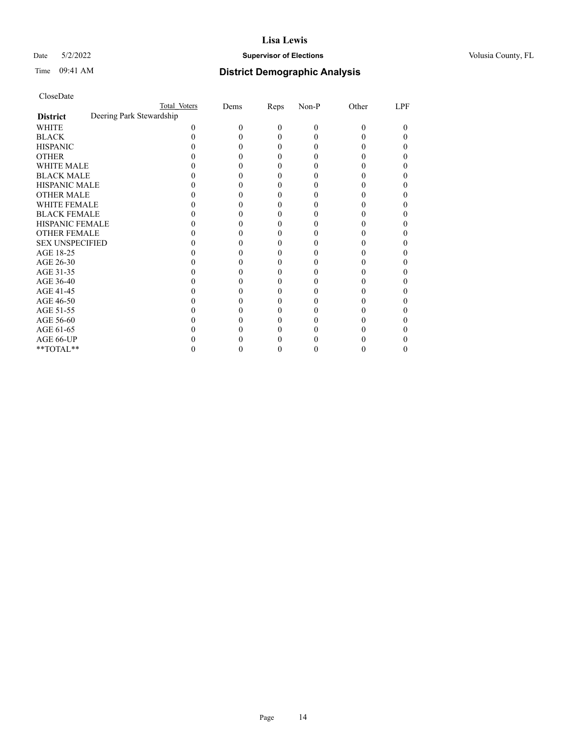## Date 5/2/2022 **Supervisor of Elections Supervisor of Elections** Volusia County, FL

|                                             | Total Voters | Dems | Reps | Non-P    | Other | LPF |
|---------------------------------------------|--------------|------|------|----------|-------|-----|
| Deering Park Stewardship<br><b>District</b> |              |      |      |          |       |     |
| WHITE                                       | 0            | 0    | 0    | $\theta$ | 0     |     |
| <b>BLACK</b>                                |              |      | 0    |          |       |     |
| <b>HISPANIC</b>                             |              |      | 0    |          |       |     |
| <b>OTHER</b>                                |              |      |      |          |       |     |
| WHITE MALE                                  |              |      |      |          |       |     |
| <b>BLACK MALE</b>                           |              |      |      |          |       |     |
| <b>HISPANIC MALE</b>                        |              |      |      |          |       |     |
| <b>OTHER MALE</b>                           |              |      |      |          |       |     |
| <b>WHITE FEMALE</b>                         |              |      |      |          |       |     |
| <b>BLACK FEMALE</b>                         |              |      | 0    |          |       |     |
| HISPANIC FEMALE                             |              |      |      |          |       |     |
| <b>OTHER FEMALE</b>                         |              |      | 0    |          |       |     |
| <b>SEX UNSPECIFIED</b>                      |              |      |      |          |       |     |
| AGE 18-25                                   |              |      |      |          |       |     |
| AGE 26-30                                   |              |      |      |          |       |     |
| AGE 31-35                                   |              |      |      |          |       |     |
| AGE 36-40                                   |              |      | 0    |          |       |     |
| AGE 41-45                                   |              |      |      |          |       |     |
| AGE 46-50                                   |              |      | 0    |          |       |     |
| AGE 51-55                                   |              |      |      |          |       |     |
| AGE 56-60                                   |              |      |      |          |       |     |
| AGE 61-65                                   |              |      |      |          |       |     |
| AGE 66-UP                                   |              |      |      |          |       |     |
| **TOTAL**                                   |              |      | 0    |          |       |     |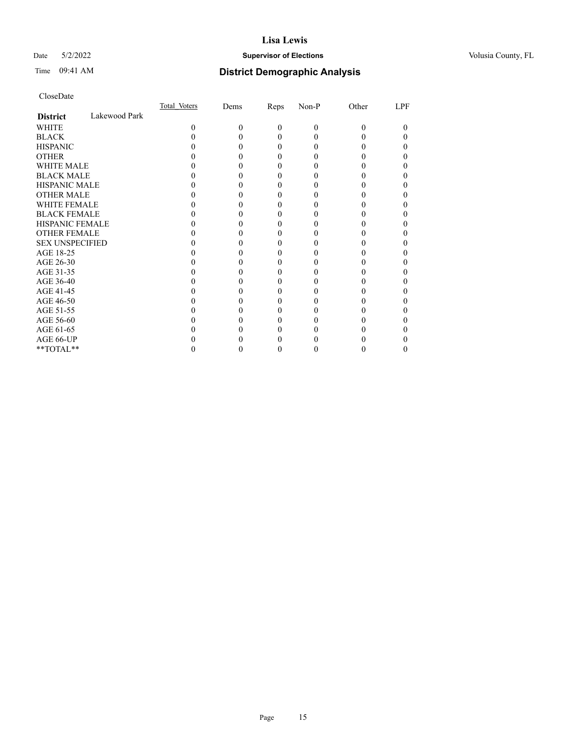## Date 5/2/2022 **Supervisor of Elections Supervisor of Elections** Volusia County, FL

# Time 09:41 AM **District Demographic Analysis**

|                        |               | Total Voters | Dems | Reps     | Non-P    | Other | LPF |
|------------------------|---------------|--------------|------|----------|----------|-------|-----|
| <b>District</b>        | Lakewood Park |              |      |          |          |       |     |
| WHITE                  |               | 0            | 0    | $\theta$ | $\Omega$ | 0     | 0   |
| <b>BLACK</b>           |               |              |      | 0        |          |       |     |
| <b>HISPANIC</b>        |               |              |      | $\theta$ |          |       |     |
| <b>OTHER</b>           |               |              |      |          |          |       |     |
| WHITE MALE             |               |              |      |          |          |       |     |
| <b>BLACK MALE</b>      |               |              |      |          |          |       |     |
| <b>HISPANIC MALE</b>   |               |              |      |          |          |       |     |
| <b>OTHER MALE</b>      |               |              |      |          |          |       |     |
| <b>WHITE FEMALE</b>    |               |              |      |          |          |       |     |
| <b>BLACK FEMALE</b>    |               |              |      |          |          |       |     |
| <b>HISPANIC FEMALE</b> |               |              |      |          |          |       |     |
| <b>OTHER FEMALE</b>    |               |              |      |          |          |       |     |
| <b>SEX UNSPECIFIED</b> |               |              |      |          |          |       |     |
| AGE 18-25              |               |              |      |          |          |       |     |
| AGE 26-30              |               |              |      |          |          |       |     |
| AGE 31-35              |               |              |      |          |          |       |     |
| AGE 36-40              |               |              |      | 0        |          |       |     |
| AGE 41-45              |               |              |      |          |          |       |     |
| AGE 46-50              |               |              |      |          |          |       |     |
| AGE 51-55              |               |              |      |          |          |       |     |
| AGE 56-60              |               |              |      |          |          |       |     |
| AGE 61-65              |               |              |      |          |          |       |     |
| AGE 66-UP              |               |              |      |          |          |       |     |
| **TOTAL**              |               |              |      | 0        | 0        |       |     |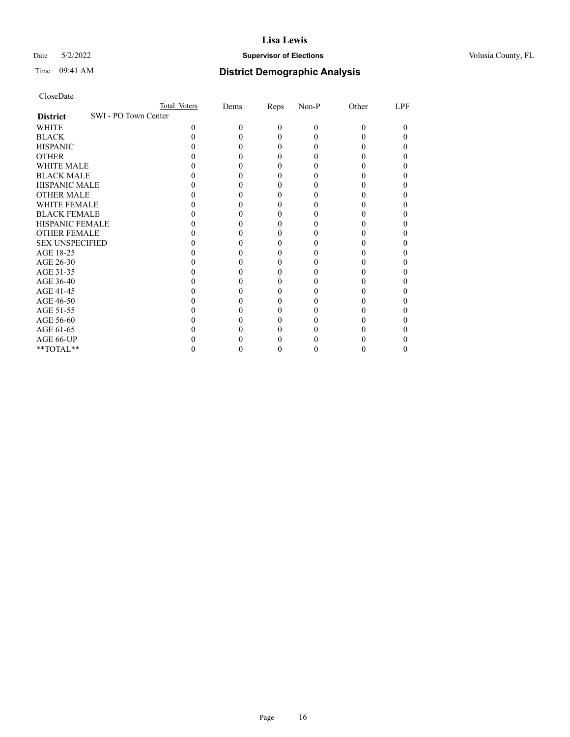## Date 5/2/2022 **Supervisor of Elections Supervisor of Elections** Volusia County, FL

|                                         | Total Voters | Dems | Reps     | Non-P    | Other | LPF |
|-----------------------------------------|--------------|------|----------|----------|-------|-----|
| SWI - PO Town Center<br><b>District</b> |              |      |          |          |       |     |
| WHITE                                   | 0            | 0    | $\theta$ | $\theta$ | 0     | 0   |
| <b>BLACK</b>                            |              |      | 0        | $\theta$ |       |     |
| <b>HISPANIC</b>                         |              |      | 0        | $\theta$ |       |     |
| <b>OTHER</b>                            |              |      |          |          |       |     |
| <b>WHITE MALE</b>                       |              |      |          |          |       |     |
| <b>BLACK MALE</b>                       |              |      |          |          |       |     |
| <b>HISPANIC MALE</b>                    |              |      |          |          |       |     |
| <b>OTHER MALE</b>                       |              |      |          |          |       |     |
| <b>WHITE FEMALE</b>                     |              |      |          |          |       |     |
| <b>BLACK FEMALE</b>                     |              |      |          |          |       |     |
| <b>HISPANIC FEMALE</b>                  |              |      |          |          |       |     |
| <b>OTHER FEMALE</b>                     |              |      |          |          |       |     |
| <b>SEX UNSPECIFIED</b>                  |              |      |          |          |       |     |
| AGE 18-25                               |              |      |          |          |       |     |
| AGE 26-30                               |              |      |          |          |       |     |
| AGE 31-35                               |              |      |          |          |       |     |
| AGE 36-40                               |              |      |          |          |       |     |
| AGE 41-45                               |              |      |          |          |       |     |
| AGE 46-50                               |              |      |          |          |       |     |
| AGE 51-55                               |              |      |          |          |       |     |
| AGE 56-60                               |              |      |          |          |       |     |
| AGE 61-65                               |              |      |          |          |       |     |
| AGE 66-UP                               |              |      |          |          |       |     |
| **TOTAL**                               |              |      |          |          |       |     |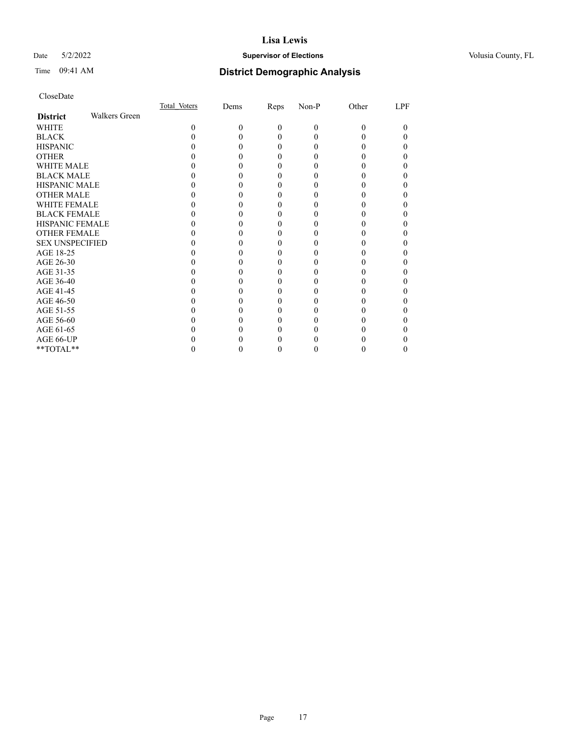## Date 5/2/2022 **Supervisor of Elections Supervisor of Elections** Volusia County, FL

# Time 09:41 AM **District Demographic Analysis**

|                        |                      | Total Voters | Dems | <b>Reps</b> | Non-P | Other | LPF |
|------------------------|----------------------|--------------|------|-------------|-------|-------|-----|
| <b>District</b>        | <b>Walkers Green</b> |              |      |             |       |       |     |
| WHITE                  |                      | 0            | 0    | 0           | 0     | 0     | 0   |
| <b>BLACK</b>           |                      |              |      | 0           |       |       |     |
| <b>HISPANIC</b>        |                      |              |      | 0           |       |       |     |
| <b>OTHER</b>           |                      |              |      |             |       |       |     |
| <b>WHITE MALE</b>      |                      |              |      |             |       |       |     |
| <b>BLACK MALE</b>      |                      |              |      |             |       |       |     |
| <b>HISPANIC MALE</b>   |                      |              |      |             |       |       |     |
| <b>OTHER MALE</b>      |                      |              |      |             |       |       |     |
| <b>WHITE FEMALE</b>    |                      |              |      |             |       |       |     |
| <b>BLACK FEMALE</b>    |                      |              |      | 0           |       |       |     |
| <b>HISPANIC FEMALE</b> |                      |              |      |             |       |       |     |
| <b>OTHER FEMALE</b>    |                      |              |      |             |       |       |     |
| <b>SEX UNSPECIFIED</b> |                      |              |      |             |       |       |     |
| AGE 18-25              |                      |              |      |             |       |       |     |
| AGE 26-30              |                      |              |      |             |       |       |     |
| AGE 31-35              |                      |              |      |             |       |       |     |
| AGE 36-40              |                      |              |      | 0           |       |       |     |
| AGE 41-45              |                      |              |      |             |       |       |     |
| AGE 46-50              |                      |              |      |             |       |       |     |
| AGE 51-55              |                      |              |      |             |       |       |     |
| AGE 56-60              |                      |              |      |             |       |       |     |
| AGE 61-65              |                      |              |      |             |       |       |     |
| AGE 66-UP              |                      |              |      |             |       |       |     |
| **TOTAL**              |                      |              |      | 0           |       |       |     |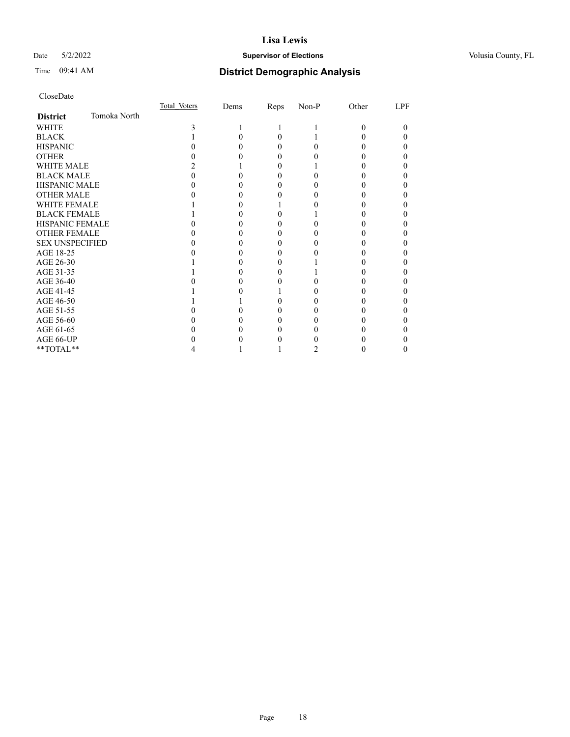## Date 5/2/2022 **Supervisor of Elections Supervisor of Elections** Volusia County, FL

# Time 09:41 AM **District Demographic Analysis**

|                        |              | Total Voters | Dems | Reps | Non-P | Other | LPF |
|------------------------|--------------|--------------|------|------|-------|-------|-----|
| <b>District</b>        | Tomoka North |              |      |      |       |       |     |
| <b>WHITE</b>           |              |              |      |      |       | 0     |     |
| <b>BLACK</b>           |              |              |      | 0    |       |       |     |
| <b>HISPANIC</b>        |              |              |      |      |       |       |     |
| <b>OTHER</b>           |              |              |      |      |       |       |     |
| WHITE MALE             |              |              |      |      |       |       |     |
| <b>BLACK MALE</b>      |              |              |      |      |       |       |     |
| <b>HISPANIC MALE</b>   |              |              |      |      |       |       |     |
| <b>OTHER MALE</b>      |              |              |      |      |       |       |     |
| <b>WHITE FEMALE</b>    |              |              |      |      |       |       |     |
| <b>BLACK FEMALE</b>    |              |              |      |      |       |       |     |
| <b>HISPANIC FEMALE</b> |              |              |      |      |       |       |     |
| <b>OTHER FEMALE</b>    |              |              |      |      |       |       |     |
| <b>SEX UNSPECIFIED</b> |              |              |      |      |       |       |     |
| AGE 18-25              |              |              |      |      |       |       |     |
| AGE 26-30              |              |              |      |      |       |       |     |
| AGE 31-35              |              |              |      |      |       |       |     |
| AGE 36-40              |              |              |      |      |       |       |     |
| AGE 41-45              |              |              |      |      |       |       |     |
| AGE 46-50              |              |              |      |      |       |       |     |
| AGE 51-55              |              |              |      |      |       |       |     |
| AGE 56-60              |              |              |      |      |       |       |     |
| AGE 61-65              |              |              |      |      |       |       |     |
| AGE 66-UP              |              |              |      |      |       |       |     |
| **TOTAL**              |              |              |      |      |       |       |     |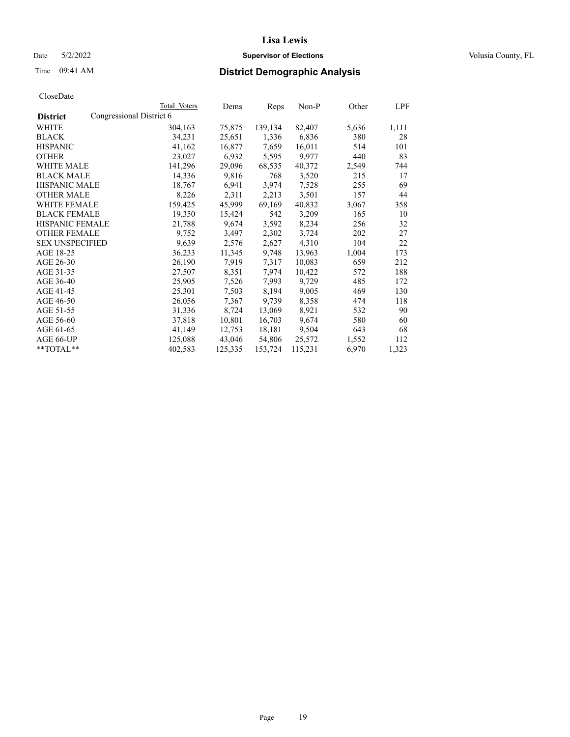Date 5/2/2022 **Supervisor of Elections Supervisor of Elections** Volusia County, FL

| CloseDate |
|-----------|
|-----------|

|                                             | Total Voters | Dems    | <b>Reps</b> | <u>Non-P</u> | Other | <u>LPF</u> |
|---------------------------------------------|--------------|---------|-------------|--------------|-------|------------|
| Congressional District 6<br><b>District</b> |              |         |             |              |       |            |
| WHITE                                       | 304,163      | 75,875  | 139,134     | 82,407       | 5,636 | 1,111      |
| <b>BLACK</b>                                | 34,231       | 25,651  | 1,336       | 6,836        | 380   | 28         |
| <b>HISPANIC</b>                             | 41,162       | 16,877  | 7,659       | 16,011       | 514   | 101        |
| <b>OTHER</b>                                | 23,027       | 6,932   | 5,595       | 9,977        | 440   | 83         |
| WHITE MALE                                  | 141,296      | 29,096  | 68,535      | 40,372       | 2,549 | 744        |
| <b>BLACK MALE</b>                           | 14,336       | 9,816   | 768         | 3,520        | 215   | 17         |
| <b>HISPANIC MALE</b>                        | 18,767       | 6,941   | 3,974       | 7,528        | 255   | 69         |
| <b>OTHER MALE</b>                           | 8,226        | 2,311   | 2,213       | 3,501        | 157   | 44         |
| <b>WHITE FEMALE</b>                         | 159,425      | 45,999  | 69,169      | 40,832       | 3,067 | 358        |
| <b>BLACK FEMALE</b>                         | 19,350       | 15,424  | 542         | 3,209        | 165   | 10         |
| <b>HISPANIC FEMALE</b>                      | 21,788       | 9,674   | 3,592       | 8,234        | 256   | 32         |
| <b>OTHER FEMALE</b>                         | 9,752        | 3,497   | 2,302       | 3,724        | 202   | 27         |
| <b>SEX UNSPECIFIED</b>                      | 9,639        | 2,576   | 2,627       | 4,310        | 104   | 22         |
| AGE 18-25                                   | 36,233       | 11,345  | 9,748       | 13,963       | 1,004 | 173        |
| AGE 26-30                                   | 26,190       | 7,919   | 7,317       | 10,083       | 659   | 212        |
| AGE 31-35                                   | 27,507       | 8,351   | 7,974       | 10,422       | 572   | 188        |
| AGE 36-40                                   | 25,905       | 7,526   | 7,993       | 9,729        | 485   | 172        |
| AGE 41-45                                   | 25,301       | 7,503   | 8,194       | 9,005        | 469   | 130        |
| AGE 46-50                                   | 26,056       | 7,367   | 9,739       | 8,358        | 474   | 118        |
| AGE 51-55                                   | 31,336       | 8,724   | 13,069      | 8,921        | 532   | 90         |
| AGE 56-60                                   | 37,818       | 10,801  | 16,703      | 9,674        | 580   | 60         |
| AGE 61-65                                   | 41,149       | 12,753  | 18,181      | 9,504        | 643   | 68         |
| AGE 66-UP                                   | 125,088      | 43,046  | 54,806      | 25,572       | 1,552 | 112        |
| $*$ $TOTAL**$                               | 402,583      | 125,335 | 153,724     | 115,231      | 6,970 | 1,323      |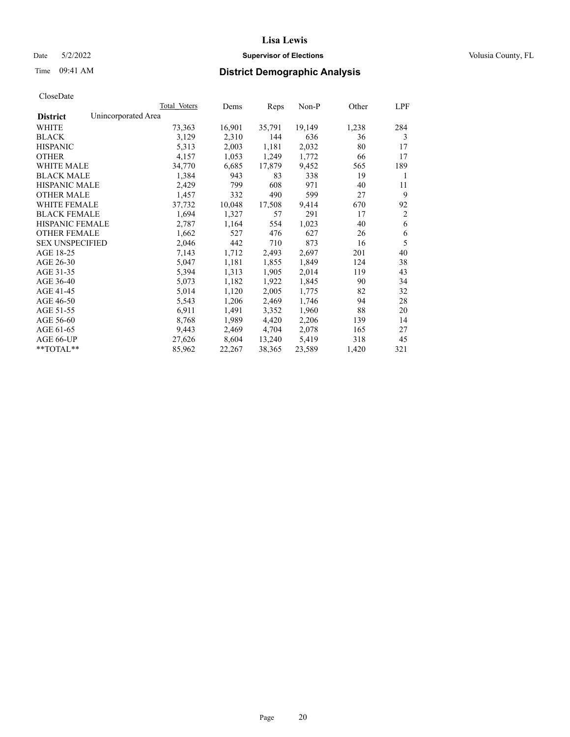## Date 5/2/2022 **Supervisor of Elections Supervisor of Elections** Volusia County, FL

# Time 09:41 AM **District Demographic Analysis**

|                        | Total Voters        | Dems   | Reps   | Non-P  | Other | LPF            |
|------------------------|---------------------|--------|--------|--------|-------|----------------|
| <b>District</b>        | Unincorporated Area |        |        |        |       |                |
| WHITE                  | 73,363              | 16,901 | 35,791 | 19,149 | 1,238 | 284            |
| <b>BLACK</b>           | 3,129               | 2,310  | 144    | 636    | 36    | 3              |
| <b>HISPANIC</b>        | 5,313               | 2,003  | 1,181  | 2,032  | 80    | 17             |
| <b>OTHER</b>           | 4,157               | 1,053  | 1,249  | 1,772  | 66    | 17             |
| WHITE MALE             | 34,770              | 6,685  | 17,879 | 9,452  | 565   | 189            |
| <b>BLACK MALE</b>      | 1,384               | 943    | 83     | 338    | 19    | 1              |
| <b>HISPANIC MALE</b>   | 2,429               | 799    | 608    | 971    | 40    | 11             |
| <b>OTHER MALE</b>      | 1,457               | 332    | 490    | 599    | 27    | 9              |
| WHITE FEMALE           | 37,732              | 10,048 | 17,508 | 9,414  | 670   | 92             |
| <b>BLACK FEMALE</b>    | 1,694               | 1,327  | 57     | 291    | 17    | $\overline{2}$ |
| <b>HISPANIC FEMALE</b> | 2,787               | 1,164  | 554    | 1,023  | 40    | 6              |
| <b>OTHER FEMALE</b>    | 1,662               | 527    | 476    | 627    | 26    | 6              |
| <b>SEX UNSPECIFIED</b> | 2,046               | 442    | 710    | 873    | 16    | 5              |
| AGE 18-25              | 7,143               | 1,712  | 2,493  | 2,697  | 201   | 40             |
| AGE 26-30              | 5,047               | 1,181  | 1,855  | 1,849  | 124   | 38             |
| AGE 31-35              | 5,394               | 1,313  | 1,905  | 2,014  | 119   | 43             |
| AGE 36-40              | 5,073               | 1,182  | 1,922  | 1,845  | 90    | 34             |
| AGE 41-45              | 5,014               | 1,120  | 2,005  | 1,775  | 82    | 32             |
| AGE 46-50              | 5,543               | 1,206  | 2,469  | 1,746  | 94    | 28             |
| AGE 51-55              | 6,911               | 1,491  | 3,352  | 1,960  | 88    | 20             |
| AGE 56-60              | 8,768               | 1,989  | 4,420  | 2,206  | 139   | 14             |
| AGE 61-65              | 9,443               | 2,469  | 4,704  | 2,078  | 165   | 27             |
| AGE 66-UP              | 27,626              | 8,604  | 13,240 | 5,419  | 318   | 45             |
| $*$ $TOTAL**$          | 85,962              | 22,267 | 38,365 | 23,589 | 1,420 | 321            |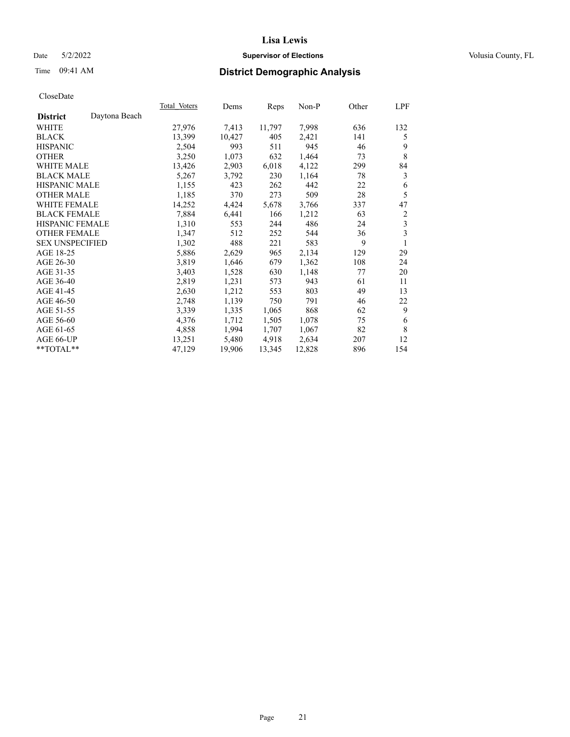## Date 5/2/2022 **Supervisor of Elections Supervisor of Elections** Volusia County, FL

# Time 09:41 AM **District Demographic Analysis**

|                        |               | Total Voters | Dems   | Reps   | Non-P  | Other | LPF |
|------------------------|---------------|--------------|--------|--------|--------|-------|-----|
| <b>District</b>        | Daytona Beach |              |        |        |        |       |     |
| WHITE                  |               | 27,976       | 7,413  | 11,797 | 7,998  | 636   | 132 |
| <b>BLACK</b>           |               | 13,399       | 10,427 | 405    | 2,421  | 141   | 5   |
| <b>HISPANIC</b>        |               | 2,504        | 993    | 511    | 945    | 46    | 9   |
| <b>OTHER</b>           |               | 3,250        | 1,073  | 632    | 1,464  | 73    | 8   |
| <b>WHITE MALE</b>      |               | 13,426       | 2,903  | 6,018  | 4,122  | 299   | 84  |
| <b>BLACK MALE</b>      |               | 5,267        | 3,792  | 230    | 1,164  | 78    | 3   |
| <b>HISPANIC MALE</b>   |               | 1,155        | 423    | 262    | 442    | 22    | 6   |
| <b>OTHER MALE</b>      |               | 1,185        | 370    | 273    | 509    | 28    | 5   |
| <b>WHITE FEMALE</b>    |               | 14,252       | 4,424  | 5,678  | 3,766  | 337   | 47  |
| <b>BLACK FEMALE</b>    |               | 7,884        | 6,441  | 166    | 1,212  | 63    | 2   |
| <b>HISPANIC FEMALE</b> |               | 1,310        | 553    | 244    | 486    | 24    | 3   |
| <b>OTHER FEMALE</b>    |               | 1,347        | 512    | 252    | 544    | 36    | 3   |
| <b>SEX UNSPECIFIED</b> |               | 1,302        | 488    | 221    | 583    | 9     | 1   |
| AGE 18-25              |               | 5,886        | 2,629  | 965    | 2,134  | 129   | 29  |
| AGE 26-30              |               | 3,819        | 1,646  | 679    | 1,362  | 108   | 24  |
| AGE 31-35              |               | 3,403        | 1,528  | 630    | 1,148  | 77    | 20  |
| AGE 36-40              |               | 2,819        | 1,231  | 573    | 943    | 61    | 11  |
| AGE 41-45              |               | 2,630        | 1,212  | 553    | 803    | 49    | 13  |
| AGE 46-50              |               | 2,748        | 1,139  | 750    | 791    | 46    | 22  |
| AGE 51-55              |               | 3,339        | 1,335  | 1,065  | 868    | 62    | 9   |
| AGE 56-60              |               | 4,376        | 1,712  | 1,505  | 1,078  | 75    | 6   |
| AGE 61-65              |               | 4,858        | 1,994  | 1,707  | 1,067  | 82    | 8   |
| AGE 66-UP              |               | 13,251       | 5,480  | 4,918  | 2,634  | 207   | 12  |
| **TOTAL**              |               | 47,129       | 19,906 | 13,345 | 12,828 | 896   | 154 |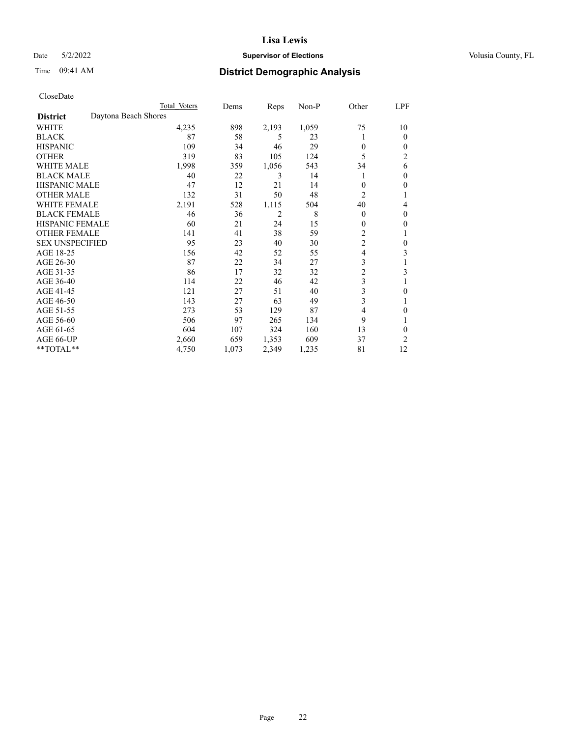## Date 5/2/2022 **Supervisor of Elections Supervisor of Elections** Volusia County, FL

| CloseDate |
|-----------|
|-----------|

|                        |                      | Total Voters | Dems  | Reps           | $Non-P$ | Other          | LPF      |
|------------------------|----------------------|--------------|-------|----------------|---------|----------------|----------|
| <b>District</b>        | Daytona Beach Shores |              |       |                |         |                |          |
| WHITE                  |                      | 4,235        | 898   | 2,193          | 1,059   | 75             | 10       |
| <b>BLACK</b>           |                      | 87           | 58    | 5              | 23      | 1              | $\Omega$ |
| <b>HISPANIC</b>        |                      | 109          | 34    | 46             | 29      | $\theta$       | 0        |
| <b>OTHER</b>           |                      | 319          | 83    | 105            | 124     | 5              | 2        |
| <b>WHITE MALE</b>      |                      | 1,998        | 359   | 1,056          | 543     | 34             | 6        |
| <b>BLACK MALE</b>      |                      | 40           | 22    | 3              | 14      | 1              | 0        |
| <b>HISPANIC MALE</b>   |                      | 47           | 12    | 21             | 14      | $\Omega$       | 0        |
| <b>OTHER MALE</b>      |                      | 132          | 31    | 50             | 48      | 2              |          |
| <b>WHITE FEMALE</b>    |                      | 2,191        | 528   | 1,115          | 504     | 40             | 4        |
| <b>BLACK FEMALE</b>    |                      | 46           | 36    | $\overline{2}$ | 8       | $\theta$       | 0        |
| <b>HISPANIC FEMALE</b> |                      | 60           | 21    | 24             | 15      | $\mathbf{0}$   | 0        |
| <b>OTHER FEMALE</b>    |                      | 141          | 41    | 38             | 59      | $\overline{c}$ |          |
| <b>SEX UNSPECIFIED</b> |                      | 95           | 23    | 40             | 30      | $\overline{c}$ | 0        |
| AGE 18-25              |                      | 156          | 42    | 52             | 55      | 4              | 3        |
| AGE 26-30              |                      | 87           | 22    | 34             | 27      | 3              |          |
| AGE 31-35              |                      | 86           | 17    | 32             | 32      | $\overline{c}$ | 3        |
| AGE 36-40              |                      | 114          | 22    | 46             | 42      | 3              |          |
| AGE 41-45              |                      | 121          | 27    | 51             | 40      | 3              | 0        |
| AGE 46-50              |                      | 143          | 27    | 63             | 49      | 3              |          |
| AGE 51-55              |                      | 273          | 53    | 129            | 87      | 4              | 0        |
| AGE 56-60              |                      | 506          | 97    | 265            | 134     | 9              |          |
| AGE 61-65              |                      | 604          | 107   | 324            | 160     | 13             | 0        |
| AGE 66-UP              |                      | 2,660        | 659   | 1,353          | 609     | 37             | 2        |
| **TOTAL**              |                      | 4,750        | 1,073 | 2,349          | 1,235   | 81             | 12       |
|                        |                      |              |       |                |         |                |          |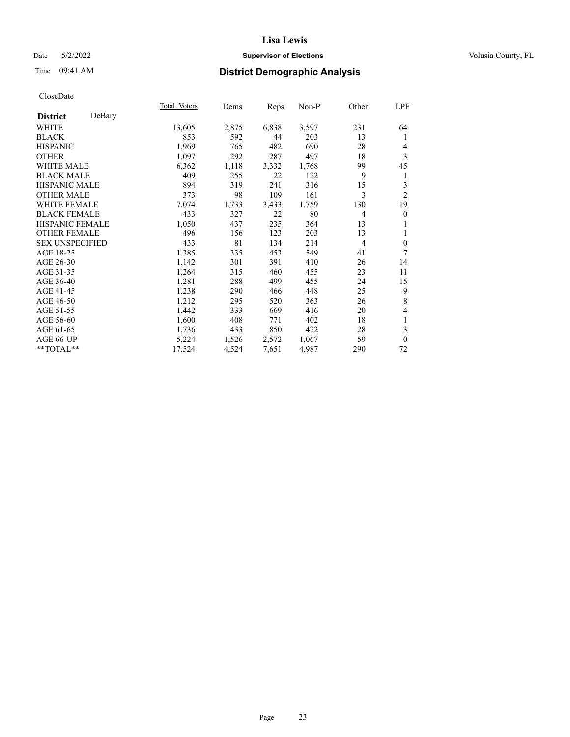## Date 5/2/2022 **Supervisor of Elections Supervisor of Elections** Volusia County, FL

# Time 09:41 AM **District Demographic Analysis**

|                           | Total Voters | Dems  | Reps  | Non-P | Other          | LPF                      |
|---------------------------|--------------|-------|-------|-------|----------------|--------------------------|
| DeBary<br><b>District</b> |              |       |       |       |                |                          |
| WHITE                     | 13,605       | 2,875 | 6,838 | 3,597 | 231            | 64                       |
| <b>BLACK</b>              | 853          | 592   | 44    | 203   | 13             | 1                        |
| <b>HISPANIC</b>           | 1,969        | 765   | 482   | 690   | 28             | 4                        |
| <b>OTHER</b>              | 1,097        | 292   | 287   | 497   | 18             | 3                        |
| <b>WHITE MALE</b>         | 6,362        | 1,118 | 3,332 | 1,768 | 99             | 45                       |
| <b>BLACK MALE</b>         | 409          | 255   | 22    | 122   | 9              | 1                        |
| <b>HISPANIC MALE</b>      | 894          | 319   | 241   | 316   | 15             | 3                        |
| <b>OTHER MALE</b>         | 373          | 98    | 109   | 161   | 3              | $\mathfrak{2}$           |
| <b>WHITE FEMALE</b>       | 7,074        | 1,733 | 3,433 | 1,759 | 130            | 19                       |
| <b>BLACK FEMALE</b>       | 433          | 327   | 22    | 80    | $\overline{4}$ | $\theta$                 |
| HISPANIC FEMALE           | 1,050        | 437   | 235   | 364   | 13             | 1                        |
| <b>OTHER FEMALE</b>       | 496          | 156   | 123   | 203   | 13             | 1                        |
| <b>SEX UNSPECIFIED</b>    | 433          | 81    | 134   | 214   | 4              | $\boldsymbol{0}$         |
| AGE 18-25                 | 1,385        | 335   | 453   | 549   | 41             | 7                        |
| AGE 26-30                 | 1,142        | 301   | 391   | 410   | 26             | 14                       |
| AGE 31-35                 | 1,264        | 315   | 460   | 455   | 23             | 11                       |
| AGE 36-40                 | 1,281        | 288   | 499   | 455   | 24             | 15                       |
| AGE 41-45                 | 1,238        | 290   | 466   | 448   | 25             | 9                        |
| AGE 46-50                 | 1,212        | 295   | 520   | 363   | 26             | $\,8\,$                  |
| AGE 51-55                 | 1,442        | 333   | 669   | 416   | 20             | $\overline{\mathcal{L}}$ |
| AGE 56-60                 | 1,600        | 408   | 771   | 402   | 18             | 1                        |
| AGE 61-65                 | 1,736        | 433   | 850   | 422   | 28             | 3                        |
| AGE 66-UP                 | 5,224        | 1,526 | 2,572 | 1,067 | 59             | $\theta$                 |
| **TOTAL**                 | 17,524       | 4,524 | 7,651 | 4,987 | 290            | 72                       |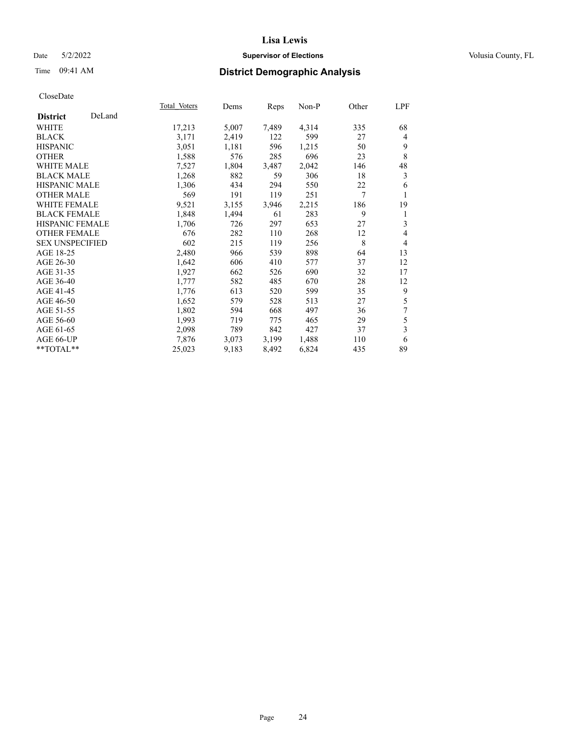## Date 5/2/2022 **Supervisor of Elections Supervisor of Elections** Volusia County, FL

# Time 09:41 AM **District Demographic Analysis**

|                        |        | Total Voters | Dems  | Reps  | Non-P | Other | LPF            |
|------------------------|--------|--------------|-------|-------|-------|-------|----------------|
| <b>District</b>        | DeLand |              |       |       |       |       |                |
| WHITE                  |        | 17,213       | 5,007 | 7,489 | 4,314 | 335   | 68             |
| <b>BLACK</b>           |        | 3,171        | 2,419 | 122   | 599   | 27    | $\overline{4}$ |
| <b>HISPANIC</b>        |        | 3,051        | 1,181 | 596   | 1,215 | 50    | 9              |
| <b>OTHER</b>           |        | 1,588        | 576   | 285   | 696   | 23    | 8              |
| <b>WHITE MALE</b>      |        | 7,527        | 1,804 | 3,487 | 2,042 | 146   | 48             |
| <b>BLACK MALE</b>      |        | 1,268        | 882   | 59    | 306   | 18    | 3              |
| <b>HISPANIC MALE</b>   |        | 1,306        | 434   | 294   | 550   | 22    | 6              |
| <b>OTHER MALE</b>      |        | 569          | 191   | 119   | 251   | 7     | 1              |
| <b>WHITE FEMALE</b>    |        | 9,521        | 3,155 | 3,946 | 2,215 | 186   | 19             |
| <b>BLACK FEMALE</b>    |        | 1,848        | 1,494 | 61    | 283   | 9     | 1              |
| HISPANIC FEMALE        |        | 1,706        | 726   | 297   | 653   | 27    | 3              |
| <b>OTHER FEMALE</b>    |        | 676          | 282   | 110   | 268   | 12    | 4              |
| <b>SEX UNSPECIFIED</b> |        | 602          | 215   | 119   | 256   | 8     | $\overline{4}$ |
| AGE 18-25              |        | 2,480        | 966   | 539   | 898   | 64    | 13             |
| AGE 26-30              |        | 1,642        | 606   | 410   | 577   | 37    | 12             |
| AGE 31-35              |        | 1,927        | 662   | 526   | 690   | 32    | 17             |
| AGE 36-40              |        | 1,777        | 582   | 485   | 670   | 28    | 12             |
| AGE 41-45              |        | 1,776        | 613   | 520   | 599   | 35    | 9              |
| AGE 46-50              |        | 1,652        | 579   | 528   | 513   | 27    | 5              |
| AGE 51-55              |        | 1,802        | 594   | 668   | 497   | 36    | 7              |
| AGE 56-60              |        | 1,993        | 719   | 775   | 465   | 29    | 5              |
| AGE 61-65              |        | 2,098        | 789   | 842   | 427   | 37    | 3              |
| AGE 66-UP              |        | 7,876        | 3,073 | 3,199 | 1,488 | 110   | 6              |
| **TOTAL**              |        | 25,023       | 9,183 | 8,492 | 6,824 | 435   | 89             |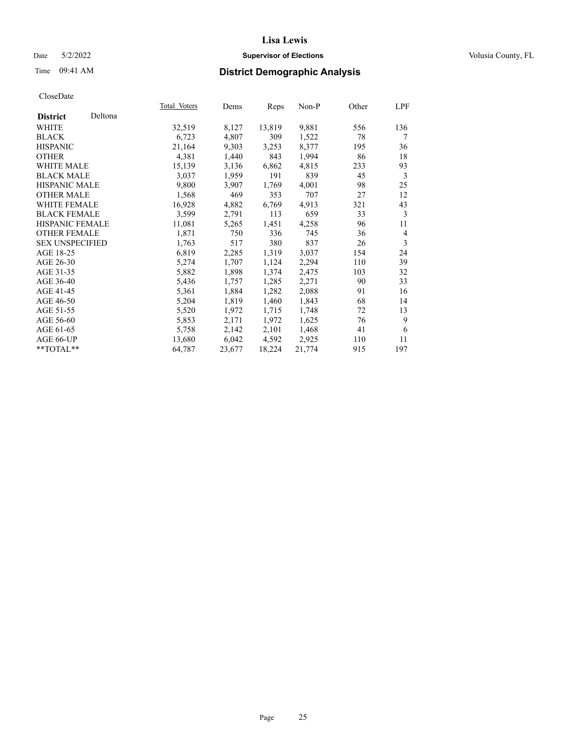## Date 5/2/2022 **Supervisor of Elections Supervisor of Elections** Volusia County, FL

| CloseDate |
|-----------|
|-----------|

|                        |         | Total Voters | Dems   | Reps   | Non-P  | Other | LPF            |
|------------------------|---------|--------------|--------|--------|--------|-------|----------------|
| <b>District</b>        | Deltona |              |        |        |        |       |                |
| WHITE                  |         | 32,519       | 8,127  | 13,819 | 9,881  | 556   | 136            |
| <b>BLACK</b>           |         | 6,723        | 4,807  | 309    | 1,522  | 78    | 7              |
| <b>HISPANIC</b>        |         | 21,164       | 9,303  | 3,253  | 8,377  | 195   | 36             |
| <b>OTHER</b>           |         | 4,381        | 1,440  | 843    | 1,994  | 86    | 18             |
| <b>WHITE MALE</b>      |         | 15,139       | 3,136  | 6,862  | 4,815  | 233   | 93             |
| <b>BLACK MALE</b>      |         | 3,037        | 1,959  | 191    | 839    | 45    | 3              |
| <b>HISPANIC MALE</b>   |         | 9,800        | 3,907  | 1,769  | 4,001  | 98    | 25             |
| <b>OTHER MALE</b>      |         | 1,568        | 469    | 353    | 707    | 27    | 12             |
| <b>WHITE FEMALE</b>    |         | 16,928       | 4,882  | 6,769  | 4,913  | 321   | 43             |
| <b>BLACK FEMALE</b>    |         | 3,599        | 2,791  | 113    | 659    | 33    | 3              |
| <b>HISPANIC FEMALE</b> |         | 11,081       | 5,265  | 1,451  | 4,258  | 96    | 11             |
| <b>OTHER FEMALE</b>    |         | 1,871        | 750    | 336    | 745    | 36    | $\overline{4}$ |
| <b>SEX UNSPECIFIED</b> |         | 1,763        | 517    | 380    | 837    | 26    | 3              |
| AGE 18-25              |         | 6,819        | 2,285  | 1,319  | 3,037  | 154   | 24             |
| AGE 26-30              |         | 5,274        | 1,707  | 1,124  | 2,294  | 110   | 39             |
| AGE 31-35              |         | 5,882        | 1,898  | 1,374  | 2,475  | 103   | 32             |
| AGE 36-40              |         | 5,436        | 1,757  | 1,285  | 2,271  | 90    | 33             |
| AGE 41-45              |         | 5,361        | 1,884  | 1,282  | 2,088  | 91    | 16             |
| AGE 46-50              |         | 5,204        | 1,819  | 1,460  | 1,843  | 68    | 14             |
| AGE 51-55              |         | 5,520        | 1,972  | 1,715  | 1,748  | 72    | 13             |
| AGE 56-60              |         | 5,853        | 2,171  | 1,972  | 1,625  | 76    | 9              |
| AGE 61-65              |         | 5,758        | 2,142  | 2,101  | 1,468  | 41    | 6              |
| AGE 66-UP              |         | 13,680       | 6,042  | 4,592  | 2,925  | 110   | 11             |
| $**TOTAL**$            |         | 64,787       | 23,677 | 18,224 | 21,774 | 915   | 197            |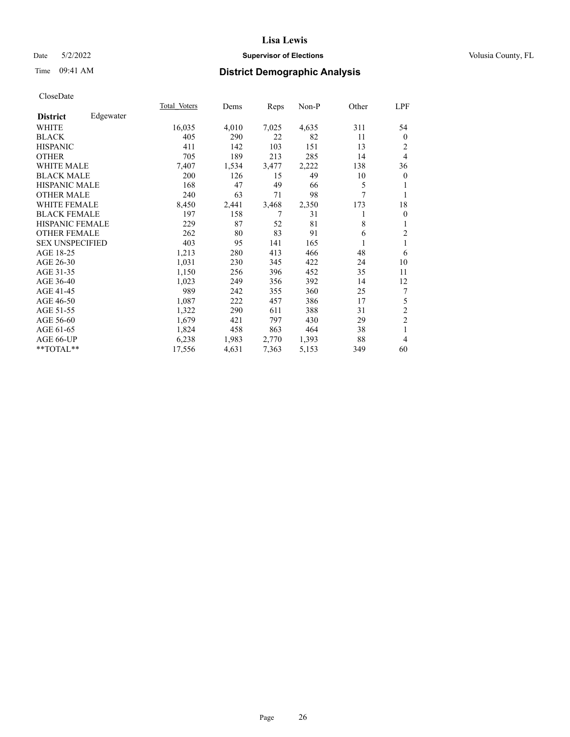## Date 5/2/2022 **Supervisor of Elections Supervisor of Elections** Volusia County, FL

# Time 09:41 AM **District Demographic Analysis**

| Total Voters | Dems  |       | Non-P | Other  | LPF              |
|--------------|-------|-------|-------|--------|------------------|
|              |       |       |       |        |                  |
| 16,035       | 4,010 | 7,025 | 4,635 | 311    | 54               |
| 405          | 290   | 22    | 82    | 11     | $\boldsymbol{0}$ |
| 411          | 142   | 103   | 151   | 13     | 2                |
| 705          | 189   | 213   | 285   | 14     | $\overline{4}$   |
| 7,407        | 1,534 | 3,477 | 2,222 | 138    | 36               |
| 200          | 126   | 15    | 49    | 10     | $\boldsymbol{0}$ |
| 168          | 47    | 49    | 66    | 5      | 1                |
| 240          | 63    | 71    | 98    | $\tau$ | 1                |
| 8,450        | 2,441 | 3,468 | 2,350 | 173    | 18               |
| 197          | 158   |       | 31    | 1      | $\mathbf{0}$     |
| 229          | 87    | 52    | 81    | 8      | 1                |
| 262          | 80    | 83    | 91    | 6      | $\overline{2}$   |
| 403          | 95    | 141   | 165   | 1      | $\mathbf{1}$     |
| 1,213        | 280   | 413   | 466   | 48     | 6                |
| 1,031        | 230   | 345   | 422   | 24     | 10               |
| 1,150        | 256   | 396   | 452   | 35     | 11               |
| 1,023        | 249   | 356   | 392   | 14     | 12               |
| 989          | 242   | 355   | 360   | 25     | 7                |
| 1,087        | 222   | 457   | 386   | 17     | $\mathfrak s$    |
| 1,322        | 290   | 611   | 388   | 31     | $\sqrt{2}$       |
| 1,679        | 421   | 797   | 430   | 29     | $\overline{2}$   |
| 1,824        | 458   | 863   | 464   | 38     | $\mathbf{1}$     |
| 6,238        | 1,983 | 2,770 | 1,393 | 88     | $\overline{4}$   |
| 17,556       | 4,631 | 7,363 | 5,153 | 349    | 60               |
|              |       |       | Reps  |        |                  |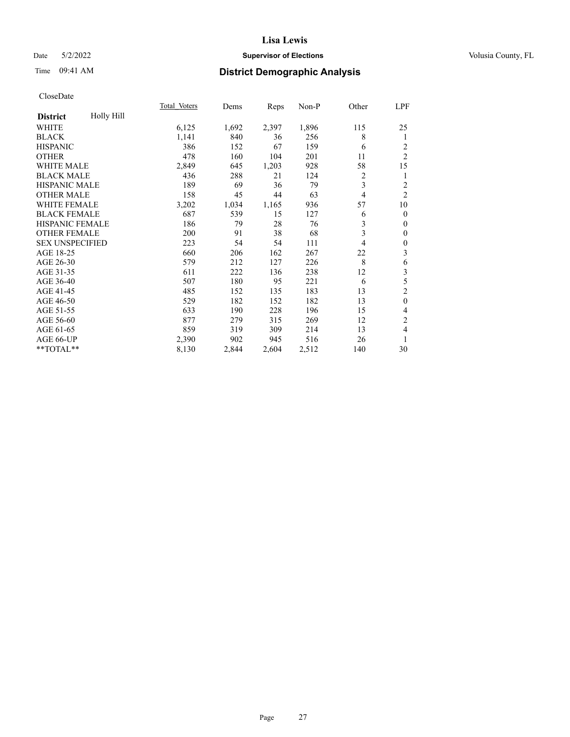## Date 5/2/2022 **Supervisor of Elections Supervisor of Elections** Volusia County, FL

# Time 09:41 AM **District Demographic Analysis**

|                        |            | Total Voters | Dems  | Reps  | Non-P | Other | LPF              |
|------------------------|------------|--------------|-------|-------|-------|-------|------------------|
| <b>District</b>        | Holly Hill |              |       |       |       |       |                  |
| WHITE                  |            | 6,125        | 1,692 | 2,397 | 1,896 | 115   | 25               |
| <b>BLACK</b>           |            | 1,141        | 840   | 36    | 256   | 8     | 1                |
| <b>HISPANIC</b>        |            | 386          | 152   | 67    | 159   | 6     | 2                |
| <b>OTHER</b>           |            | 478          | 160   | 104   | 201   | 11    | $\overline{c}$   |
| WHITE MALE             |            | 2,849        | 645   | 1,203 | 928   | 58    | 15               |
| <b>BLACK MALE</b>      |            | 436          | 288   | 21    | 124   | 2     | 1                |
| HISPANIC MALE          |            | 189          | 69    | 36    | 79    | 3     | $\overline{c}$   |
| <b>OTHER MALE</b>      |            | 158          | 45    | 44    | 63    | 4     | $\overline{2}$   |
| WHITE FEMALE           |            | 3,202        | 1,034 | 1,165 | 936   | 57    | 10               |
| <b>BLACK FEMALE</b>    |            | 687          | 539   | 15    | 127   | 6     | $\mathbf{0}$     |
| <b>HISPANIC FEMALE</b> |            | 186          | 79    | 28    | 76    | 3     | $\mathbf{0}$     |
| <b>OTHER FEMALE</b>    |            | 200          | 91    | 38    | 68    | 3     | $\mathbf{0}$     |
| <b>SEX UNSPECIFIED</b> |            | 223          | 54    | 54    | 111   | 4     | $\boldsymbol{0}$ |
| AGE 18-25              |            | 660          | 206   | 162   | 267   | 22    | 3                |
| AGE 26-30              |            | 579          | 212   | 127   | 226   | 8     | 6                |
| AGE 31-35              |            | 611          | 222   | 136   | 238   | 12    | 3                |
| AGE 36-40              |            | 507          | 180   | 95    | 221   | 6     | 5                |
| AGE 41-45              |            | 485          | 152   | 135   | 183   | 13    | $\mathfrak{2}$   |
| AGE 46-50              |            | 529          | 182   | 152   | 182   | 13    | $\mathbf{0}$     |
| AGE 51-55              |            | 633          | 190   | 228   | 196   | 15    | 4                |
| AGE 56-60              |            | 877          | 279   | 315   | 269   | 12    | $\overline{2}$   |
| AGE 61-65              |            | 859          | 319   | 309   | 214   | 13    | 4                |
| AGE 66-UP              |            | 2,390        | 902   | 945   | 516   | 26    | 1                |
| **TOTAL**              |            | 8,130        | 2,844 | 2,604 | 2,512 | 140   | 30               |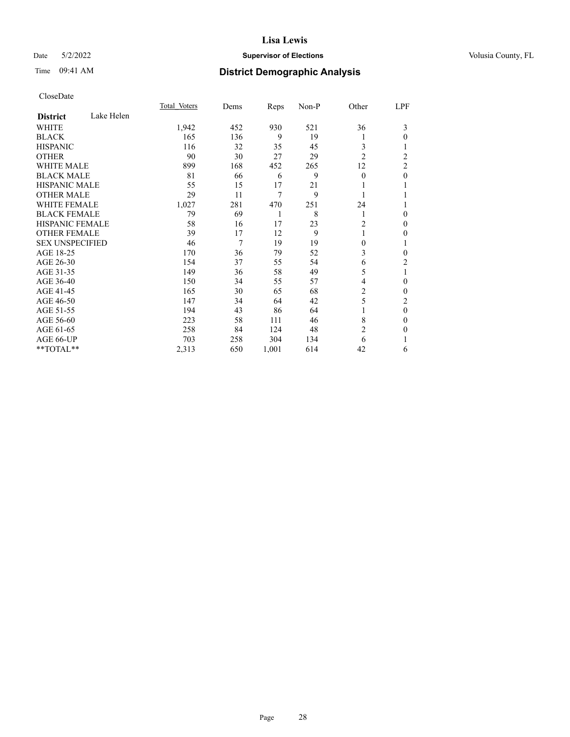## Date 5/2/2022 **Supervisor of Elections Supervisor of Elections** Volusia County, FL

# Time 09:41 AM **District Demographic Analysis**

|                        |            | Total Voters | Dems | Reps  | Non-P | Other          | LPF            |
|------------------------|------------|--------------|------|-------|-------|----------------|----------------|
| <b>District</b>        | Lake Helen |              |      |       |       |                |                |
| WHITE                  |            | 1,942        | 452  | 930   | 521   | 36             | 3              |
| <b>BLACK</b>           |            | 165          | 136  | 9     | 19    | l              | 0              |
| <b>HISPANIC</b>        |            | 116          | 32   | 35    | 45    | 3              |                |
| <b>OTHER</b>           |            | 90           | 30   | 27    | 29    | $\overline{2}$ | $\overline{c}$ |
| <b>WHITE MALE</b>      |            | 899          | 168  | 452   | 265   | 12             | $\overline{2}$ |
| <b>BLACK MALE</b>      |            | 81           | 66   | 6     | 9     | $\Omega$       | $\theta$       |
| <b>HISPANIC MALE</b>   |            | 55           | 15   | 17    | 21    |                |                |
| <b>OTHER MALE</b>      |            | 29           | 11   | 7     | 9     | 1              |                |
| <b>WHITE FEMALE</b>    |            | 1,027        | 281  | 470   | 251   | 24             |                |
| <b>BLACK FEMALE</b>    |            | 79           | 69   | 1     | 8     | 1              | 0              |
| <b>HISPANIC FEMALE</b> |            | 58           | 16   | 17    | 23    | 2              | 0              |
| <b>OTHER FEMALE</b>    |            | 39           | 17   | 12    | 9     | 1              | 0              |
| <b>SEX UNSPECIFIED</b> |            | 46           | 7    | 19    | 19    | 0              | 1              |
| AGE 18-25              |            | 170          | 36   | 79    | 52    | 3              | 0              |
| AGE 26-30              |            | 154          | 37   | 55    | 54    | 6              | 2              |
| AGE 31-35              |            | 149          | 36   | 58    | 49    | 5              | 1              |
| AGE 36-40              |            | 150          | 34   | 55    | 57    | 4              | 0              |
| AGE 41-45              |            | 165          | 30   | 65    | 68    | 2              | 0              |
| AGE 46-50              |            | 147          | 34   | 64    | 42    | 5              | 2              |
| AGE 51-55              |            | 194          | 43   | 86    | 64    | 1              | 0              |
| AGE 56-60              |            | 223          | 58   | 111   | 46    | 8              | 0              |
| AGE 61-65              |            | 258          | 84   | 124   | 48    | 2              | 0              |
| AGE 66-UP              |            | 703          | 258  | 304   | 134   | 6              |                |
| **TOTAL**              |            | 2,313        | 650  | 1,001 | 614   | 42             | 6              |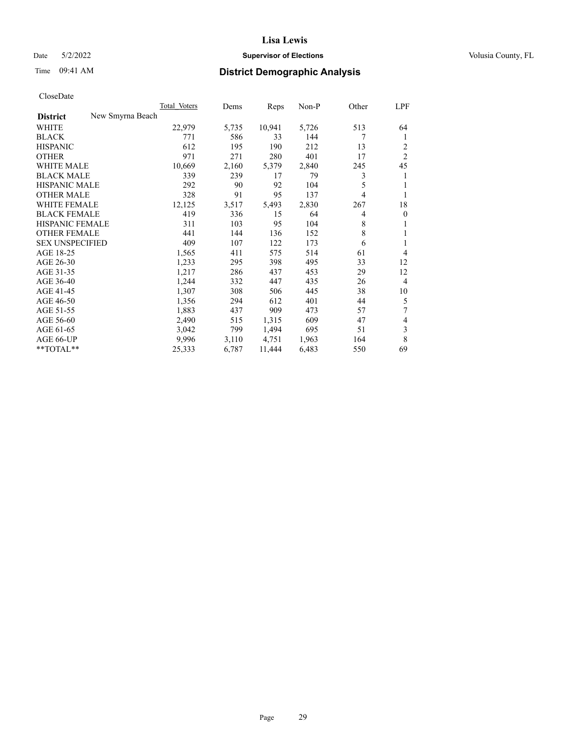## Date 5/2/2022 **Supervisor of Elections Supervisor of Elections** Volusia County, FL

| CloseDate |
|-----------|
|-----------|

|                                     | Total Voters | Dems  | Reps   | Non-P | Other | LPF            |
|-------------------------------------|--------------|-------|--------|-------|-------|----------------|
| New Smyrna Beach<br><b>District</b> |              |       |        |       |       |                |
| WHITE                               | 22,979       | 5,735 | 10,941 | 5,726 | 513   | 64             |
| <b>BLACK</b>                        | 771          | 586   | 33     | 144   | 7     | 1              |
| <b>HISPANIC</b>                     | 612          | 195   | 190    | 212   | 13    | 2              |
| <b>OTHER</b>                        | 971          | 271   | 280    | 401   | 17    | $\overline{2}$ |
| <b>WHITE MALE</b>                   | 10,669       | 2,160 | 5,379  | 2,840 | 245   | 45             |
| <b>BLACK MALE</b>                   | 339          | 239   | 17     | 79    | 3     | 1              |
| <b>HISPANIC MALE</b>                | 292          | 90    | 92     | 104   | 5     | 1              |
| <b>OTHER MALE</b>                   | 328          | 91    | 95     | 137   | 4     | 1              |
| WHITE FEMALE                        | 12,125       | 3,517 | 5,493  | 2,830 | 267   | 18             |
| <b>BLACK FEMALE</b>                 | 419          | 336   | 15     | 64    | 4     | $\mathbf{0}$   |
| HISPANIC FEMALE                     | 311          | 103   | 95     | 104   | 8     | 1              |
| <b>OTHER FEMALE</b>                 | 441          | 144   | 136    | 152   | 8     | 1              |
| <b>SEX UNSPECIFIED</b>              | 409          | 107   | 122    | 173   | 6     | 1              |
| AGE 18-25                           | 1,565        | 411   | 575    | 514   | 61    | 4              |
| AGE 26-30                           | 1,233        | 295   | 398    | 495   | 33    | 12             |
| AGE 31-35                           | 1,217        | 286   | 437    | 453   | 29    | 12             |
| AGE 36-40                           | 1,244        | 332   | 447    | 435   | 26    | $\overline{4}$ |
| AGE 41-45                           | 1,307        | 308   | 506    | 445   | 38    | 10             |
| AGE 46-50                           | 1,356        | 294   | 612    | 401   | 44    | 5              |
| AGE 51-55                           | 1,883        | 437   | 909    | 473   | 57    | 7              |
| AGE 56-60                           | 2,490        | 515   | 1,315  | 609   | 47    | 4              |
| AGE 61-65                           | 3,042        | 799   | 1,494  | 695   | 51    | 3              |
| AGE 66-UP                           | 9,996        | 3,110 | 4,751  | 1,963 | 164   | 8              |
| **TOTAL**                           | 25,333       | 6,787 | 11,444 | 6,483 | 550   | 69             |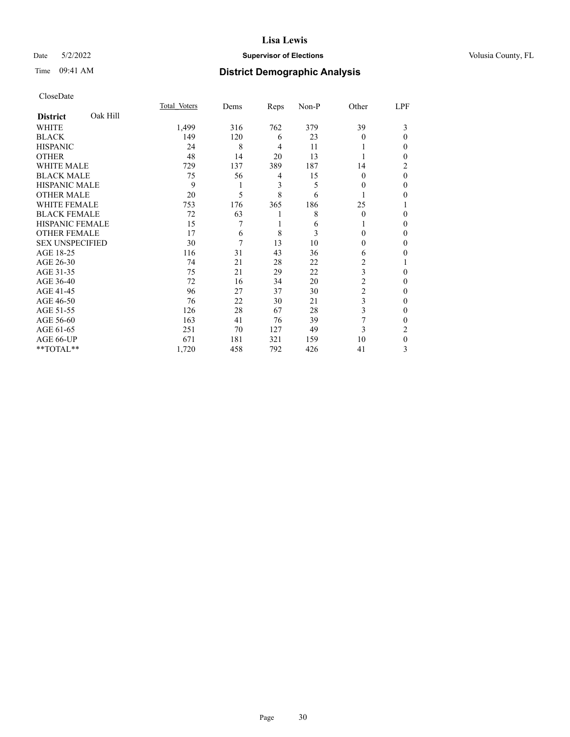### Date 5/2/2022 **Supervisor of Elections Supervisor of Elections** Volusia County, FL

# Time 09:41 AM **District Demographic Analysis**

|                             | Total Voters | Dems | Reps           | Non-P | Other          | LPF          |
|-----------------------------|--------------|------|----------------|-------|----------------|--------------|
| Oak Hill<br><b>District</b> |              |      |                |       |                |              |
| WHITE                       | 1,499        | 316  | 762            | 379   | 39             | 3            |
| <b>BLACK</b>                | 149          | 120  | 6              | 23    | $\Omega$       | $\theta$     |
| <b>HISPANIC</b>             | 24           | 8    | $\overline{4}$ | 11    |                | 0            |
| <b>OTHER</b>                | 48           | 14   | 20             | 13    |                | 0            |
| WHITE MALE                  | 729          | 137  | 389            | 187   | 14             | 2            |
| <b>BLACK MALE</b>           | 75           | 56   | 4              | 15    | $\Omega$       | $\theta$     |
| <b>HISPANIC MALE</b>        | 9            | 1    | 3              | 5     | 0              | 0            |
| <b>OTHER MALE</b>           | 20           | 5    | 8              | 6     |                | 0            |
| <b>WHITE FEMALE</b>         | 753          | 176  | 365            | 186   | 25             |              |
| <b>BLACK FEMALE</b>         | 72           | 63   | 1              | 8     | $\Omega$       | 0            |
| <b>HISPANIC FEMALE</b>      | 15           | 7    | 1              | 6     |                | 0            |
| <b>OTHER FEMALE</b>         | 17           | 6    | 8              | 3     | 0              | 0            |
| <b>SEX UNSPECIFIED</b>      | 30           | 7    | 13             | 10    | $\Omega$       | 0            |
| AGE 18-25                   | 116          | 31   | 43             | 36    | 6              | 0            |
| AGE 26-30                   | 74           | 21   | 28             | 22    | 2              |              |
| AGE 31-35                   | 75           | 21   | 29             | 22    | 3              | 0            |
| AGE 36-40                   | 72           | 16   | 34             | 20    | $\overline{2}$ | 0            |
| AGE 41-45                   | 96           | 27   | 37             | 30    | $\overline{c}$ | 0            |
| AGE 46-50                   | 76           | 22   | 30             | 21    | 3              | 0            |
| AGE 51-55                   | 126          | 28   | 67             | 28    | 3              | $\mathbf{0}$ |
| AGE 56-60                   | 163          | 41   | 76             | 39    | 7              | 0            |
| AGE 61-65                   | 251          | 70   | 127            | 49    | 3              | 2            |
| AGE 66-UP                   | 671          | 181  | 321            | 159   | 10             | $\theta$     |
| **TOTAL**                   | 1,720        | 458  | 792            | 426   | 41             | 3            |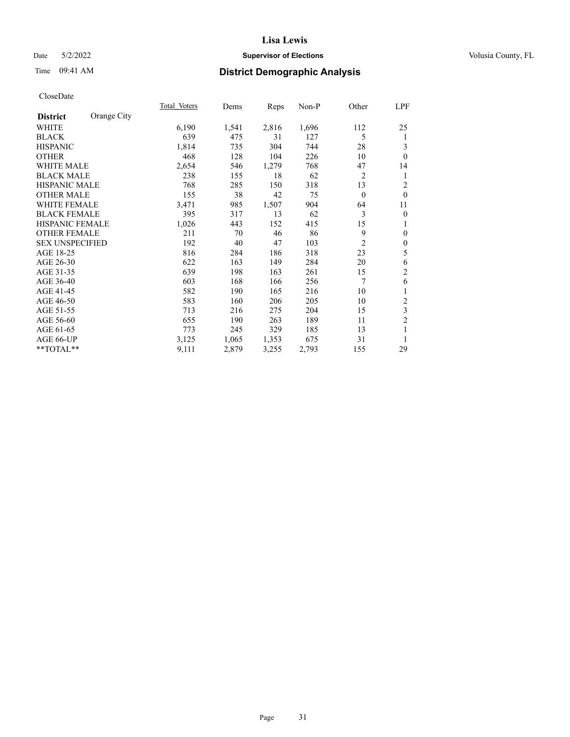## Date 5/2/2022 **Supervisor of Elections Supervisor of Elections** Volusia County, FL

# Time 09:41 AM **District Demographic Analysis**

|                        |             | Total Voters | Dems  | Reps  | Non-P | Other          | LPF              |
|------------------------|-------------|--------------|-------|-------|-------|----------------|------------------|
| <b>District</b>        | Orange City |              |       |       |       |                |                  |
| WHITE                  |             | 6,190        | 1,541 | 2,816 | 1,696 | 112            | 25               |
| <b>BLACK</b>           |             | 639          | 475   | 31    | 127   | 5              | 1                |
| <b>HISPANIC</b>        |             | 1,814        | 735   | 304   | 744   | 28             | 3                |
| <b>OTHER</b>           |             | 468          | 128   | 104   | 226   | 10             | $\theta$         |
| <b>WHITE MALE</b>      |             | 2,654        | 546   | 1,279 | 768   | 47             | 14               |
| <b>BLACK MALE</b>      |             | 238          | 155   | 18    | 62    | $\overline{2}$ | 1                |
| <b>HISPANIC MALE</b>   |             | 768          | 285   | 150   | 318   | 13             | $\overline{2}$   |
| <b>OTHER MALE</b>      |             | 155          | 38    | 42    | 75    | $\mathbf{0}$   | $\theta$         |
| <b>WHITE FEMALE</b>    |             | 3,471        | 985   | 1,507 | 904   | 64             | 11               |
| <b>BLACK FEMALE</b>    |             | 395          | 317   | 13    | 62    | 3              | $\boldsymbol{0}$ |
| <b>HISPANIC FEMALE</b> |             | 1,026        | 443   | 152   | 415   | 15             | 1                |
| <b>OTHER FEMALE</b>    |             | 211          | 70    | 46    | 86    | 9              | $\theta$         |
| <b>SEX UNSPECIFIED</b> |             | 192          | 40    | 47    | 103   | $\overline{2}$ | $\boldsymbol{0}$ |
| AGE 18-25              |             | 816          | 284   | 186   | 318   | 23             | 5                |
| AGE 26-30              |             | 622          | 163   | 149   | 284   | 20             | 6                |
| AGE 31-35              |             | 639          | 198   | 163   | 261   | 15             | $\overline{2}$   |
| AGE 36-40              |             | 603          | 168   | 166   | 256   | 7              | 6                |
| AGE 41-45              |             | 582          | 190   | 165   | 216   | 10             | $\mathbf{1}$     |
| AGE 46-50              |             | 583          | 160   | 206   | 205   | 10             | $\boldsymbol{2}$ |
| AGE 51-55              |             | 713          | 216   | 275   | 204   | 15             | $\mathfrak{Z}$   |
| AGE 56-60              |             | 655          | 190   | 263   | 189   | 11             | $\overline{c}$   |
| AGE 61-65              |             | 773          | 245   | 329   | 185   | 13             | 1                |
| AGE 66-UP              |             | 3,125        | 1,065 | 1,353 | 675   | 31             | 1                |
| **TOTAL**              |             | 9,111        | 2,879 | 3,255 | 2,793 | 155            | 29               |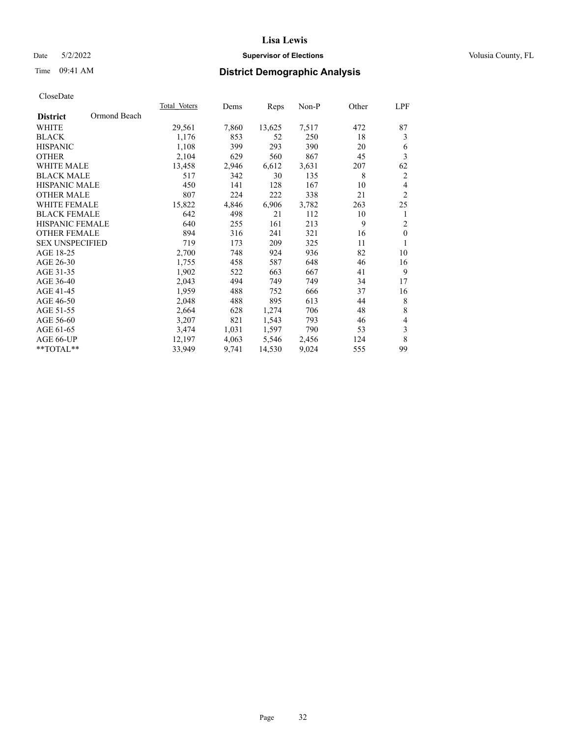## Date 5/2/2022 **Supervisor of Elections Supervisor of Elections** Volusia County, FL

# Time 09:41 AM **District Demographic Analysis**

|                        |              | Total Voters | Dems  | Reps   | $Non-P$ | Other | LPF                     |
|------------------------|--------------|--------------|-------|--------|---------|-------|-------------------------|
| <b>District</b>        | Ormond Beach |              |       |        |         |       |                         |
| <b>WHITE</b>           |              | 29,561       | 7,860 | 13,625 | 7,517   | 472   | 87                      |
| <b>BLACK</b>           |              | 1,176        | 853   | 52     | 250     | 18    | 3                       |
| <b>HISPANIC</b>        |              | 1,108        | 399   | 293    | 390     | 20    | 6                       |
| <b>OTHER</b>           |              | 2,104        | 629   | 560    | 867     | 45    | $\overline{\mathbf{3}}$ |
| WHITE MALE             |              | 13,458       | 2,946 | 6,612  | 3,631   | 207   | 62                      |
| <b>BLACK MALE</b>      |              | 517          | 342   | 30     | 135     | 8     | $\overline{c}$          |
| <b>HISPANIC MALE</b>   |              | 450          | 141   | 128    | 167     | 10    | $\overline{4}$          |
| <b>OTHER MALE</b>      |              | 807          | 224   | 222    | 338     | 21    | $\overline{2}$          |
| WHITE FEMALE           |              | 15,822       | 4,846 | 6,906  | 3,782   | 263   | 25                      |
| <b>BLACK FEMALE</b>    |              | 642          | 498   | 21     | 112     | 10    | 1                       |
| HISPANIC FEMALE        |              | 640          | 255   | 161    | 213     | 9     | $\overline{2}$          |
| <b>OTHER FEMALE</b>    |              | 894          | 316   | 241    | 321     | 16    | $\mathbf{0}$            |
| <b>SEX UNSPECIFIED</b> |              | 719          | 173   | 209    | 325     | 11    | 1                       |
| AGE 18-25              |              | 2,700        | 748   | 924    | 936     | 82    | 10                      |
| AGE 26-30              |              | 1,755        | 458   | 587    | 648     | 46    | 16                      |
| AGE 31-35              |              | 1,902        | 522   | 663    | 667     | 41    | 9                       |
| AGE 36-40              |              | 2,043        | 494   | 749    | 749     | 34    | 17                      |
| AGE 41-45              |              | 1,959        | 488   | 752    | 666     | 37    | 16                      |
| AGE 46-50              |              | 2,048        | 488   | 895    | 613     | 44    | 8                       |
| AGE 51-55              |              | 2,664        | 628   | 1,274  | 706     | 48    | $\,$ 8 $\,$             |
| AGE 56-60              |              | 3,207        | 821   | 1,543  | 793     | 46    | $\overline{4}$          |
| AGE 61-65              |              | 3,474        | 1,031 | 1,597  | 790     | 53    | $\mathfrak z$           |
| AGE 66-UP              |              | 12,197       | 4,063 | 5,546  | 2,456   | 124   | $\,$ 8 $\,$             |
| **TOTAL**              |              | 33,949       | 9,741 | 14,530 | 9,024   | 555   | 99                      |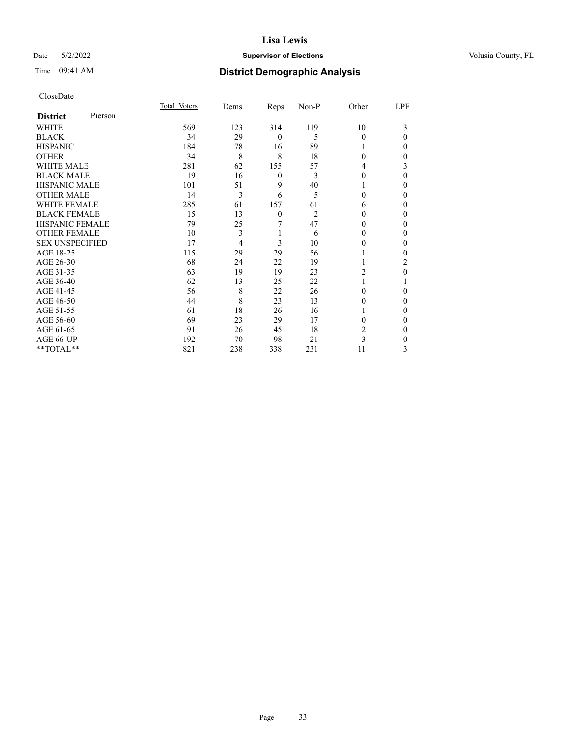## Date 5/2/2022 **Supervisor of Elections Supervisor of Elections** Volusia County, FL

| CloseDate |
|-----------|
|-----------|

|                        |         | Total Voters | Dems | Reps             | Non-P          | Other    | LPF      |
|------------------------|---------|--------------|------|------------------|----------------|----------|----------|
| <b>District</b>        | Pierson |              |      |                  |                |          |          |
| WHITE                  |         | 569          | 123  | 314              | 119            | 10       | 3        |
| <b>BLACK</b>           |         | 34           | 29   | $\theta$         | 5              | $\Omega$ | $\Omega$ |
| <b>HISPANIC</b>        |         | 184          | 78   | 16               | 89             |          | 0        |
| <b>OTHER</b>           |         | 34           | 8    | 8                | 18             | $\Omega$ | 0        |
| <b>WHITE MALE</b>      |         | 281          | 62   | 155              | 57             | 4        | 3        |
| <b>BLACK MALE</b>      |         | 19           | 16   | $\boldsymbol{0}$ | 3              | $\theta$ | $\Omega$ |
| <b>HISPANIC MALE</b>   |         | 101          | 51   | 9                | 40             |          | 0        |
| <b>OTHER MALE</b>      |         | 14           | 3    | 6                | 5              | 0        | $\Omega$ |
| <b>WHITE FEMALE</b>    |         | 285          | 61   | 157              | 61             | 6        | 0        |
| <b>BLACK FEMALE</b>    |         | 15           | 13   | $\mathbf{0}$     | $\overline{c}$ | 0        | 0        |
| <b>HISPANIC FEMALE</b> |         | 79           | 25   | 7                | 47             | 0        | 0        |
| <b>OTHER FEMALE</b>    |         | 10           | 3    | 1                | 6              | 0        | 0        |
| <b>SEX UNSPECIFIED</b> |         | 17           | 4    | 3                | 10             | 0        | 0        |
| AGE 18-25              |         | 115          | 29   | 29               | 56             |          | 0        |
| AGE 26-30              |         | 68           | 24   | 22               | 19             |          | 2        |
| AGE 31-35              |         | 63           | 19   | 19               | 23             | 2        | 0        |
| AGE 36-40              |         | 62           | 13   | 25               | 22             |          |          |
| AGE 41-45              |         | 56           | 8    | 22               | 26             | 0        | 0        |
| AGE 46-50              |         | 44           | 8    | 23               | 13             | 0        | $\Omega$ |
| AGE 51-55              |         | 61           | 18   | 26               | 16             |          | 0        |
| AGE 56-60              |         | 69           | 23   | 29               | 17             | 0        | 0        |
| AGE 61-65              |         | 91           | 26   | 45               | 18             | 2        | $\Omega$ |
| AGE 66-UP              |         | 192          | 70   | 98               | 21             | 3        | 0        |
| **TOTAL**              |         | 821          | 238  | 338              | 231            | 11       | 3        |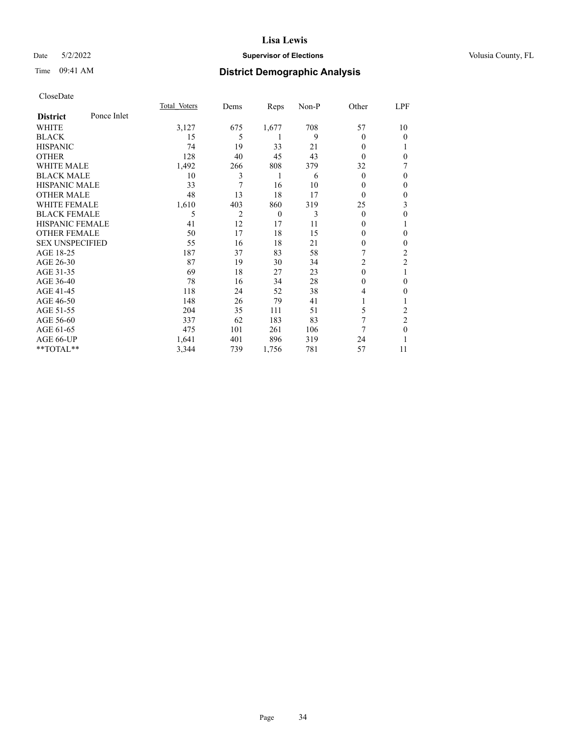## Date 5/2/2022 **Supervisor of Elections Supervisor of Elections** Volusia County, FL

# Time 09:41 AM **District Demographic Analysis**

|                        |             | Total Voters | Dems           | Reps     | Non-P | Other          | LPF            |
|------------------------|-------------|--------------|----------------|----------|-------|----------------|----------------|
| <b>District</b>        | Ponce Inlet |              |                |          |       |                |                |
| WHITE                  |             | 3,127        | 675            | 1,677    | 708   | 57             | 10             |
| <b>BLACK</b>           |             | 15           | 5              | 1        | 9     | $\Omega$       | 0              |
| <b>HISPANIC</b>        |             | 74           | 19             | 33       | 21    | 0              |                |
| <b>OTHER</b>           |             | 128          | 40             | 45       | 43    | $\theta$       | 0              |
| WHITE MALE             |             | 1,492        | 266            | 808      | 379   | 32             | 7              |
| <b>BLACK MALE</b>      |             | 10           | 3              | 1        | 6     | $\theta$       | 0              |
| <b>HISPANIC MALE</b>   |             | 33           | 7              | 16       | 10    | 0              | $\theta$       |
| <b>OTHER MALE</b>      |             | 48           | 13             | 18       | 17    | $\overline{0}$ | $\mathbf{0}$   |
| <b>WHITE FEMALE</b>    |             | 1,610        | 403            | 860      | 319   | 25             | 3              |
| <b>BLACK FEMALE</b>    |             | 5            | $\overline{2}$ | $\theta$ | 3     | $\theta$       | $\mathbf{0}$   |
| <b>HISPANIC FEMALE</b> |             | 41           | 12             | 17       | 11    | 0              | 1              |
| <b>OTHER FEMALE</b>    |             | 50           | 17             | 18       | 15    | 0              | 0              |
| <b>SEX UNSPECIFIED</b> |             | 55           | 16             | 18       | 21    | 0              | 0              |
| AGE 18-25              |             | 187          | 37             | 83       | 58    | 7              | $\overline{2}$ |
| AGE 26-30              |             | 87           | 19             | 30       | 34    | $\overline{2}$ | $\overline{2}$ |
| AGE 31-35              |             | 69           | 18             | 27       | 23    | $\mathbf{0}$   | 1              |
| AGE 36-40              |             | 78           | 16             | 34       | 28    | 0              | $\theta$       |
| AGE 41-45              |             | 118          | 24             | 52       | 38    | 4              | $\Omega$       |
| AGE 46-50              |             | 148          | 26             | 79       | 41    |                |                |
| AGE 51-55              |             | 204          | 35             | 111      | 51    | 5              | 2              |
| AGE 56-60              |             | 337          | 62             | 183      | 83    | 7              | $\overline{2}$ |
| AGE 61-65              |             | 475          | 101            | 261      | 106   | 7              | $\theta$       |
| AGE 66-UP              |             | 1,641        | 401            | 896      | 319   | 24             |                |
| **TOTAL**              |             | 3,344        | 739            | 1,756    | 781   | 57             | 11             |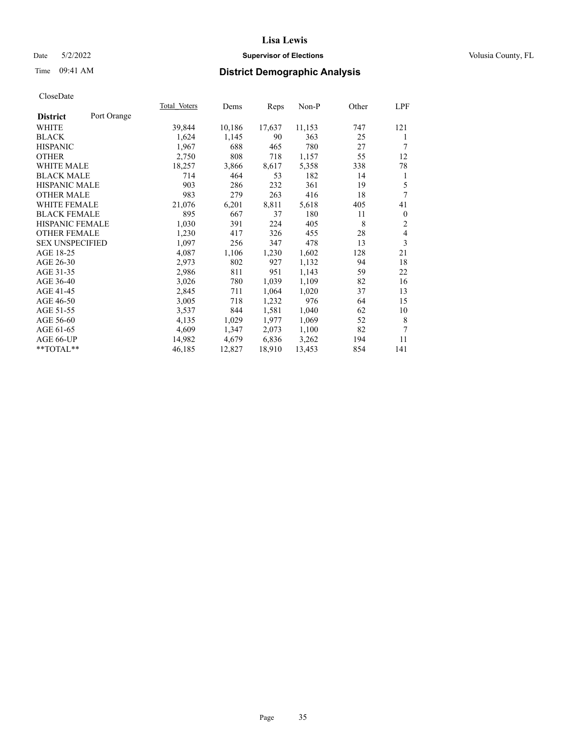## Date 5/2/2022 **Supervisor of Elections Supervisor of Elections** Volusia County, FL

# Time 09:41 AM **District Demographic Analysis**

|                        |             | Total Voters | Dems   | Reps   | Non-P  | Other | LPF              |
|------------------------|-------------|--------------|--------|--------|--------|-------|------------------|
| <b>District</b>        | Port Orange |              |        |        |        |       |                  |
| WHITE                  |             | 39,844       | 10,186 | 17,637 | 11,153 | 747   | 121              |
| <b>BLACK</b>           |             | 1,624        | 1,145  | 90     | 363    | 25    | 1                |
| <b>HISPANIC</b>        |             | 1,967        | 688    | 465    | 780    | 27    | 7                |
| <b>OTHER</b>           |             | 2,750        | 808    | 718    | 1,157  | 55    | 12               |
| <b>WHITE MALE</b>      |             | 18,257       | 3,866  | 8,617  | 5,358  | 338   | 78               |
| <b>BLACK MALE</b>      |             | 714          | 464    | 53     | 182    | 14    | 1                |
| <b>HISPANIC MALE</b>   |             | 903          | 286    | 232    | 361    | 19    | 5                |
| <b>OTHER MALE</b>      |             | 983          | 279    | 263    | 416    | 18    | 7                |
| <b>WHITE FEMALE</b>    |             | 21,076       | 6,201  | 8,811  | 5,618  | 405   | 41               |
| <b>BLACK FEMALE</b>    |             | 895          | 667    | 37     | 180    | 11    | $\boldsymbol{0}$ |
| <b>HISPANIC FEMALE</b> |             | 1,030        | 391    | 224    | 405    | 8     | $\overline{2}$   |
| <b>OTHER FEMALE</b>    |             | 1,230        | 417    | 326    | 455    | 28    | $\overline{4}$   |
| <b>SEX UNSPECIFIED</b> |             | 1,097        | 256    | 347    | 478    | 13    | 3                |
| AGE 18-25              |             | 4,087        | 1,106  | 1,230  | 1,602  | 128   | 21               |
| AGE 26-30              |             | 2,973        | 802    | 927    | 1,132  | 94    | 18               |
| AGE 31-35              |             | 2,986        | 811    | 951    | 1,143  | 59    | 22               |
| AGE 36-40              |             | 3,026        | 780    | 1,039  | 1,109  | 82    | 16               |
| AGE 41-45              |             | 2,845        | 711    | 1,064  | 1,020  | 37    | 13               |
| AGE 46-50              |             | 3,005        | 718    | 1,232  | 976    | 64    | 15               |
| AGE 51-55              |             | 3,537        | 844    | 1,581  | 1,040  | 62    | 10               |
| AGE 56-60              |             | 4,135        | 1,029  | 1,977  | 1,069  | 52    | $\,$ 8 $\,$      |
| AGE 61-65              |             | 4,609        | 1,347  | 2,073  | 1,100  | 82    | 7                |
| AGE 66-UP              |             | 14,982       | 4,679  | 6,836  | 3,262  | 194   | 11               |
| **TOTAL**              |             | 46,185       | 12,827 | 18,910 | 13,453 | 854   | 141              |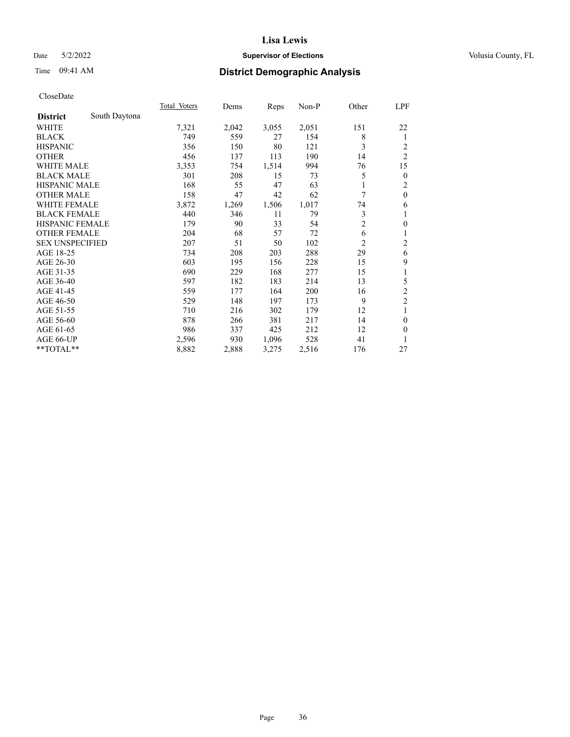## Date 5/2/2022 **Supervisor of Elections Supervisor of Elections** Volusia County, FL

# Time 09:41 AM **District Demographic Analysis**

|                        |               | Total Voters | Dems  | Reps  | $Non-P$ | Other          | LPF            |
|------------------------|---------------|--------------|-------|-------|---------|----------------|----------------|
| <b>District</b>        | South Daytona |              |       |       |         |                |                |
| WHITE                  |               | 7,321        | 2,042 | 3,055 | 2,051   | 151            | 22             |
| <b>BLACK</b>           |               | 749          | 559   | 27    | 154     | 8              | 1              |
| <b>HISPANIC</b>        |               | 356          | 150   | 80    | 121     | 3              | 2              |
| <b>OTHER</b>           |               | 456          | 137   | 113   | 190     | 14             | $\overline{c}$ |
| WHITE MALE             |               | 3,353        | 754   | 1,514 | 994     | 76             | 15             |
| <b>BLACK MALE</b>      |               | 301          | 208   | 15    | 73      | 5              | $\mathbf{0}$   |
| HISPANIC MALE          |               | 168          | 55    | 47    | 63      | 1              | $\overline{c}$ |
| <b>OTHER MALE</b>      |               | 158          | 47    | 42    | 62      | 7              | $\mathbf{0}$   |
| <b>WHITE FEMALE</b>    |               | 3,872        | 1,269 | 1,506 | 1,017   | 74             | 6              |
| <b>BLACK FEMALE</b>    |               | 440          | 346   | 11    | 79      | 3              | 1              |
| HISPANIC FEMALE        |               | 179          | 90    | 33    | 54      | $\overline{c}$ | $\theta$       |
| <b>OTHER FEMALE</b>    |               | 204          | 68    | 57    | 72      | 6              | 1              |
| <b>SEX UNSPECIFIED</b> |               | 207          | 51    | 50    | 102     | $\overline{c}$ | $\overline{c}$ |
| AGE 18-25              |               | 734          | 208   | 203   | 288     | 29             | 6              |
| AGE 26-30              |               | 603          | 195   | 156   | 228     | 15             | 9              |
| AGE 31-35              |               | 690          | 229   | 168   | 277     | 15             | 1              |
| AGE 36-40              |               | 597          | 182   | 183   | 214     | 13             | 5              |
| AGE 41-45              |               | 559          | 177   | 164   | 200     | 16             | $\overline{c}$ |
| AGE 46-50              |               | 529          | 148   | 197   | 173     | 9              | $\overline{2}$ |
| AGE 51-55              |               | 710          | 216   | 302   | 179     | 12             | 1              |
| AGE 56-60              |               | 878          | 266   | 381   | 217     | 14             | $\mathbf{0}$   |
| AGE 61-65              |               | 986          | 337   | 425   | 212     | 12             | $\theta$       |
| AGE 66-UP              |               | 2,596        | 930   | 1,096 | 528     | 41             | 1              |
| **TOTAL**              |               | 8,882        | 2,888 | 3,275 | 2,516   | 176            | 27             |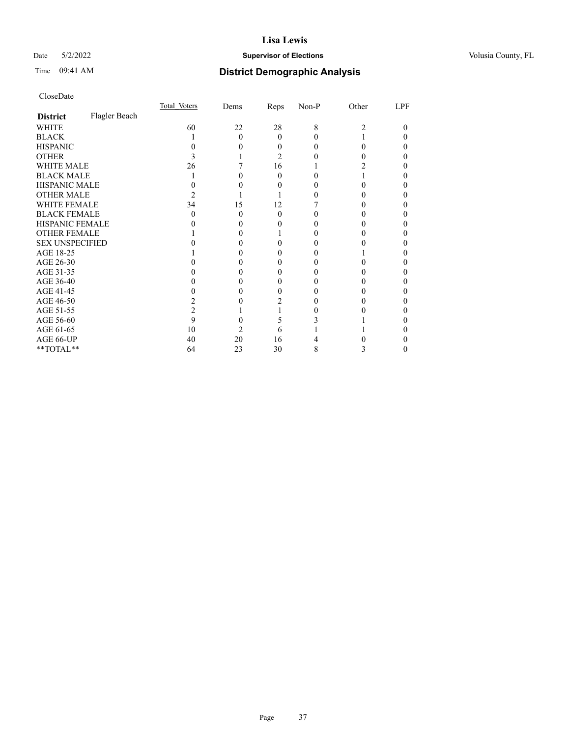# Date 5/2/2022 **Supervisor of Elections Supervisor of Elections** Volusia County, FL

# Time 09:41 AM **District Demographic Analysis**

|                        |               | Total Voters | Dems | Reps     | Non-P | Other | LPF |
|------------------------|---------------|--------------|------|----------|-------|-------|-----|
| <b>District</b>        | Flagler Beach |              |      |          |       |       |     |
| WHITE                  |               | 60           | 22   | 28       | 8     | 2     | 0   |
| <b>BLACK</b>           |               |              | 0    | $\theta$ |       |       |     |
| <b>HISPANIC</b>        |               |              |      | 0        |       | 0     |     |
| <b>OTHER</b>           |               |              |      | 2        |       |       |     |
| WHITE MALE             |               | 26           |      | 16       |       |       |     |
| <b>BLACK MALE</b>      |               |              |      | 0        |       |       |     |
| <b>HISPANIC MALE</b>   |               |              |      |          |       |       |     |
| <b>OTHER MALE</b>      |               |              |      |          |       |       |     |
| <b>WHITE FEMALE</b>    |               | 34           | 15   | 12       |       |       |     |
| <b>BLACK FEMALE</b>    |               | $\theta$     | 0    | $\theta$ |       |       |     |
| HISPANIC FEMALE        |               |              |      |          |       |       |     |
| <b>OTHER FEMALE</b>    |               |              |      |          |       |       |     |
| <b>SEX UNSPECIFIED</b> |               |              |      |          |       |       |     |
| AGE 18-25              |               |              |      |          |       |       |     |
| AGE 26-30              |               |              |      |          |       |       |     |
| AGE 31-35              |               |              |      |          |       |       |     |
| AGE 36-40              |               |              |      | 0        |       |       |     |
| AGE 41-45              |               |              |      |          |       |       |     |
| AGE 46-50              |               |              |      |          |       |       |     |
| AGE 51-55              |               |              |      |          |       |       |     |
| AGE 56-60              |               | 9            |      | ć        |       |       |     |
| AGE 61-65              |               | 10           | 2    | 6        |       |       |     |
| AGE 66-UP              |               | 40           | 20   | 16       |       |       |     |
| **TOTAL**              |               | 64           | 23   | 30       | 8     | 3     |     |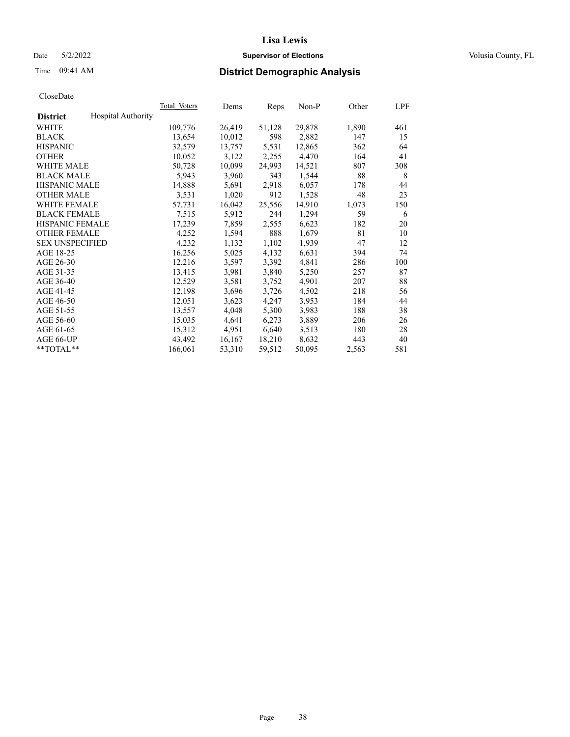# Date 5/2/2022 **Supervisor of Elections Supervisor of Elections** Volusia County, FL

# Time 09:41 AM **District Demographic Analysis**

|                        |                           | Total Voters | Dems   | Reps   | Non-P  | Other | LPF |
|------------------------|---------------------------|--------------|--------|--------|--------|-------|-----|
| <b>District</b>        | <b>Hospital Authority</b> |              |        |        |        |       |     |
| WHITE                  |                           | 109,776      | 26,419 | 51,128 | 29,878 | 1,890 | 461 |
| <b>BLACK</b>           |                           | 13,654       | 10,012 | 598    | 2,882  | 147   | 15  |
| <b>HISPANIC</b>        |                           | 32,579       | 13,757 | 5,531  | 12,865 | 362   | 64  |
| <b>OTHER</b>           |                           | 10,052       | 3,122  | 2,255  | 4,470  | 164   | 41  |
| WHITE MALE             |                           | 50,728       | 10,099 | 24,993 | 14,521 | 807   | 308 |
| <b>BLACK MALE</b>      |                           | 5,943        | 3,960  | 343    | 1,544  | 88    | 8   |
| <b>HISPANIC MALE</b>   |                           | 14,888       | 5,691  | 2,918  | 6,057  | 178   | 44  |
| <b>OTHER MALE</b>      |                           | 3,531        | 1,020  | 912    | 1,528  | 48    | 23  |
| <b>WHITE FEMALE</b>    |                           | 57,731       | 16,042 | 25,556 | 14,910 | 1,073 | 150 |
| <b>BLACK FEMALE</b>    |                           | 7,515        | 5,912  | 244    | 1,294  | 59    | 6   |
| <b>HISPANIC FEMALE</b> |                           | 17,239       | 7,859  | 2,555  | 6,623  | 182   | 20  |
| <b>OTHER FEMALE</b>    |                           | 4,252        | 1,594  | 888    | 1,679  | 81    | 10  |
| <b>SEX UNSPECIFIED</b> |                           | 4,232        | 1,132  | 1,102  | 1,939  | 47    | 12  |
| AGE 18-25              |                           | 16,256       | 5,025  | 4,132  | 6,631  | 394   | 74  |
| AGE 26-30              |                           | 12,216       | 3,597  | 3,392  | 4,841  | 286   | 100 |
| AGE 31-35              |                           | 13,415       | 3,981  | 3,840  | 5,250  | 257   | 87  |
| AGE 36-40              |                           | 12,529       | 3,581  | 3,752  | 4,901  | 207   | 88  |
| AGE 41-45              |                           | 12,198       | 3,696  | 3,726  | 4,502  | 218   | 56  |
| AGE 46-50              |                           | 12,051       | 3,623  | 4,247  | 3,953  | 184   | 44  |
| AGE 51-55              |                           | 13,557       | 4,048  | 5,300  | 3,983  | 188   | 38  |
| AGE 56-60              |                           | 15,035       | 4,641  | 6,273  | 3,889  | 206   | 26  |
| AGE 61-65              |                           | 15,312       | 4,951  | 6,640  | 3,513  | 180   | 28  |
| AGE 66-UP              |                           | 43,492       | 16,167 | 18,210 | 8,632  | 443   | 40  |
| $*$ TOTAL $*$          |                           | 166,061      | 53,310 | 59,512 | 50,095 | 2,563 | 581 |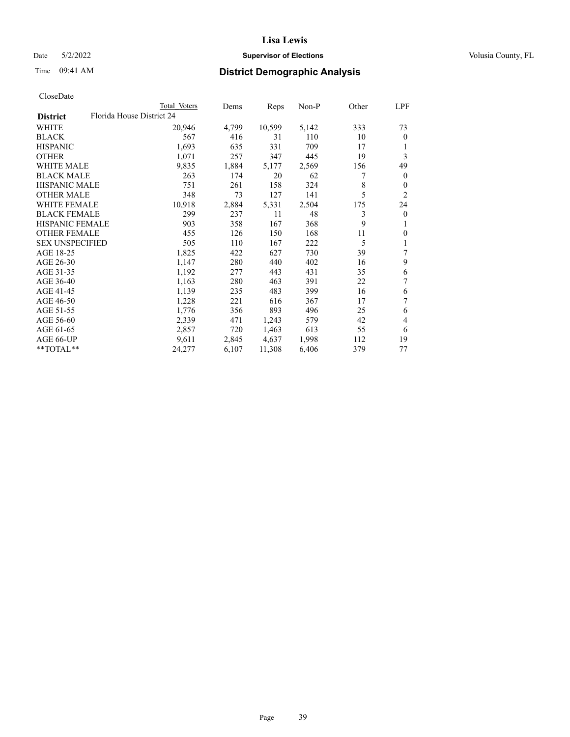# Date 5/2/2022 **Supervisor of Elections Supervisor of Elections** Volusia County, FL

| CloseDate |
|-----------|
|-----------|

|                        |                           | Total Voters | Dems  | Reps   | $Non-P$ | Other | LPF          |
|------------------------|---------------------------|--------------|-------|--------|---------|-------|--------------|
| <b>District</b>        | Florida House District 24 |              |       |        |         |       |              |
| WHITE                  |                           | 20,946       | 4,799 | 10,599 | 5,142   | 333   | 73           |
| <b>BLACK</b>           |                           | 567          | 416   | 31     | 110     | 10    | $\theta$     |
| <b>HISPANIC</b>        |                           | 1,693        | 635   | 331    | 709     | 17    | 1            |
| <b>OTHER</b>           |                           | 1,071        | 257   | 347    | 445     | 19    | 3            |
| <b>WHITE MALE</b>      |                           | 9,835        | 1,884 | 5,177  | 2,569   | 156   | 49           |
| <b>BLACK MALE</b>      |                           | 263          | 174   | 20     | 62      | 7     | $\mathbf{0}$ |
| <b>HISPANIC MALE</b>   |                           | 751          | 261   | 158    | 324     | 8     | $\theta$     |
| <b>OTHER MALE</b>      |                           | 348          | 73    | 127    | 141     | 5     | 2            |
| <b>WHITE FEMALE</b>    |                           | 10,918       | 2,884 | 5,331  | 2,504   | 175   | 24           |
| <b>BLACK FEMALE</b>    |                           | 299          | 237   | 11     | 48      | 3     | $\mathbf{0}$ |
| HISPANIC FEMALE        |                           | 903          | 358   | 167    | 368     | 9     | 1            |
| <b>OTHER FEMALE</b>    |                           | 455          | 126   | 150    | 168     | 11    | $\mathbf{0}$ |
| <b>SEX UNSPECIFIED</b> |                           | 505          | 110   | 167    | 222     | 5     | 1            |
| AGE 18-25              |                           | 1,825        | 422   | 627    | 730     | 39    | 7            |
| AGE 26-30              |                           | 1,147        | 280   | 440    | 402     | 16    | 9            |
| AGE 31-35              |                           | 1,192        | 277   | 443    | 431     | 35    | 6            |
| AGE 36-40              |                           | 1,163        | 280   | 463    | 391     | 22    | 7            |
| AGE 41-45              |                           | 1,139        | 235   | 483    | 399     | 16    | 6            |
| AGE 46-50              |                           | 1,228        | 221   | 616    | 367     | 17    | 7            |
| AGE 51-55              |                           | 1,776        | 356   | 893    | 496     | 25    | 6            |
| AGE 56-60              |                           | 2,339        | 471   | 1,243  | 579     | 42    | 4            |
| AGE 61-65              |                           | 2,857        | 720   | 1,463  | 613     | 55    | 6            |
| AGE 66-UP              |                           | 9,611        | 2,845 | 4,637  | 1,998   | 112   | 19           |
| **TOTAL**              |                           | 24,277       | 6,107 | 11,308 | 6,406   | 379   | 77           |
|                        |                           |              |       |        |         |       |              |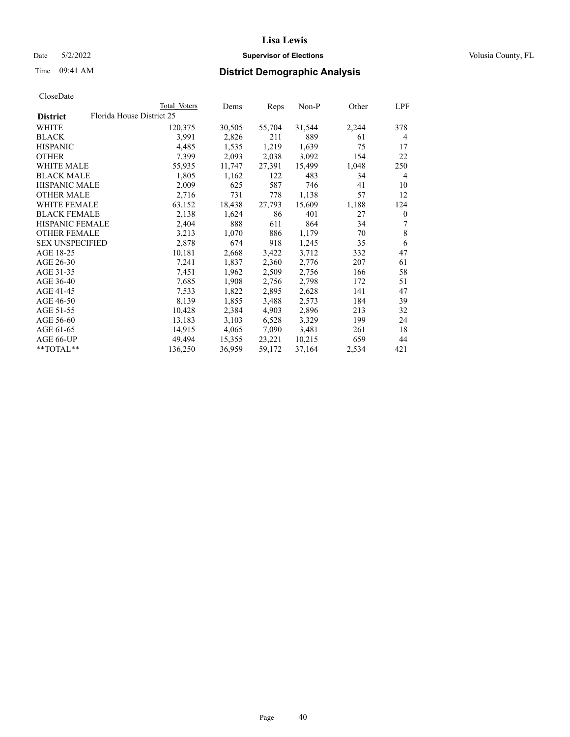# Date 5/2/2022 **Supervisor of Elections Supervisor of Elections** Volusia County, FL

| CloseDate |
|-----------|
|-----------|

|                        |                           | Total Voters | Dems   | Reps   | Non-P  | Other | LPF              |
|------------------------|---------------------------|--------------|--------|--------|--------|-------|------------------|
| <b>District</b>        | Florida House District 25 |              |        |        |        |       |                  |
| WHITE                  |                           | 120,375      | 30,505 | 55,704 | 31,544 | 2,244 | 378              |
| <b>BLACK</b>           |                           | 3,991        | 2,826  | 211    | 889    | 61    | 4                |
| <b>HISPANIC</b>        |                           | 4,485        | 1,535  | 1,219  | 1,639  | 75    | 17               |
| <b>OTHER</b>           |                           | 7,399        | 2,093  | 2,038  | 3,092  | 154   | 22               |
| <b>WHITE MALE</b>      |                           | 55,935       | 11,747 | 27,391 | 15,499 | 1,048 | 250              |
| <b>BLACK MALE</b>      |                           | 1,805        | 1,162  | 122    | 483    | 34    | 4                |
| <b>HISPANIC MALE</b>   |                           | 2,009        | 625    | 587    | 746    | 41    | 10               |
| <b>OTHER MALE</b>      |                           | 2,716        | 731    | 778    | 1,138  | 57    | 12               |
| <b>WHITE FEMALE</b>    |                           | 63,152       | 18,438 | 27,793 | 15,609 | 1,188 | 124              |
| <b>BLACK FEMALE</b>    |                           | 2,138        | 1,624  | 86     | 401    | 27    | $\boldsymbol{0}$ |
| <b>HISPANIC FEMALE</b> |                           | 2,404        | 888    | 611    | 864    | 34    | 7                |
| <b>OTHER FEMALE</b>    |                           | 3,213        | 1,070  | 886    | 1,179  | 70    | $\,$ 8 $\,$      |
| <b>SEX UNSPECIFIED</b> |                           | 2,878        | 674    | 918    | 1,245  | 35    | 6                |
| AGE 18-25              |                           | 10,181       | 2,668  | 3,422  | 3,712  | 332   | 47               |
| AGE 26-30              |                           | 7,241        | 1,837  | 2,360  | 2,776  | 207   | 61               |
| AGE 31-35              |                           | 7,451        | 1,962  | 2,509  | 2,756  | 166   | 58               |
| AGE 36-40              |                           | 7,685        | 1,908  | 2,756  | 2,798  | 172   | 51               |
| AGE 41-45              |                           | 7,533        | 1,822  | 2,895  | 2,628  | 141   | 47               |
| AGE 46-50              |                           | 8,139        | 1,855  | 3,488  | 2,573  | 184   | 39               |
| AGE 51-55              |                           | 10,428       | 2,384  | 4,903  | 2,896  | 213   | 32               |
| AGE 56-60              |                           | 13,183       | 3,103  | 6,528  | 3,329  | 199   | 24               |
| AGE 61-65              |                           | 14,915       | 4,065  | 7,090  | 3,481  | 261   | 18               |
| AGE 66-UP              |                           | 49,494       | 15,355 | 23,221 | 10,215 | 659   | 44               |
| **TOTAL**              |                           | 136,250      | 36,959 | 59,172 | 37,164 | 2,534 | 421              |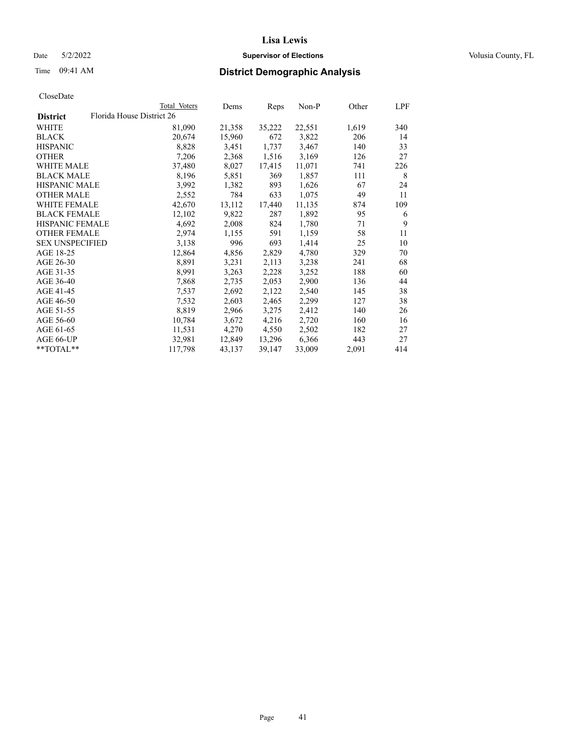Date 5/2/2022 **Supervisor of Elections Supervisor of Elections** Volusia County, FL

| CloseDate |
|-----------|
|-----------|

|                        |                           | Total Voters | Dems   | Reps   | Non-P  | Other | LPF |
|------------------------|---------------------------|--------------|--------|--------|--------|-------|-----|
| <b>District</b>        | Florida House District 26 |              |        |        |        |       |     |
| WHITE                  |                           | 81,090       | 21,358 | 35,222 | 22,551 | 1,619 | 340 |
| BLACK                  |                           | 20,674       | 15,960 | 672    | 3,822  | 206   | 14  |
| HISPANIC               |                           | 8,828        | 3,451  | 1,737  | 3,467  | 140   | 33  |
| OTHER                  |                           | 7,206        | 2,368  | 1,516  | 3,169  | 126   | 27  |
| WHITE MALE             |                           | 37,480       | 8,027  | 17,415 | 11,071 | 741   | 226 |
| BLACK MALE             |                           | 8,196        | 5,851  | 369    | 1,857  | 111   | 8   |
| HISPANIC MALE          |                           | 3,992        | 1,382  | 893    | 1,626  | 67    | 24  |
| OTHER MALE             |                           | 2,552        | 784    | 633    | 1,075  | 49    | 11  |
| WHITE FEMALE           |                           | 42,670       | 13,112 | 17,440 | 11,135 | 874   | 109 |
| BLACK FEMALE           |                           | 12,102       | 9,822  | 287    | 1,892  | 95    | 6   |
| HISPANIC FEMALE        |                           | 4,692        | 2,008  | 824    | 1,780  | 71    | 9   |
| OTHER FEMALE           |                           | 2,974        | 1,155  | 591    | 1,159  | 58    | 11  |
| <b>SEX UNSPECIFIED</b> |                           | 3,138        | 996    | 693    | 1,414  | 25    | 10  |
| AGE 18-25              |                           | 12,864       | 4,856  | 2,829  | 4,780  | 329   | 70  |
| AGE 26-30              |                           | 8,891        | 3,231  | 2,113  | 3,238  | 241   | 68  |
| AGE 31-35              |                           | 8,991        | 3,263  | 2,228  | 3,252  | 188   | 60  |
| AGE 36-40              |                           | 7,868        | 2,735  | 2,053  | 2,900  | 136   | 44  |
| AGE 41-45              |                           | 7,537        | 2,692  | 2,122  | 2,540  | 145   | 38  |
| AGE 46-50              |                           | 7,532        | 2,603  | 2,465  | 2,299  | 127   | 38  |
| AGE 51-55              |                           | 8,819        | 2,966  | 3,275  | 2,412  | 140   | 26  |
| AGE 56-60              |                           | 10,784       | 3,672  | 4,216  | 2,720  | 160   | 16  |
| AGE 61-65              |                           | 11,531       | 4,270  | 4,550  | 2,502  | 182   | 27  |
| AGE 66-UP              |                           | 32,981       | 12,849 | 13,296 | 6,366  | 443   | 27  |
| $*$ $*$ TOTAL $*$ $*$  |                           | 117,798      | 43,137 | 39,147 | 33,009 | 2,091 | 414 |
|                        |                           |              |        |        |        |       |     |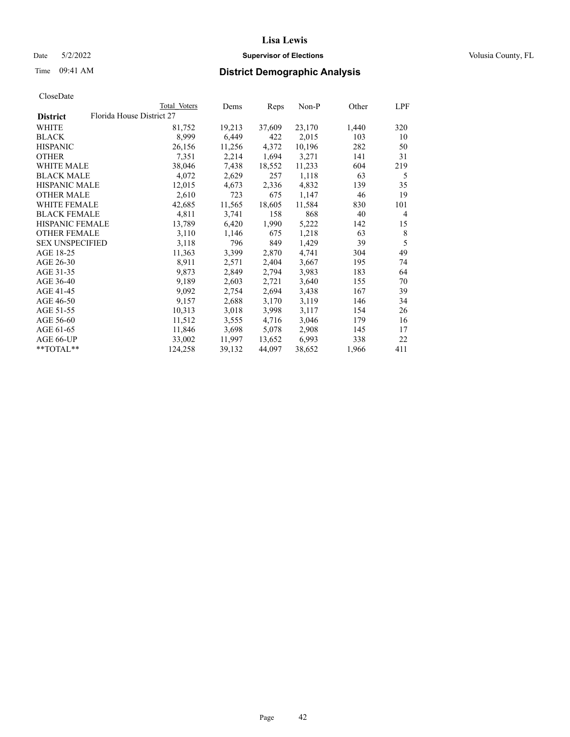Date 5/2/2022 **Supervisor of Elections Supervisor of Elections** Volusia County, FL

| CloseDate |
|-----------|
|-----------|

|                        |                           | Total Voters | Dems   | Reps   | Non-P  | Other | LPF |
|------------------------|---------------------------|--------------|--------|--------|--------|-------|-----|
| <b>District</b>        | Florida House District 27 |              |        |        |        |       |     |
| WHITE                  |                           | 81,752       | 19,213 | 37,609 | 23,170 | 1,440 | 320 |
| <b>BLACK</b>           |                           | 8,999        | 6,449  | 422    | 2,015  | 103   | 10  |
| <b>HISPANIC</b>        |                           | 26,156       | 11,256 | 4,372  | 10,196 | 282   | 50  |
| <b>OTHER</b>           |                           | 7,351        | 2,214  | 1,694  | 3,271  | 141   | 31  |
| <b>WHITE MALE</b>      |                           | 38,046       | 7,438  | 18,552 | 11,233 | 604   | 219 |
| <b>BLACK MALE</b>      |                           | 4,072        | 2,629  | 257    | 1,118  | 63    | 5   |
| <b>HISPANIC MALE</b>   |                           | 12,015       | 4,673  | 2,336  | 4,832  | 139   | 35  |
| <b>OTHER MALE</b>      |                           | 2,610        | 723    | 675    | 1,147  | 46    | 19  |
| <b>WHITE FEMALE</b>    |                           | 42,685       | 11,565 | 18,605 | 11,584 | 830   | 101 |
| <b>BLACK FEMALE</b>    |                           | 4,811        | 3,741  | 158    | 868    | 40    | 4   |
| HISPANIC FEMALE        |                           | 13,789       | 6,420  | 1,990  | 5,222  | 142   | 15  |
| <b>OTHER FEMALE</b>    |                           | 3,110        | 1,146  | 675    | 1,218  | 63    | 8   |
| <b>SEX UNSPECIFIED</b> |                           | 3,118        | 796    | 849    | 1,429  | 39    | 5   |
| AGE 18-25              |                           | 11,363       | 3,399  | 2,870  | 4,741  | 304   | 49  |
| AGE 26-30              |                           | 8,911        | 2,571  | 2,404  | 3,667  | 195   | 74  |
| AGE 31-35              |                           | 9,873        | 2,849  | 2,794  | 3,983  | 183   | 64  |
| AGE 36-40              |                           | 9,189        | 2,603  | 2,721  | 3,640  | 155   | 70  |
| AGE 41-45              |                           | 9,092        | 2,754  | 2,694  | 3,438  | 167   | 39  |
| AGE 46-50              |                           | 9,157        | 2,688  | 3,170  | 3,119  | 146   | 34  |
| AGE 51-55              |                           | 10,313       | 3,018  | 3,998  | 3,117  | 154   | 26  |
| AGE 56-60              |                           | 11,512       | 3,555  | 4,716  | 3,046  | 179   | 16  |
| AGE 61-65              |                           | 11,846       | 3,698  | 5,078  | 2,908  | 145   | 17  |
| AGE 66-UP              |                           | 33,002       | 11,997 | 13,652 | 6,993  | 338   | 22  |
| **TOTAL**              |                           | 124,258      | 39,132 | 44,097 | 38,652 | 1,966 | 411 |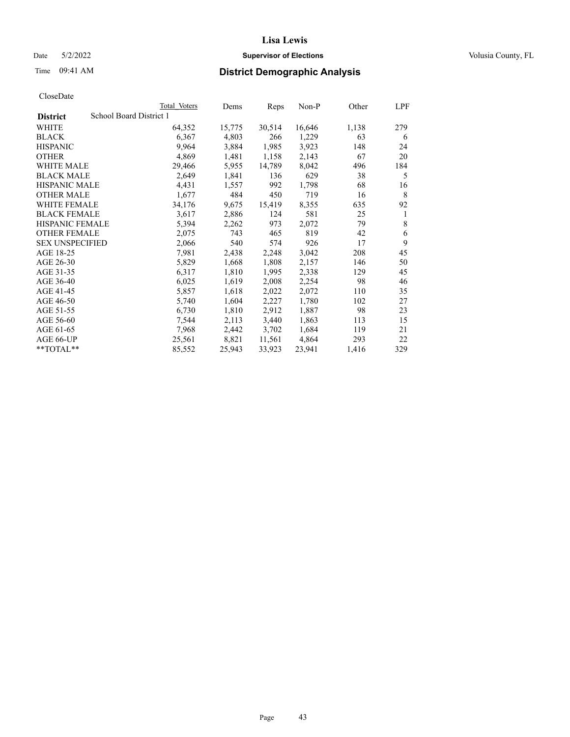# Date 5/2/2022 **Supervisor of Elections Supervisor of Elections** Volusia County, FL

# Time 09:41 AM **District Demographic Analysis**

|                        | Total Voters            | Dems   | Reps   | Non-P  | Other | LPF |
|------------------------|-------------------------|--------|--------|--------|-------|-----|
| <b>District</b>        | School Board District 1 |        |        |        |       |     |
| WHITE                  | 64,352                  | 15,775 | 30,514 | 16,646 | 1,138 | 279 |
| <b>BLACK</b>           | 6,367                   | 4,803  | 266    | 1,229  | 63    | 6   |
| <b>HISPANIC</b>        | 9,964                   | 3,884  | 1,985  | 3,923  | 148   | 24  |
| <b>OTHER</b>           | 4,869                   | 1,481  | 1,158  | 2,143  | 67    | 20  |
| WHITE MALE             | 29,466                  | 5,955  | 14,789 | 8,042  | 496   | 184 |
| <b>BLACK MALE</b>      | 2,649                   | 1,841  | 136    | 629    | 38    | 5   |
| <b>HISPANIC MALE</b>   | 4,431                   | 1,557  | 992    | 1,798  | 68    | 16  |
| <b>OTHER MALE</b>      | 1,677                   | 484    | 450    | 719    | 16    | 8   |
| WHITE FEMALE           | 34,176                  | 9,675  | 15,419 | 8,355  | 635   | 92  |
| <b>BLACK FEMALE</b>    | 3,617                   | 2,886  | 124    | 581    | 25    | 1   |
| <b>HISPANIC FEMALE</b> | 5,394                   | 2,262  | 973    | 2,072  | 79    | 8   |
| <b>OTHER FEMALE</b>    | 2,075                   | 743    | 465    | 819    | 42    | 6   |
| <b>SEX UNSPECIFIED</b> | 2,066                   | 540    | 574    | 926    | 17    | 9   |
| AGE 18-25              | 7,981                   | 2,438  | 2,248  | 3,042  | 208   | 45  |
| AGE 26-30              | 5,829                   | 1,668  | 1,808  | 2,157  | 146   | 50  |
| AGE 31-35              | 6,317                   | 1,810  | 1,995  | 2,338  | 129   | 45  |
| AGE 36-40              | 6,025                   | 1,619  | 2,008  | 2,254  | 98    | 46  |
| AGE 41-45              | 5,857                   | 1,618  | 2,022  | 2,072  | 110   | 35  |
| AGE 46-50              | 5,740                   | 1,604  | 2,227  | 1,780  | 102   | 27  |
| AGE 51-55              | 6,730                   | 1,810  | 2,912  | 1,887  | 98    | 23  |
| AGE 56-60              | 7,544                   | 2,113  | 3,440  | 1,863  | 113   | 15  |
| AGE 61-65              | 7,968                   | 2,442  | 3,702  | 1,684  | 119   | 21  |
| AGE 66-UP              | 25,561                  | 8,821  | 11,561 | 4,864  | 293   | 22  |
| **TOTAL**              | 85,552                  | 25,943 | 33,923 | 23,941 | 1,416 | 329 |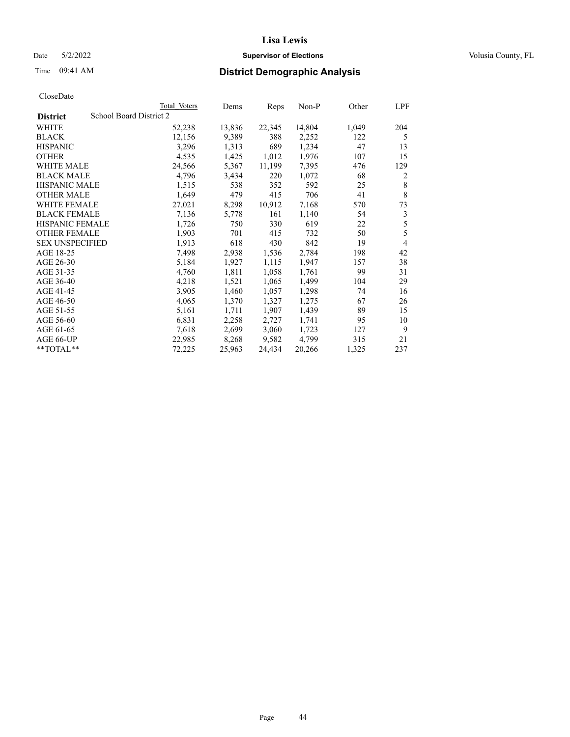# Date 5/2/2022 **Supervisor of Elections Supervisor of Elections** Volusia County, FL

# Time 09:41 AM **District Demographic Analysis**

|                        |                         | Total Voters | Dems   | Reps   | Non-P  | Other | LPF |
|------------------------|-------------------------|--------------|--------|--------|--------|-------|-----|
| <b>District</b>        | School Board District 2 |              |        |        |        |       |     |
| WHITE                  |                         | 52,238       | 13,836 | 22,345 | 14,804 | 1,049 | 204 |
| <b>BLACK</b>           |                         | 12,156       | 9,389  | 388    | 2,252  | 122   | 5   |
| <b>HISPANIC</b>        |                         | 3,296        | 1,313  | 689    | 1,234  | 47    | 13  |
| <b>OTHER</b>           |                         | 4,535        | 1,425  | 1,012  | 1,976  | 107   | 15  |
| WHITE MALE             |                         | 24,566       | 5,367  | 11,199 | 7,395  | 476   | 129 |
| <b>BLACK MALE</b>      |                         | 4,796        | 3,434  | 220    | 1,072  | 68    | 2   |
| <b>HISPANIC MALE</b>   |                         | 1,515        | 538    | 352    | 592    | 25    | 8   |
| <b>OTHER MALE</b>      |                         | 1,649        | 479    | 415    | 706    | 41    | 8   |
| <b>WHITE FEMALE</b>    |                         | 27,021       | 8,298  | 10,912 | 7,168  | 570   | 73  |
| <b>BLACK FEMALE</b>    |                         | 7,136        | 5,778  | 161    | 1,140  | 54    | 3   |
| <b>HISPANIC FEMALE</b> |                         | 1,726        | 750    | 330    | 619    | 22    | 5   |
| <b>OTHER FEMALE</b>    |                         | 1,903        | 701    | 415    | 732    | 50    | 5   |
| <b>SEX UNSPECIFIED</b> |                         | 1,913        | 618    | 430    | 842    | 19    | 4   |
| AGE 18-25              |                         | 7,498        | 2,938  | 1,536  | 2,784  | 198   | 42  |
| AGE 26-30              |                         | 5,184        | 1,927  | 1,115  | 1,947  | 157   | 38  |
| AGE 31-35              |                         | 4,760        | 1,811  | 1,058  | 1,761  | 99    | 31  |
| AGE 36-40              |                         | 4,218        | 1,521  | 1,065  | 1,499  | 104   | 29  |
| AGE 41-45              |                         | 3,905        | 1,460  | 1,057  | 1,298  | 74    | 16  |
| AGE 46-50              |                         | 4,065        | 1,370  | 1,327  | 1,275  | 67    | 26  |
| AGE 51-55              |                         | 5,161        | 1,711  | 1,907  | 1,439  | 89    | 15  |
| AGE 56-60              |                         | 6,831        | 2,258  | 2,727  | 1,741  | 95    | 10  |
| AGE 61-65              |                         | 7,618        | 2,699  | 3,060  | 1,723  | 127   | 9   |
| AGE 66-UP              |                         | 22,985       | 8,268  | 9,582  | 4.799  | 315   | 21  |
| **TOTAL**              |                         | 72,225       | 25,963 | 24,434 | 20,266 | 1,325 | 237 |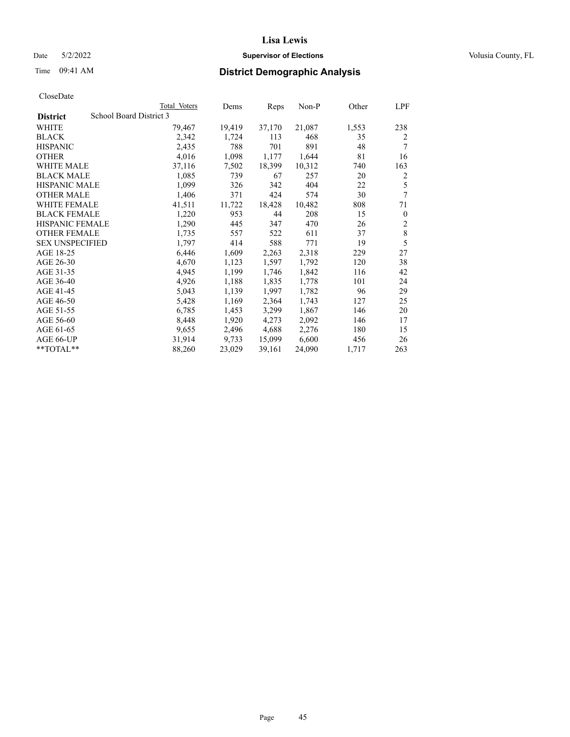# Date 5/2/2022 **Supervisor of Elections Supervisor of Elections** Volusia County, FL

| CloseDate |
|-----------|
|-----------|

|                        | Total Voters            | Dems   | Reps   | $Non-P$ | Other | LPF              |
|------------------------|-------------------------|--------|--------|---------|-------|------------------|
| <b>District</b>        | School Board District 3 |        |        |         |       |                  |
| WHITE                  | 79,467                  | 19,419 | 37,170 | 21,087  | 1,553 | 238              |
| <b>BLACK</b>           | 2,342                   | 1,724  | 113    | 468     | 35    | 2                |
| <b>HISPANIC</b>        | 2,435                   | 788    | 701    | 891     | 48    | 7                |
| <b>OTHER</b>           | 4,016                   | 1,098  | 1,177  | 1,644   | 81    | 16               |
| <b>WHITE MALE</b>      | 37,116                  | 7,502  | 18,399 | 10,312  | 740   | 163              |
| <b>BLACK MALE</b>      | 1,085                   | 739    | 67     | 257     | 20    | $\overline{c}$   |
| <b>HISPANIC MALE</b>   | 1,099                   | 326    | 342    | 404     | 22    | 5                |
| <b>OTHER MALE</b>      | 1,406                   | 371    | 424    | 574     | 30    | 7                |
| <b>WHITE FEMALE</b>    | 41,511                  | 11,722 | 18,428 | 10,482  | 808   | 71               |
| <b>BLACK FEMALE</b>    | 1,220                   | 953    | 44     | 208     | 15    | $\boldsymbol{0}$ |
| <b>HISPANIC FEMALE</b> | 1,290                   | 445    | 347    | 470     | 26    | 2                |
| <b>OTHER FEMALE</b>    | 1,735                   | 557    | 522    | 611     | 37    | $\,8\,$          |
| <b>SEX UNSPECIFIED</b> | 1,797                   | 414    | 588    | 771     | 19    | 5                |
| AGE 18-25              | 6,446                   | 1,609  | 2,263  | 2,318   | 229   | 27               |
| AGE 26-30              | 4,670                   | 1,123  | 1,597  | 1,792   | 120   | 38               |
| AGE 31-35              | 4,945                   | 1,199  | 1,746  | 1,842   | 116   | 42               |
| AGE 36-40              | 4,926                   | 1,188  | 1,835  | 1,778   | 101   | 24               |
| AGE 41-45              | 5,043                   | 1,139  | 1,997  | 1,782   | 96    | 29               |
| AGE 46-50              | 5,428                   | 1,169  | 2,364  | 1,743   | 127   | 25               |
| AGE 51-55              | 6,785                   | 1,453  | 3,299  | 1,867   | 146   | 20               |
| AGE 56-60              | 8,448                   | 1,920  | 4,273  | 2,092   | 146   | 17               |
| AGE 61-65              | 9,655                   | 2,496  | 4,688  | 2,276   | 180   | 15               |
| AGE 66-UP              | 31,914                  | 9,733  | 15,099 | 6,600   | 456   | 26               |
| **TOTAL**              | 88,260                  | 23,029 | 39,161 | 24,090  | 1,717 | 263              |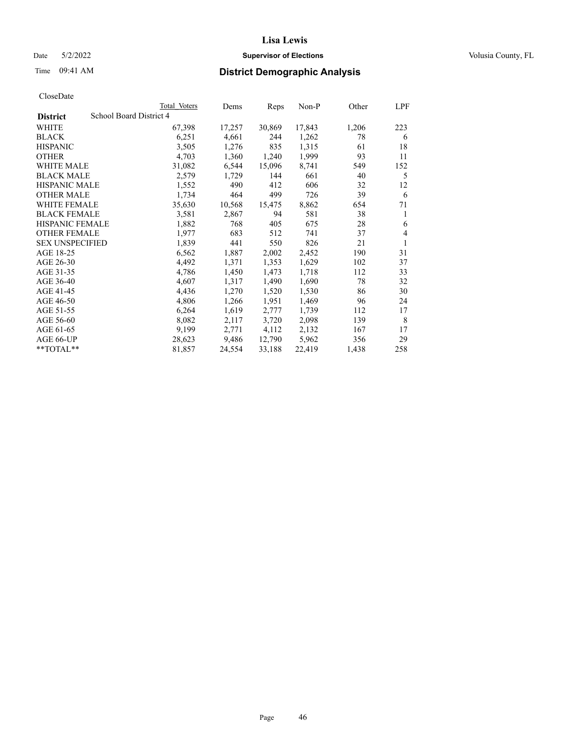# Date 5/2/2022 **Supervisor of Elections Supervisor of Elections** Volusia County, FL

# Time 09:41 AM **District Demographic Analysis**

|                        | Total Voters            | Dems   | Reps   | Non-P  | Other | LPF |
|------------------------|-------------------------|--------|--------|--------|-------|-----|
| <b>District</b>        | School Board District 4 |        |        |        |       |     |
| WHITE                  | 67,398                  | 17,257 | 30,869 | 17,843 | 1,206 | 223 |
| <b>BLACK</b>           | 6,251                   | 4,661  | 244    | 1,262  | 78    | 6   |
| <b>HISPANIC</b>        | 3,505                   | 1,276  | 835    | 1,315  | 61    | 18  |
| <b>OTHER</b>           | 4,703                   | 1,360  | 1,240  | 1,999  | 93    | 11  |
| WHITE MALE             | 31,082                  | 6,544  | 15,096 | 8,741  | 549   | 152 |
| <b>BLACK MALE</b>      | 2,579                   | 1,729  | 144    | 661    | 40    | 5   |
| <b>HISPANIC MALE</b>   | 1,552                   | 490    | 412    | 606    | 32    | 12  |
| <b>OTHER MALE</b>      | 1,734                   | 464    | 499    | 726    | 39    | 6   |
| WHITE FEMALE           | 35,630                  | 10,568 | 15,475 | 8,862  | 654   | 71  |
| <b>BLACK FEMALE</b>    | 3,581                   | 2,867  | 94     | 581    | 38    | 1   |
| <b>HISPANIC FEMALE</b> | 1,882                   | 768    | 405    | 675    | 28    | 6   |
| <b>OTHER FEMALE</b>    | 1,977                   | 683    | 512    | 741    | 37    | 4   |
| <b>SEX UNSPECIFIED</b> | 1,839                   | 441    | 550    | 826    | 21    | 1   |
| AGE 18-25              | 6,562                   | 1,887  | 2,002  | 2,452  | 190   | 31  |
| AGE 26-30              | 4,492                   | 1,371  | 1,353  | 1,629  | 102   | 37  |
| AGE 31-35              | 4,786                   | 1,450  | 1,473  | 1,718  | 112   | 33  |
| AGE 36-40              | 4,607                   | 1,317  | 1,490  | 1,690  | 78    | 32  |
| AGE 41-45              | 4,436                   | 1,270  | 1,520  | 1,530  | 86    | 30  |
| AGE 46-50              | 4,806                   | 1,266  | 1,951  | 1,469  | 96    | 24  |
| AGE 51-55              | 6,264                   | 1,619  | 2,777  | 1,739  | 112   | 17  |
| AGE 56-60              | 8,082                   | 2,117  | 3,720  | 2,098  | 139   | 8   |
| AGE 61-65              | 9,199                   | 2,771  | 4,112  | 2,132  | 167   | 17  |
| AGE 66-UP              | 28,623                  | 9,486  | 12,790 | 5,962  | 356   | 29  |
| **TOTAL**              | 81,857                  | 24,554 | 33,188 | 22,419 | 1,438 | 258 |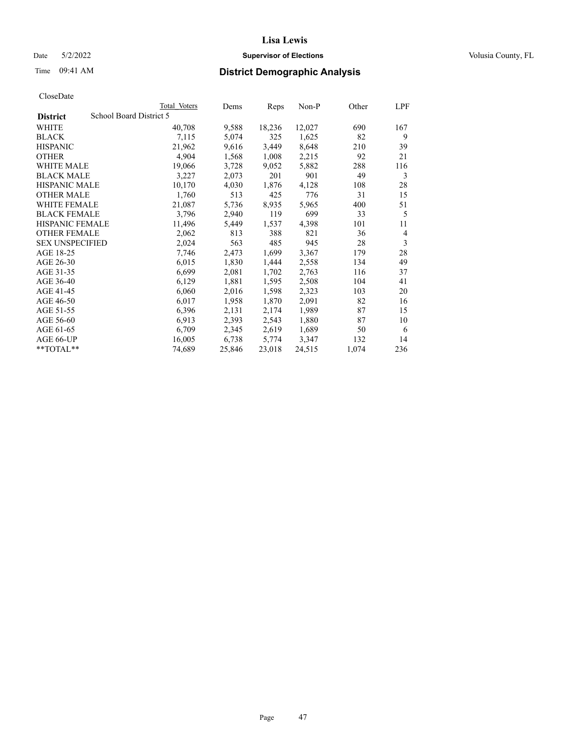# Date 5/2/2022 **Supervisor of Elections Supervisor of Elections** Volusia County, FL

# Time 09:41 AM **District Demographic Analysis**

|                        | Total Voters            | Dems   | Reps   | Non-P  | Other | LPF            |
|------------------------|-------------------------|--------|--------|--------|-------|----------------|
| <b>District</b>        | School Board District 5 |        |        |        |       |                |
| WHITE                  | 40,708                  | 9,588  | 18,236 | 12,027 | 690   | 167            |
| <b>BLACK</b>           | 7,115                   | 5,074  | 325    | 1,625  | 82    | 9              |
| <b>HISPANIC</b>        | 21,962                  | 9,616  | 3,449  | 8,648  | 210   | 39             |
| <b>OTHER</b>           | 4,904                   | 1,568  | 1,008  | 2,215  | 92    | 21             |
| WHITE MALE             | 19,066                  | 3,728  | 9,052  | 5,882  | 288   | 116            |
| <b>BLACK MALE</b>      | 3,227                   | 2,073  | 201    | 901    | 49    | 3              |
| <b>HISPANIC MALE</b>   | 10,170                  | 4,030  | 1,876  | 4,128  | 108   | 28             |
| <b>OTHER MALE</b>      | 1,760                   | 513    | 425    | 776    | 31    | 15             |
| WHITE FEMALE           | 21,087                  | 5,736  | 8,935  | 5,965  | 400   | 51             |
| <b>BLACK FEMALE</b>    | 3,796                   | 2,940  | 119    | 699    | 33    | 5              |
| <b>HISPANIC FEMALE</b> | 11,496                  | 5,449  | 1,537  | 4,398  | 101   | 11             |
| <b>OTHER FEMALE</b>    | 2,062                   | 813    | 388    | 821    | 36    | $\overline{4}$ |
| <b>SEX UNSPECIFIED</b> | 2,024                   | 563    | 485    | 945    | 28    | 3              |
| AGE 18-25              | 7,746                   | 2,473  | 1,699  | 3,367  | 179   | 28             |
| AGE 26-30              | 6,015                   | 1,830  | 1,444  | 2,558  | 134   | 49             |
| AGE 31-35              | 6,699                   | 2,081  | 1,702  | 2,763  | 116   | 37             |
| AGE 36-40              | 6,129                   | 1,881  | 1,595  | 2,508  | 104   | 41             |
| AGE 41-45              | 6,060                   | 2,016  | 1,598  | 2,323  | 103   | 20             |
| AGE 46-50              | 6,017                   | 1,958  | 1,870  | 2,091  | 82    | 16             |
| AGE 51-55              | 6,396                   | 2,131  | 2,174  | 1,989  | 87    | 15             |
| AGE 56-60              | 6,913                   | 2,393  | 2,543  | 1,880  | 87    | 10             |
| AGE 61-65              | 6,709                   | 2,345  | 2,619  | 1,689  | 50    | 6              |
| AGE 66-UP              | 16,005                  | 6,738  | 5,774  | 3,347  | 132   | 14             |
| $*$ $TOTAL**$          | 74,689                  | 25,846 | 23,018 | 24,515 | 1,074 | 236            |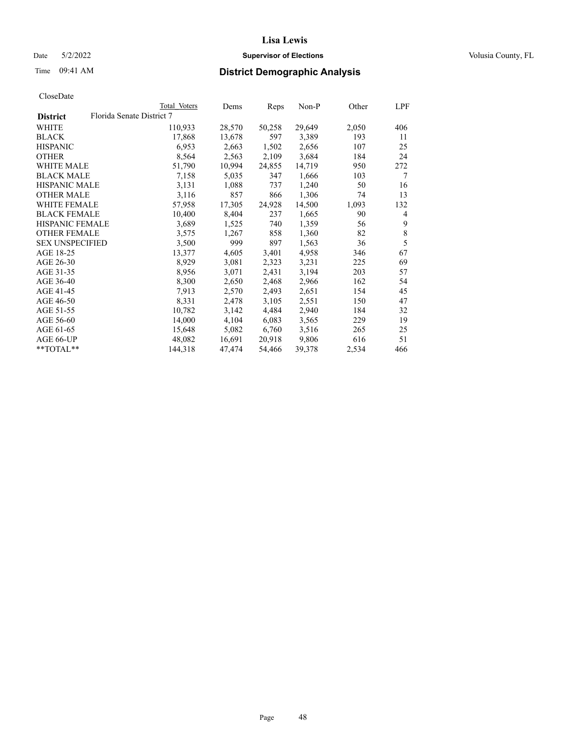# Date 5/2/2022 **Supervisor of Elections Supervisor of Elections** Volusia County, FL

| CloseDate |
|-----------|
|-----------|

|                        |                           | Total Voters | Dems   | Reps   | Non-P  | Other | LPF            |
|------------------------|---------------------------|--------------|--------|--------|--------|-------|----------------|
| <b>District</b>        | Florida Senate District 7 |              |        |        |        |       |                |
| WHITE                  |                           | 110,933      | 28,570 | 50,258 | 29,649 | 2,050 | 406            |
| <b>BLACK</b>           |                           | 17,868       | 13,678 | 597    | 3,389  | 193   | 11             |
| <b>HISPANIC</b>        |                           | 6,953        | 2,663  | 1,502  | 2,656  | 107   | 25             |
| <b>OTHER</b>           |                           | 8,564        | 2,563  | 2,109  | 3,684  | 184   | 24             |
| WHITE MALE             |                           | 51,790       | 10,994 | 24,855 | 14,719 | 950   | 272            |
| <b>BLACK MALE</b>      |                           | 7,158        | 5,035  | 347    | 1,666  | 103   | 7              |
| <b>HISPANIC MALE</b>   |                           | 3,131        | 1,088  | 737    | 1,240  | 50    | 16             |
| <b>OTHER MALE</b>      |                           | 3,116        | 857    | 866    | 1,306  | 74    | 13             |
| <b>WHITE FEMALE</b>    |                           | 57,958       | 17,305 | 24,928 | 14,500 | 1,093 | 132            |
| <b>BLACK FEMALE</b>    |                           | 10,400       | 8,404  | 237    | 1,665  | 90    | $\overline{4}$ |
| <b>HISPANIC FEMALE</b> |                           | 3,689        | 1,525  | 740    | 1,359  | 56    | 9              |
| <b>OTHER FEMALE</b>    |                           | 3,575        | 1,267  | 858    | 1,360  | 82    | 8              |
| <b>SEX UNSPECIFIED</b> |                           | 3,500        | 999    | 897    | 1,563  | 36    | 5              |
| AGE 18-25              |                           | 13,377       | 4,605  | 3,401  | 4,958  | 346   | 67             |
| AGE 26-30              |                           | 8,929        | 3,081  | 2,323  | 3,231  | 225   | 69             |
| AGE 31-35              |                           | 8,956        | 3,071  | 2,431  | 3,194  | 203   | 57             |
| AGE 36-40              |                           | 8,300        | 2,650  | 2,468  | 2,966  | 162   | 54             |
| AGE 41-45              |                           | 7,913        | 2,570  | 2,493  | 2,651  | 154   | 45             |
| AGE 46-50              |                           | 8,331        | 2,478  | 3,105  | 2,551  | 150   | 47             |
| AGE 51-55              |                           | 10,782       | 3,142  | 4,484  | 2,940  | 184   | 32             |
| AGE 56-60              |                           | 14,000       | 4,104  | 6,083  | 3,565  | 229   | 19             |
| AGE 61-65              |                           | 15,648       | 5,082  | 6,760  | 3,516  | 265   | 25             |
| AGE 66-UP              |                           | 48,082       | 16,691 | 20,918 | 9,806  | 616   | 51             |
| $*$ TOTAL $*$          |                           | 144,318      | 47,474 | 54,466 | 39,378 | 2,534 | 466            |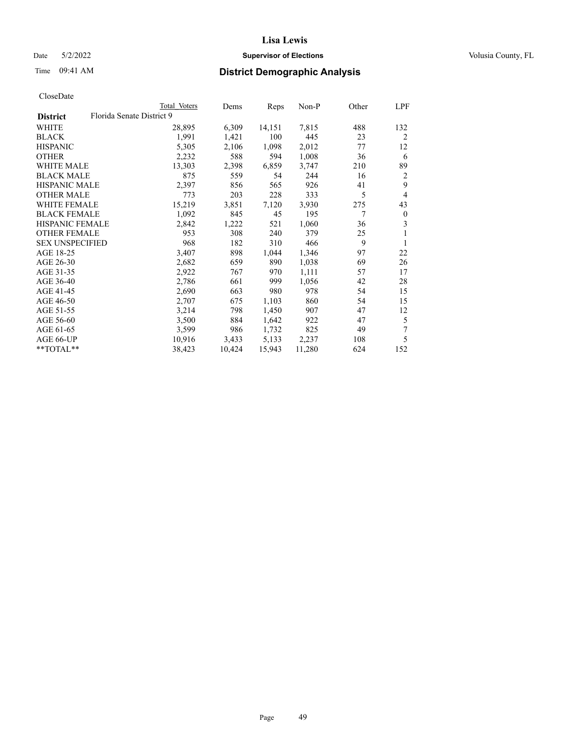# Date 5/2/2022 **Supervisor of Elections Supervisor of Elections** Volusia County, FL

# Time 09:41 AM **District Demographic Analysis**

|                        | Total Voters              | Dems   | Reps   | Non-P  | Other | LPF            |
|------------------------|---------------------------|--------|--------|--------|-------|----------------|
| <b>District</b>        | Florida Senate District 9 |        |        |        |       |                |
| WHITE                  | 28,895                    | 6,309  | 14,151 | 7,815  | 488   | 132            |
| <b>BLACK</b>           | 1,991                     | 1,421  | 100    | 445    | 23    | 2              |
| <b>HISPANIC</b>        | 5,305                     | 2,106  | 1,098  | 2,012  | 77    | 12             |
| <b>OTHER</b>           | 2,232                     | 588    | 594    | 1,008  | 36    | 6              |
| WHITE MALE             | 13,303                    | 2,398  | 6,859  | 3,747  | 210   | 89             |
| <b>BLACK MALE</b>      | 875                       | 559    | 54     | 244    | 16    | 2              |
| <b>HISPANIC MALE</b>   | 2,397                     | 856    | 565    | 926    | 41    | 9              |
| <b>OTHER MALE</b>      | 773                       | 203    | 228    | 333    | 5     | $\overline{4}$ |
| WHITE FEMALE           | 15,219                    | 3,851  | 7,120  | 3,930  | 275   | 43             |
| <b>BLACK FEMALE</b>    | 1,092                     | 845    | 45     | 195    | 7     | $\mathbf{0}$   |
| <b>HISPANIC FEMALE</b> | 2,842                     | 1,222  | 521    | 1,060  | 36    | 3              |
| <b>OTHER FEMALE</b>    | 953                       | 308    | 240    | 379    | 25    | 1              |
| <b>SEX UNSPECIFIED</b> | 968                       | 182    | 310    | 466    | 9     | 1              |
| AGE 18-25              | 3,407                     | 898    | 1,044  | 1,346  | 97    | 22             |
| AGE 26-30              | 2,682                     | 659    | 890    | 1,038  | 69    | 26             |
| AGE 31-35              | 2,922                     | 767    | 970    | 1,111  | 57    | 17             |
| AGE 36-40              | 2,786                     | 661    | 999    | 1,056  | 42    | 28             |
| AGE 41-45              | 2,690                     | 663    | 980    | 978    | 54    | 15             |
| AGE 46-50              | 2,707                     | 675    | 1,103  | 860    | 54    | 15             |
| AGE 51-55              | 3,214                     | 798    | 1,450  | 907    | 47    | 12             |
| AGE 56-60              | 3,500                     | 884    | 1,642  | 922    | 47    | 5              |
| AGE 61-65              | 3,599                     | 986    | 1,732  | 825    | 49    | 7              |
| AGE 66-UP              | 10,916                    | 3,433  | 5,133  | 2,237  | 108   | 5              |
| $*$ $TOTAL**$          | 38,423                    | 10,424 | 15,943 | 11,280 | 624   | 152            |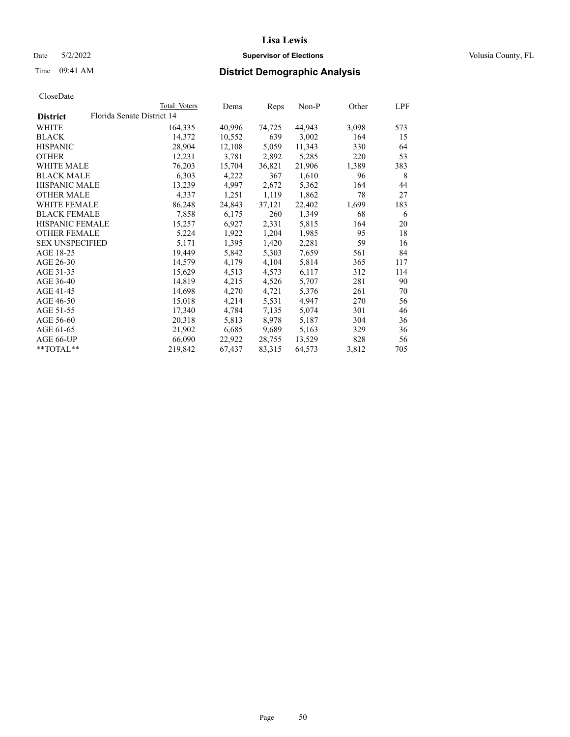# Date 5/2/2022 **Supervisor of Elections Supervisor of Elections** Volusia County, FL

| CloseDate |
|-----------|
|-----------|

|                                               | Total Voters | Dems   | Reps   | Non-P  | Other | LPF |
|-----------------------------------------------|--------------|--------|--------|--------|-------|-----|
| Florida Senate District 14<br><b>District</b> |              |        |        |        |       |     |
| WHITE                                         | 164,335      | 40,996 | 74,725 | 44,943 | 3,098 | 573 |
| <b>BLACK</b>                                  | 14,372       | 10,552 | 639    | 3,002  | 164   | 15  |
| <b>HISPANIC</b>                               | 28,904       | 12,108 | 5,059  | 11,343 | 330   | 64  |
| <b>OTHER</b>                                  | 12,231       | 3,781  | 2,892  | 5,285  | 220   | 53  |
| WHITE MALE                                    | 76,203       | 15,704 | 36,821 | 21,906 | 1,389 | 383 |
| <b>BLACK MALE</b>                             | 6,303        | 4,222  | 367    | 1,610  | 96    | 8   |
| <b>HISPANIC MALE</b>                          | 13,239       | 4,997  | 2,672  | 5,362  | 164   | 44  |
| <b>OTHER MALE</b>                             | 4,337        | 1,251  | 1,119  | 1,862  | 78    | 27  |
| <b>WHITE FEMALE</b>                           | 86,248       | 24,843 | 37,121 | 22,402 | 1,699 | 183 |
| <b>BLACK FEMALE</b>                           | 7,858        | 6,175  | 260    | 1,349  | 68    | 6   |
| HISPANIC FEMALE                               | 15,257       | 6,927  | 2,331  | 5,815  | 164   | 20  |
| <b>OTHER FEMALE</b>                           | 5,224        | 1,922  | 1,204  | 1,985  | 95    | 18  |
| <b>SEX UNSPECIFIED</b>                        | 5,171        | 1,395  | 1,420  | 2,281  | 59    | 16  |
| AGE 18-25                                     | 19,449       | 5,842  | 5,303  | 7,659  | 561   | 84  |
| AGE 26-30                                     | 14,579       | 4,179  | 4,104  | 5,814  | 365   | 117 |
| AGE 31-35                                     | 15,629       | 4,513  | 4,573  | 6,117  | 312   | 114 |
| AGE 36-40                                     | 14,819       | 4,215  | 4,526  | 5,707  | 281   | 90  |
| AGE 41-45                                     | 14,698       | 4,270  | 4,721  | 5,376  | 261   | 70  |
| AGE 46-50                                     | 15,018       | 4,214  | 5,531  | 4,947  | 270   | 56  |
| AGE 51-55                                     | 17,340       | 4,784  | 7,135  | 5,074  | 301   | 46  |
| AGE 56-60                                     | 20,318       | 5,813  | 8,978  | 5,187  | 304   | 36  |
| AGE 61-65                                     | 21,902       | 6,685  | 9,689  | 5,163  | 329   | 36  |
| AGE 66-UP                                     | 66,090       | 22,922 | 28,755 | 13,529 | 828   | 56  |
| $*$ $TOTAL**$                                 | 219,842      | 67.437 | 83,315 | 64,573 | 3,812 | 705 |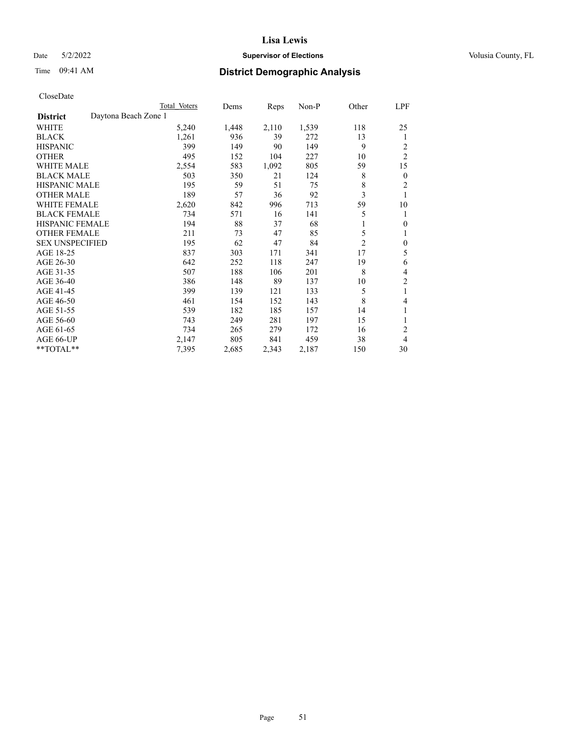# Date 5/2/2022 **Supervisor of Elections Supervisor of Elections** Volusia County, FL

# Time 09:41 AM **District Demographic Analysis**

|                        |                      | Total Voters | Dems  | Reps  | Non-P | Other          | LPF            |
|------------------------|----------------------|--------------|-------|-------|-------|----------------|----------------|
| <b>District</b>        | Daytona Beach Zone 1 |              |       |       |       |                |                |
| WHITE                  |                      | 5,240        | 1,448 | 2,110 | 1,539 | 118            | 25             |
| <b>BLACK</b>           |                      | 1,261        | 936   | 39    | 272   | 13             | 1              |
| <b>HISPANIC</b>        |                      | 399          | 149   | 90    | 149   | 9              | 2              |
| <b>OTHER</b>           |                      | 495          | 152   | 104   | 227   | 10             | $\overline{2}$ |
| <b>WHITE MALE</b>      |                      | 2,554        | 583   | 1,092 | 805   | 59             | 15             |
| <b>BLACK MALE</b>      |                      | 503          | 350   | 21    | 124   | 8              | $\mathbf{0}$   |
| <b>HISPANIC MALE</b>   |                      | 195          | 59    | 51    | 75    | 8              | 2              |
| <b>OTHER MALE</b>      |                      | 189          | 57    | 36    | 92    | 3              | 1              |
| WHITE FEMALE           |                      | 2,620        | 842   | 996   | 713   | 59             | 10             |
| <b>BLACK FEMALE</b>    |                      | 734          | 571   | 16    | 141   | 5              | 1              |
| <b>HISPANIC FEMALE</b> |                      | 194          | 88    | 37    | 68    |                | $\theta$       |
| <b>OTHER FEMALE</b>    |                      | 211          | 73    | 47    | 85    | 5              | 1              |
| <b>SEX UNSPECIFIED</b> |                      | 195          | 62    | 47    | 84    | $\overline{2}$ | $\mathbf{0}$   |
| AGE 18-25              |                      | 837          | 303   | 171   | 341   | 17             | 5              |
| AGE 26-30              |                      | 642          | 252   | 118   | 247   | 19             | 6              |
| AGE 31-35              |                      | 507          | 188   | 106   | 201   | 8              | 4              |
| AGE 36-40              |                      | 386          | 148   | 89    | 137   | 10             | $\overline{2}$ |
| AGE 41-45              |                      | 399          | 139   | 121   | 133   | 5              | 1              |
| AGE 46-50              |                      | 461          | 154   | 152   | 143   | 8              | 4              |
| AGE 51-55              |                      | 539          | 182   | 185   | 157   | 14             | 1              |
| AGE 56-60              |                      | 743          | 249   | 281   | 197   | 15             | 1              |
| AGE 61-65              |                      | 734          | 265   | 279   | 172   | 16             | $\overline{2}$ |
| AGE 66-UP              |                      | 2,147        | 805   | 841   | 459   | 38             | 4              |
| **TOTAL**              |                      | 7,395        | 2,685 | 2,343 | 2,187 | 150            | 30             |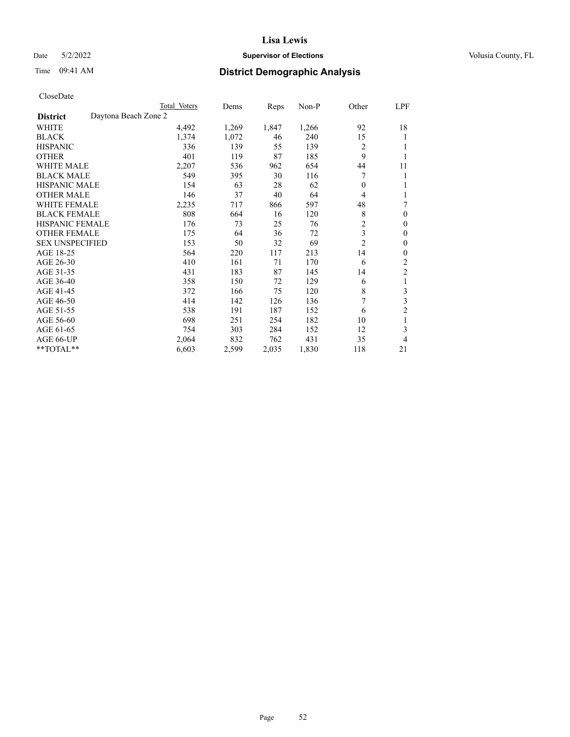# Date 5/2/2022 **Supervisor of Elections Supervisor of Elections** Volusia County, FL

# Time 09:41 AM **District Demographic Analysis**

|                                         | Total Voters | Dems  | Reps  | $Non-P$ | Other          | <b>LPF</b>     |
|-----------------------------------------|--------------|-------|-------|---------|----------------|----------------|
| Daytona Beach Zone 2<br><b>District</b> |              |       |       |         |                |                |
| WHITE                                   | 4,492        | 1,269 | 1,847 | 1,266   | 92             | 18             |
| <b>BLACK</b>                            | 1,374        | 1,072 | 46    | 240     | 15             | 1              |
| <b>HISPANIC</b>                         | 336          | 139   | 55    | 139     | $\overline{2}$ |                |
| <b>OTHER</b>                            | 401          | 119   | 87    | 185     | 9              | 1              |
| <b>WHITE MALE</b>                       | 2,207        | 536   | 962   | 654     | 44             | 11             |
| <b>BLACK MALE</b>                       | 549          | 395   | 30    | 116     | 7              | 1              |
| <b>HISPANIC MALE</b>                    | 154          | 63    | 28    | 62      | $\theta$       | 1              |
| <b>OTHER MALE</b>                       | 146          | 37    | 40    | 64      | 4              | 1              |
| <b>WHITE FEMALE</b>                     | 2,235        | 717   | 866   | 597     | 48             | 7              |
| <b>BLACK FEMALE</b>                     | 808          | 664   | 16    | 120     | 8              | $\theta$       |
| <b>HISPANIC FEMALE</b>                  | 176          | 73    | 25    | 76      | $\overline{2}$ | $\theta$       |
| <b>OTHER FEMALE</b>                     | 175          | 64    | 36    | 72      | 3              | $\mathbf{0}$   |
| <b>SEX UNSPECIFIED</b>                  | 153          | 50    | 32    | 69      | $\overline{c}$ | $\theta$       |
| AGE 18-25                               | 564          | 220   | 117   | 213     | 14             | $\theta$       |
| AGE 26-30                               | 410          | 161   | 71    | 170     | 6              | 2              |
| AGE 31-35                               | 431          | 183   | 87    | 145     | 14             | $\overline{2}$ |
| AGE 36-40                               | 358          | 150   | 72    | 129     | 6              | 1              |
| AGE 41-45                               | 372          | 166   | 75    | 120     | 8              | 3              |
| AGE 46-50                               | 414          | 142   | 126   | 136     | 7              | 3              |
| AGE 51-55                               | 538          | 191   | 187   | 152     | 6              | $\overline{c}$ |
| AGE 56-60                               | 698          | 251   | 254   | 182     | 10             | 1              |
| AGE 61-65                               | 754          | 303   | 284   | 152     | 12             | 3              |
| AGE 66-UP                               | 2,064        | 832   | 762   | 431     | 35             | 4              |
| **TOTAL**                               | 6,603        | 2,599 | 2,035 | 1,830   | 118            | 21             |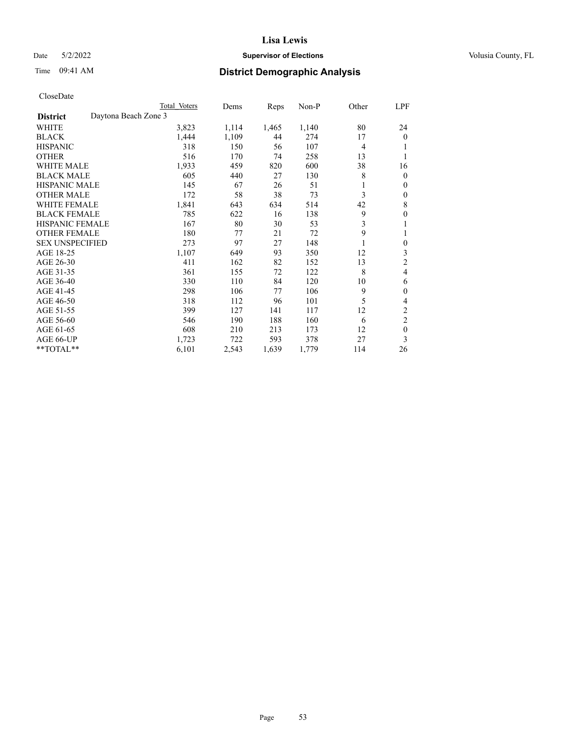# Date 5/2/2022 **Supervisor of Elections Supervisor of Elections** Volusia County, FL

# Time 09:41 AM **District Demographic Analysis**

|                        |                      | Total Voters | Dems  | Reps  | Non-P | Other          | LPF              |
|------------------------|----------------------|--------------|-------|-------|-------|----------------|------------------|
| <b>District</b>        | Daytona Beach Zone 3 |              |       |       |       |                |                  |
| WHITE                  |                      | 3,823        | 1,114 | 1,465 | 1,140 | 80             | 24               |
| <b>BLACK</b>           |                      | 1,444        | 1,109 | 44    | 274   | 17             | 0                |
| <b>HISPANIC</b>        |                      | 318          | 150   | 56    | 107   | $\overline{4}$ |                  |
| <b>OTHER</b>           |                      | 516          | 170   | 74    | 258   | 13             | 1                |
| WHITE MALE             |                      | 1,933        | 459   | 820   | 600   | 38             | 16               |
| <b>BLACK MALE</b>      |                      | 605          | 440   | 27    | 130   | 8              | 0                |
| <b>HISPANIC MALE</b>   |                      | 145          | 67    | 26    | 51    |                | 0                |
| <b>OTHER MALE</b>      |                      | 172          | 58    | 38    | 73    | 3              | 0                |
| WHITE FEMALE           |                      | 1,841        | 643   | 634   | 514   | 42             | 8                |
| <b>BLACK FEMALE</b>    |                      | 785          | 622   | 16    | 138   | 9              | 0                |
| HISPANIC FEMALE        |                      | 167          | 80    | 30    | 53    | 3              |                  |
| <b>OTHER FEMALE</b>    |                      | 180          | 77    | 21    | 72    | 9              | 1                |
| <b>SEX UNSPECIFIED</b> |                      | 273          | 97    | 27    | 148   |                | $\boldsymbol{0}$ |
| AGE 18-25              |                      | 1,107        | 649   | 93    | 350   | 12             | 3                |
| AGE 26-30              |                      | 411          | 162   | 82    | 152   | 13             | 2                |
| AGE 31-35              |                      | 361          | 155   | 72    | 122   | 8              | 4                |
| AGE 36-40              |                      | 330          | 110   | 84    | 120   | 10             | 6                |
| AGE 41-45              |                      | 298          | 106   | 77    | 106   | 9              | 0                |
| AGE 46-50              |                      | 318          | 112   | 96    | 101   | 5              | 4                |
| AGE 51-55              |                      | 399          | 127   | 141   | 117   | 12             | $\overline{c}$   |
| AGE 56-60              |                      | 546          | 190   | 188   | 160   | 6              | $\overline{2}$   |
| AGE 61-65              |                      | 608          | 210   | 213   | 173   | 12             | $\boldsymbol{0}$ |
| AGE 66-UP              |                      | 1,723        | 722   | 593   | 378   | 27             | 3                |
| **TOTAL**              |                      | 6,101        | 2,543 | 1,639 | 1,779 | 114            | 26               |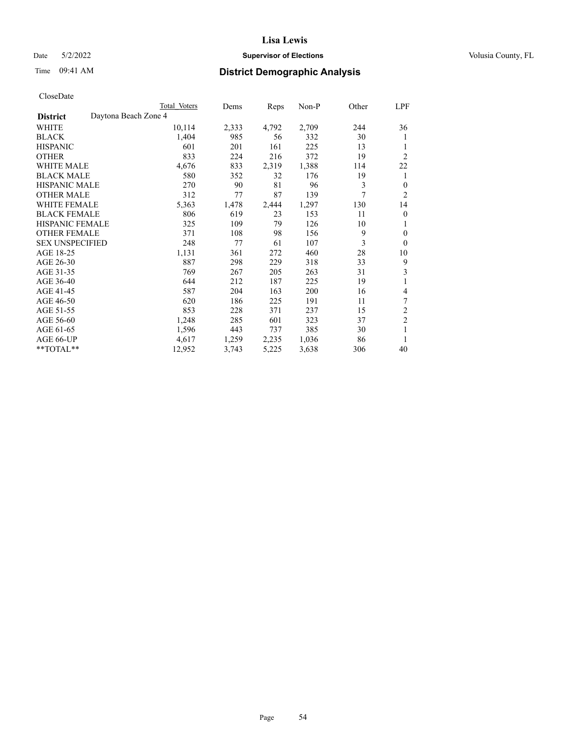# Date 5/2/2022 **Supervisor of Elections Supervisor of Elections** Volusia County, FL

# Time 09:41 AM **District Demographic Analysis**

|                        |                      | Total Voters | Dems  | Reps  | Non-P | Other | LPF            |
|------------------------|----------------------|--------------|-------|-------|-------|-------|----------------|
| <b>District</b>        | Daytona Beach Zone 4 |              |       |       |       |       |                |
| WHITE                  |                      | 10,114       | 2,333 | 4,792 | 2,709 | 244   | 36             |
| <b>BLACK</b>           |                      | 1,404        | 985   | 56    | 332   | 30    | 1              |
| <b>HISPANIC</b>        |                      | 601          | 201   | 161   | 225   | 13    | 1              |
| <b>OTHER</b>           |                      | 833          | 224   | 216   | 372   | 19    | $\overline{2}$ |
| WHITE MALE             |                      | 4,676        | 833   | 2,319 | 1,388 | 114   | 22             |
| <b>BLACK MALE</b>      |                      | 580          | 352   | 32    | 176   | 19    | 1              |
| <b>HISPANIC MALE</b>   |                      | 270          | 90    | 81    | 96    | 3     | $\theta$       |
| <b>OTHER MALE</b>      |                      | 312          | 77    | 87    | 139   | 7     | 2              |
| <b>WHITE FEMALE</b>    |                      | 5,363        | 1,478 | 2,444 | 1,297 | 130   | 14             |
| <b>BLACK FEMALE</b>    |                      | 806          | 619   | 23    | 153   | 11    | $\overline{0}$ |
| <b>HISPANIC FEMALE</b> |                      | 325          | 109   | 79    | 126   | 10    | 1              |
| <b>OTHER FEMALE</b>    |                      | 371          | 108   | 98    | 156   | 9     | $\theta$       |
| <b>SEX UNSPECIFIED</b> |                      | 248          | 77    | 61    | 107   | 3     | $\overline{0}$ |
| AGE 18-25              |                      | 1,131        | 361   | 272   | 460   | 28    | 10             |
| AGE 26-30              |                      | 887          | 298   | 229   | 318   | 33    | 9              |
| AGE 31-35              |                      | 769          | 267   | 205   | 263   | 31    | 3              |
| AGE 36-40              |                      | 644          | 212   | 187   | 225   | 19    |                |
| AGE 41-45              |                      | 587          | 204   | 163   | 200   | 16    | 4              |
| AGE 46-50              |                      | 620          | 186   | 225   | 191   | 11    | 7              |
| AGE 51-55              |                      | 853          | 228   | 371   | 237   | 15    | 2              |
| AGE 56-60              |                      | 1,248        | 285   | 601   | 323   | 37    | $\overline{c}$ |
| AGE 61-65              |                      | 1,596        | 443   | 737   | 385   | 30    | 1              |
| AGE 66-UP              |                      | 4,617        | 1,259 | 2,235 | 1,036 | 86    | 1              |
| **TOTAL**              |                      | 12,952       | 3,743 | 5,225 | 3,638 | 306   | 40             |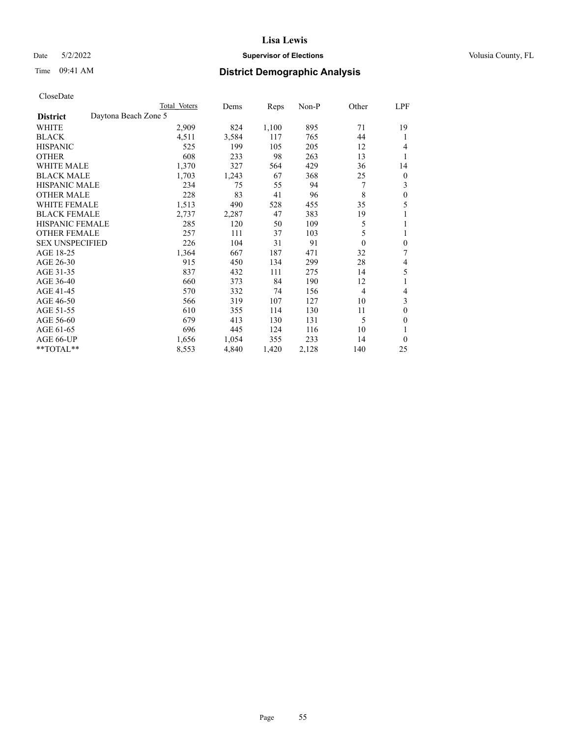# Date 5/2/2022 **Supervisor of Elections Supervisor of Elections** Volusia County, FL

# Time 09:41 AM **District Demographic Analysis**

| Total Voters | Dems                 | Reps  | $Non-P$ | Other          | <b>LPF</b>       |
|--------------|----------------------|-------|---------|----------------|------------------|
|              |                      |       |         |                |                  |
| 2,909        | 824                  | 1,100 | 895     | 71             | 19               |
| 4,511        | 3,584                | 117   | 765     | 44             | 1                |
| 525          | 199                  | 105   | 205     | 12             | 4                |
| 608          | 233                  | 98    | 263     | 13             | 1                |
| 1,370        | 327                  | 564   | 429     | 36             | 14               |
| 1,703        | 1,243                | 67    | 368     | 25             | 0                |
| 234          | 75                   | 55    | 94      | 7              | 3                |
| 228          | 83                   | 41    | 96      | 8              | 0                |
| 1,513        | 490                  | 528   | 455     | 35             | 5                |
| 2,737        | 2,287                | 47    | 383     | 19             |                  |
| 285          | 120                  | 50    | 109     | 5              | 1                |
| 257          | 111                  | 37    | 103     | 5              | 1                |
| 226          | 104                  | 31    | 91      | $\theta$       | $\boldsymbol{0}$ |
| 1,364        | 667                  | 187   | 471     | 32             | 7                |
| 915          | 450                  | 134   | 299     | 28             | 4                |
| 837          | 432                  | 111   | 275     | 14             | 5                |
| 660          | 373                  | 84    | 190     | 12             |                  |
| 570          | 332                  | 74    | 156     | $\overline{4}$ | 4                |
| 566          | 319                  | 107   | 127     | 10             | 3                |
| 610          | 355                  | 114   | 130     | 11             | 0                |
| 679          | 413                  | 130   | 131     | 5              | 0                |
| 696          | 445                  | 124   | 116     | 10             |                  |
| 1,656        | 1,054                | 355   | 233     | 14             | 0                |
| 8,553        | 4,840                | 1,420 | 2,128   | 140            | 25               |
|              | Daytona Beach Zone 5 |       |         |                |                  |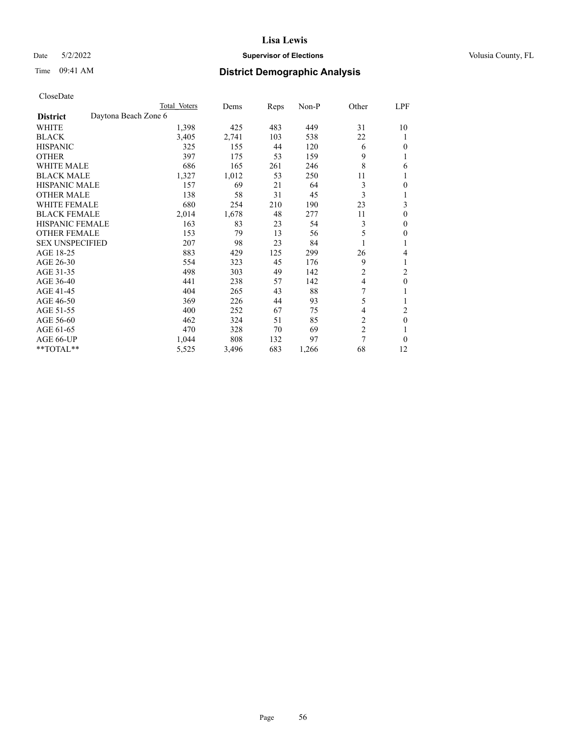# Date 5/2/2022 **Supervisor of Elections Supervisor of Elections** Volusia County, FL

# Time 09:41 AM **District Demographic Analysis**

|                        |                      | Total Voters | Dems  | Reps | Non-P | Other          | LPF            |
|------------------------|----------------------|--------------|-------|------|-------|----------------|----------------|
| <b>District</b>        | Daytona Beach Zone 6 |              |       |      |       |                |                |
| WHITE                  |                      | 1,398        | 425   | 483  | 449   | 31             | 10             |
| <b>BLACK</b>           |                      | 3,405        | 2,741 | 103  | 538   | 22             |                |
| <b>HISPANIC</b>        |                      | 325          | 155   | 44   | 120   | 6              | $\Omega$       |
| <b>OTHER</b>           |                      | 397          | 175   | 53   | 159   | 9              | 1              |
| WHITE MALE             |                      | 686          | 165   | 261  | 246   | 8              | 6              |
| <b>BLACK MALE</b>      |                      | 1,327        | 1,012 | 53   | 250   | 11             |                |
| <b>HISPANIC MALE</b>   |                      | 157          | 69    | 21   | 64    | 3              | 0              |
| <b>OTHER MALE</b>      |                      | 138          | 58    | 31   | 45    | 3              | 1              |
| WHITE FEMALE           |                      | 680          | 254   | 210  | 190   | 23             | 3              |
| <b>BLACK FEMALE</b>    |                      | 2,014        | 1,678 | 48   | 277   | 11             | $\theta$       |
| <b>HISPANIC FEMALE</b> |                      | 163          | 83    | 23   | 54    | 3              | $\Omega$       |
| <b>OTHER FEMALE</b>    |                      | 153          | 79    | 13   | 56    | 5              | $\theta$       |
| <b>SEX UNSPECIFIED</b> |                      | 207          | 98    | 23   | 84    |                | 1              |
| AGE 18-25              |                      | 883          | 429   | 125  | 299   | 26             | 4              |
| AGE 26-30              |                      | 554          | 323   | 45   | 176   | 9              | 1              |
| AGE 31-35              |                      | 498          | 303   | 49   | 142   | $\overline{c}$ | $\overline{2}$ |
| AGE 36-40              |                      | 441          | 238   | 57   | 142   | 4              | $\theta$       |
| AGE 41-45              |                      | 404          | 265   | 43   | 88    | 7              |                |
| AGE 46-50              |                      | 369          | 226   | 44   | 93    | 5              |                |
| AGE 51-55              |                      | 400          | 252   | 67   | 75    | 4              | $\overline{2}$ |
| AGE 56-60              |                      | 462          | 324   | 51   | 85    | $\overline{c}$ | $\theta$       |
| AGE 61-65              |                      | 470          | 328   | 70   | 69    | $\overline{c}$ |                |
| AGE 66-UP              |                      | 1,044        | 808   | 132  | 97    | 7              | $\Omega$       |
| **TOTAL**              |                      | 5,525        | 3,496 | 683  | 1,266 | 68             | 12             |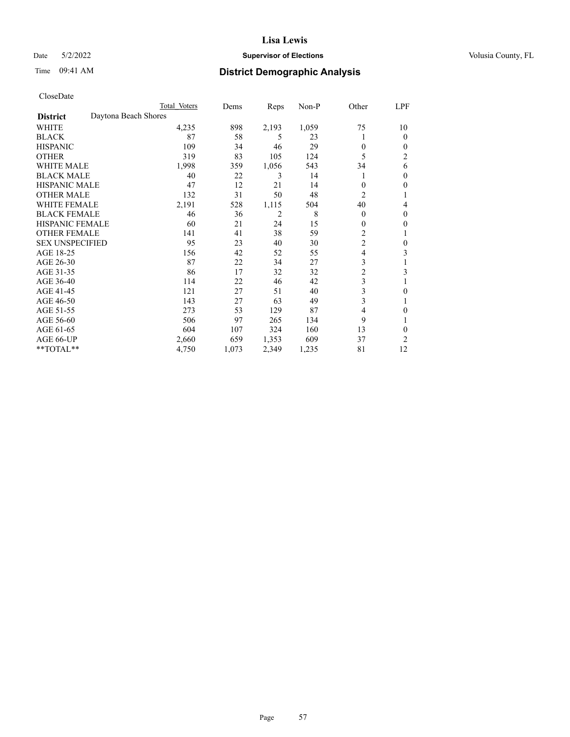# Date 5/2/2022 **Supervisor of Elections Supervisor of Elections** Volusia County, FL

| CloseDate |
|-----------|
|-----------|

|                        |                      | Total Voters | Dems  | Reps           | $Non-P$ | Other          | <b>LPF</b> |
|------------------------|----------------------|--------------|-------|----------------|---------|----------------|------------|
| <b>District</b>        | Daytona Beach Shores |              |       |                |         |                |            |
| WHITE                  |                      | 4,235        | 898   | 2,193          | 1,059   | 75             | 10         |
| <b>BLACK</b>           |                      | 87           | 58    | 5              | 23      | 1              | $\Omega$   |
| <b>HISPANIC</b>        |                      | 109          | 34    | 46             | 29      | $\theta$       | 0          |
| <b>OTHER</b>           |                      | 319          | 83    | 105            | 124     | 5              | 2          |
| <b>WHITE MALE</b>      |                      | 1,998        | 359   | 1,056          | 543     | 34             | 6          |
| <b>BLACK MALE</b>      |                      | 40           | 22    | 3              | 14      | 1              | 0          |
| <b>HISPANIC MALE</b>   |                      | 47           | 12    | 21             | 14      | $\Omega$       | 0          |
| <b>OTHER MALE</b>      |                      | 132          | 31    | 50             | 48      | 2              |            |
| <b>WHITE FEMALE</b>    |                      | 2,191        | 528   | 1,115          | 504     | 40             | 4          |
| <b>BLACK FEMALE</b>    |                      | 46           | 36    | $\overline{2}$ | 8       | $\theta$       | 0          |
| <b>HISPANIC FEMALE</b> |                      | 60           | 21    | 24             | 15      | $\mathbf{0}$   | 0          |
| <b>OTHER FEMALE</b>    |                      | 141          | 41    | 38             | 59      | $\overline{c}$ |            |
| <b>SEX UNSPECIFIED</b> |                      | 95           | 23    | 40             | 30      | $\overline{c}$ | 0          |
| AGE 18-25              |                      | 156          | 42    | 52             | 55      | 4              | 3          |
| AGE 26-30              |                      | 87           | 22    | 34             | 27      | 3              |            |
| AGE 31-35              |                      | 86           | 17    | 32             | 32      | $\overline{c}$ | 3          |
| AGE 36-40              |                      | 114          | 22    | 46             | 42      | 3              |            |
| AGE 41-45              |                      | 121          | 27    | 51             | 40      | 3              | 0          |
| AGE 46-50              |                      | 143          | 27    | 63             | 49      | 3              |            |
| AGE 51-55              |                      | 273          | 53    | 129            | 87      | 4              | 0          |
| AGE 56-60              |                      | 506          | 97    | 265            | 134     | 9              |            |
| AGE 61-65              |                      | 604          | 107   | 324            | 160     | 13             | 0          |
| AGE 66-UP              |                      | 2,660        | 659   | 1,353          | 609     | 37             | 2          |
| **TOTAL**              |                      | 4,750        | 1,073 | 2,349          | 1,235   | 81             | 12         |
|                        |                      |              |       |                |         |                |            |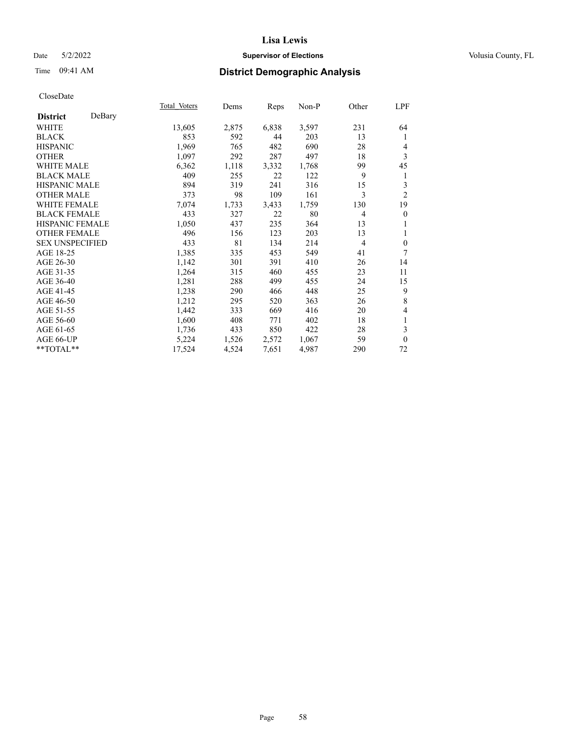# Date 5/2/2022 **Supervisor of Elections Supervisor of Elections** Volusia County, FL

# Time 09:41 AM **District Demographic Analysis**

|                        |        | Total Voters | Dems  | Reps  | Non-P | Other | <b>LPF</b>       |
|------------------------|--------|--------------|-------|-------|-------|-------|------------------|
| <b>District</b>        | DeBary |              |       |       |       |       |                  |
| WHITE                  |        | 13,605       | 2,875 | 6,838 | 3,597 | 231   | 64               |
| <b>BLACK</b>           |        | 853          | 592   | 44    | 203   | 13    | 1                |
| <b>HISPANIC</b>        |        | 1,969        | 765   | 482   | 690   | 28    | 4                |
| <b>OTHER</b>           |        | 1,097        | 292   | 287   | 497   | 18    | 3                |
| <b>WHITE MALE</b>      |        | 6,362        | 1,118 | 3,332 | 1,768 | 99    | 45               |
| <b>BLACK MALE</b>      |        | 409          | 255   | 22    | 122   | 9     | 1                |
| <b>HISPANIC MALE</b>   |        | 894          | 319   | 241   | 316   | 15    | 3                |
| <b>OTHER MALE</b>      |        | 373          | 98    | 109   | 161   | 3     | $\overline{2}$   |
| <b>WHITE FEMALE</b>    |        | 7,074        | 1,733 | 3,433 | 1,759 | 130   | 19               |
| <b>BLACK FEMALE</b>    |        | 433          | 327   | 22    | 80    | 4     | $\boldsymbol{0}$ |
| <b>HISPANIC FEMALE</b> |        | 1,050        | 437   | 235   | 364   | 13    |                  |
| <b>OTHER FEMALE</b>    |        | 496          | 156   | 123   | 203   | 13    | 1                |
| <b>SEX UNSPECIFIED</b> |        | 433          | 81    | 134   | 214   | 4     | $\mathbf{0}$     |
| AGE 18-25              |        | 1,385        | 335   | 453   | 549   | 41    | 7                |
| AGE 26-30              |        | 1,142        | 301   | 391   | 410   | 26    | 14               |
| AGE 31-35              |        | 1,264        | 315   | 460   | 455   | 23    | 11               |
| AGE 36-40              |        | 1,281        | 288   | 499   | 455   | 24    | 15               |
| AGE 41-45              |        | 1,238        | 290   | 466   | 448   | 25    | 9                |
| AGE 46-50              |        | 1,212        | 295   | 520   | 363   | 26    | $\,8\,$          |
| AGE 51-55              |        | 1,442        | 333   | 669   | 416   | 20    | 4                |
| AGE 56-60              |        | 1,600        | 408   | 771   | 402   | 18    | 1                |
| AGE 61-65              |        | 1,736        | 433   | 850   | 422   | 28    | 3                |
| AGE 66-UP              |        | 5,224        | 1,526 | 2,572 | 1,067 | 59    | $\mathbf{0}$     |
| **TOTAL**              |        | 17,524       | 4,524 | 7,651 | 4,987 | 290   | 72               |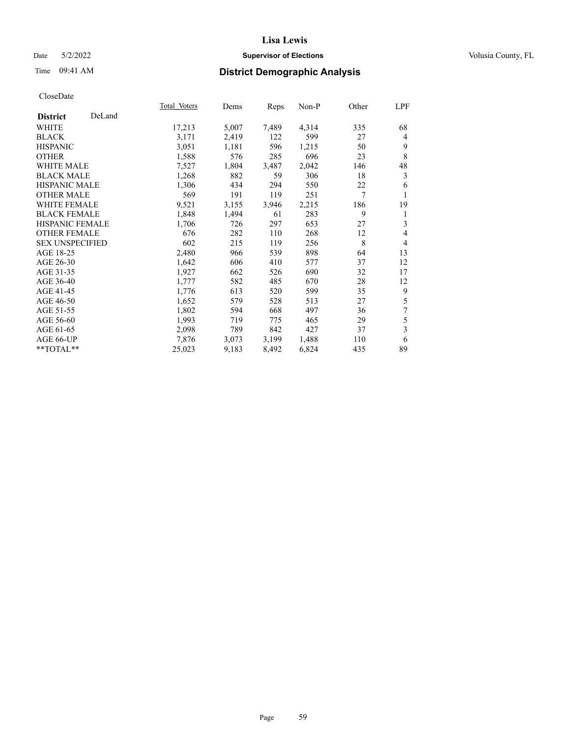# Date 5/2/2022 **Supervisor of Elections Supervisor of Elections** Volusia County, FL

# Time 09:41 AM **District Demographic Analysis**

|                        |        | Total Voters | Dems  | Reps  | Non-P | Other | LPF            |
|------------------------|--------|--------------|-------|-------|-------|-------|----------------|
| <b>District</b>        | DeLand |              |       |       |       |       |                |
| WHITE                  |        | 17,213       | 5,007 | 7,489 | 4,314 | 335   | 68             |
| <b>BLACK</b>           |        | 3,171        | 2,419 | 122   | 599   | 27    | 4              |
| <b>HISPANIC</b>        |        | 3,051        | 1,181 | 596   | 1,215 | 50    | 9              |
| <b>OTHER</b>           |        | 1,588        | 576   | 285   | 696   | 23    | 8              |
| WHITE MALE             |        | 7,527        | 1,804 | 3,487 | 2,042 | 146   | 48             |
| <b>BLACK MALE</b>      |        | 1,268        | 882   | 59    | 306   | 18    | 3              |
| <b>HISPANIC MALE</b>   |        | 1,306        | 434   | 294   | 550   | 22    | 6              |
| <b>OTHER MALE</b>      |        | 569          | 191   | 119   | 251   | 7     | 1              |
| <b>WHITE FEMALE</b>    |        | 9,521        | 3,155 | 3,946 | 2,215 | 186   | 19             |
| <b>BLACK FEMALE</b>    |        | 1,848        | 1,494 | 61    | 283   | 9     | 1              |
| <b>HISPANIC FEMALE</b> |        | 1,706        | 726   | 297   | 653   | 27    | 3              |
| <b>OTHER FEMALE</b>    |        | 676          | 282   | 110   | 268   | 12    | 4              |
| <b>SEX UNSPECIFIED</b> |        | 602          | 215   | 119   | 256   | 8     | $\overline{4}$ |
| AGE 18-25              |        | 2,480        | 966   | 539   | 898   | 64    | 13             |
| AGE 26-30              |        | 1,642        | 606   | 410   | 577   | 37    | 12             |
| AGE 31-35              |        | 1,927        | 662   | 526   | 690   | 32    | 17             |
| AGE 36-40              |        | 1,777        | 582   | 485   | 670   | 28    | 12             |
| AGE 41-45              |        | 1,776        | 613   | 520   | 599   | 35    | 9              |
| AGE 46-50              |        | 1,652        | 579   | 528   | 513   | 27    | 5              |
| AGE 51-55              |        | 1,802        | 594   | 668   | 497   | 36    | 7              |
| AGE 56-60              |        | 1,993        | 719   | 775   | 465   | 29    | 5              |
| AGE 61-65              |        | 2,098        | 789   | 842   | 427   | 37    | 3              |
| AGE 66-UP              |        | 7,876        | 3,073 | 3,199 | 1,488 | 110   | 6              |
| **TOTAL**              |        | 25,023       | 9,183 | 8,492 | 6,824 | 435   | 89             |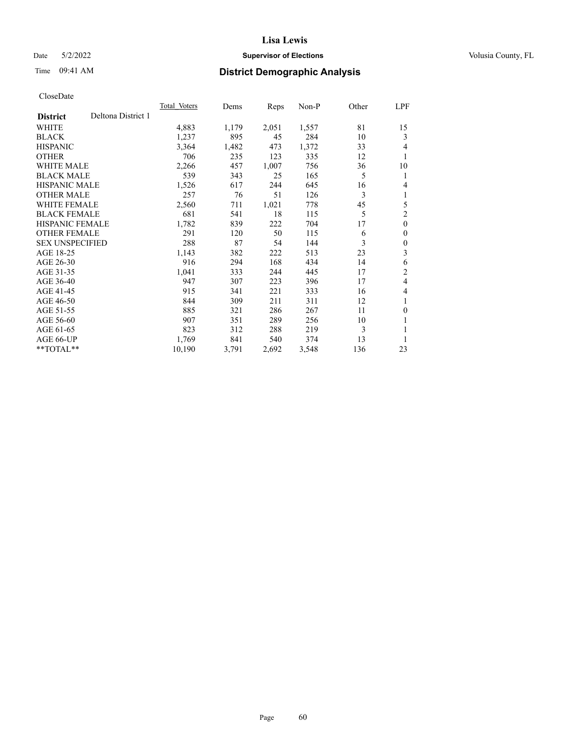# Date 5/2/2022 **Supervisor of Elections Supervisor of Elections** Volusia County, FL

# Time 09:41 AM **District Demographic Analysis**

|                        |                    | Total Voters | Dems  | Reps  | Non-P | Other | LPF            |
|------------------------|--------------------|--------------|-------|-------|-------|-------|----------------|
| <b>District</b>        | Deltona District 1 |              |       |       |       |       |                |
| WHITE                  |                    | 4,883        | 1,179 | 2,051 | 1,557 | 81    | 15             |
| <b>BLACK</b>           |                    | 1,237        | 895   | 45    | 284   | 10    | 3              |
| <b>HISPANIC</b>        |                    | 3,364        | 1,482 | 473   | 1,372 | 33    | 4              |
| <b>OTHER</b>           |                    | 706          | 235   | 123   | 335   | 12    | 1              |
| WHITE MALE             |                    | 2,266        | 457   | 1,007 | 756   | 36    | 10             |
| <b>BLACK MALE</b>      |                    | 539          | 343   | 25    | 165   | 5     | 1              |
| <b>HISPANIC MALE</b>   |                    | 1,526        | 617   | 244   | 645   | 16    | 4              |
| <b>OTHER MALE</b>      |                    | 257          | 76    | 51    | 126   | 3     | 1              |
| WHITE FEMALE           |                    | 2,560        | 711   | 1,021 | 778   | 45    | 5              |
| <b>BLACK FEMALE</b>    |                    | 681          | 541   | 18    | 115   | 5     | $\overline{c}$ |
| <b>HISPANIC FEMALE</b> |                    | 1,782        | 839   | 222   | 704   | 17    | $\mathbf{0}$   |
| <b>OTHER FEMALE</b>    |                    | 291          | 120   | 50    | 115   | 6     | $\theta$       |
| <b>SEX UNSPECIFIED</b> |                    | 288          | 87    | 54    | 144   | 3     | $\theta$       |
| AGE 18-25              |                    | 1,143        | 382   | 222   | 513   | 23    | 3              |
| AGE 26-30              |                    | 916          | 294   | 168   | 434   | 14    | 6              |
| AGE 31-35              |                    | 1,041        | 333   | 244   | 445   | 17    | $\overline{c}$ |
| AGE 36-40              |                    | 947          | 307   | 223   | 396   | 17    | 4              |
| AGE 41-45              |                    | 915          | 341   | 221   | 333   | 16    | 4              |
| AGE 46-50              |                    | 844          | 309   | 211   | 311   | 12    | 1              |
| AGE 51-55              |                    | 885          | 321   | 286   | 267   | 11    | $\theta$       |
| AGE 56-60              |                    | 907          | 351   | 289   | 256   | 10    | 1              |
| AGE 61-65              |                    | 823          | 312   | 288   | 219   | 3     | 1              |
| AGE 66-UP              |                    | 1,769        | 841   | 540   | 374   | 13    |                |
| $**TOTAL**$            |                    | 10,190       | 3,791 | 2,692 | 3,548 | 136   | 23             |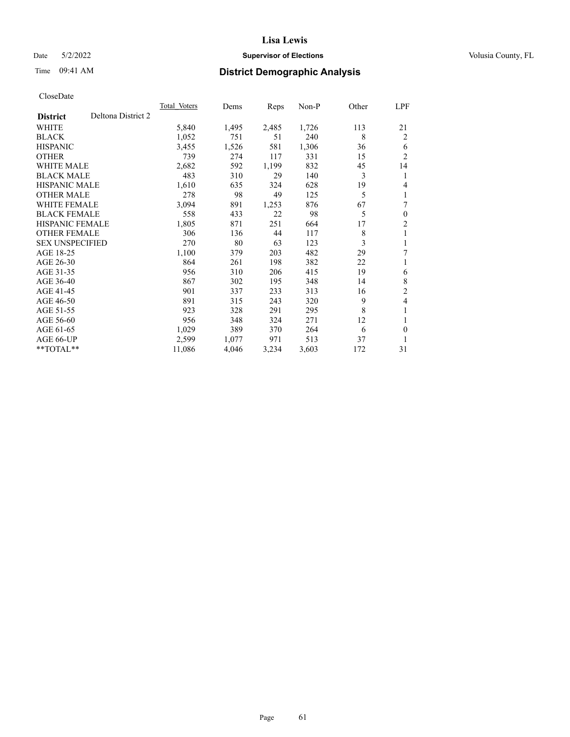# Date 5/2/2022 **Supervisor of Elections Supervisor of Elections** Volusia County, FL

# Time 09:41 AM **District Demographic Analysis**

|                        |                    | Total Voters | Dems  | Reps  | $Non-P$ | Other | LPF            |
|------------------------|--------------------|--------------|-------|-------|---------|-------|----------------|
| <b>District</b>        | Deltona District 2 |              |       |       |         |       |                |
| WHITE                  |                    | 5,840        | 1,495 | 2,485 | 1,726   | 113   | 21             |
| <b>BLACK</b>           |                    | 1,052        | 751   | 51    | 240     | 8     | 2              |
| <b>HISPANIC</b>        |                    | 3,455        | 1,526 | 581   | 1,306   | 36    | 6              |
| <b>OTHER</b>           |                    | 739          | 274   | 117   | 331     | 15    | $\overline{2}$ |
| <b>WHITE MALE</b>      |                    | 2,682        | 592   | 1,199 | 832     | 45    | 14             |
| <b>BLACK MALE</b>      |                    | 483          | 310   | 29    | 140     | 3     | 1              |
| <b>HISPANIC MALE</b>   |                    | 1,610        | 635   | 324   | 628     | 19    | 4              |
| <b>OTHER MALE</b>      |                    | 278          | 98    | 49    | 125     | 5     | 1              |
| <b>WHITE FEMALE</b>    |                    | 3,094        | 891   | 1,253 | 876     | 67    | 7              |
| <b>BLACK FEMALE</b>    |                    | 558          | 433   | 22    | 98      | 5     | $\mathbf{0}$   |
| <b>HISPANIC FEMALE</b> |                    | 1,805        | 871   | 251   | 664     | 17    | $\overline{2}$ |
| <b>OTHER FEMALE</b>    |                    | 306          | 136   | 44    | 117     | 8     | 1              |
| <b>SEX UNSPECIFIED</b> |                    | 270          | 80    | 63    | 123     | 3     | 1              |
| AGE 18-25              |                    | 1,100        | 379   | 203   | 482     | 29    | 7              |
| AGE 26-30              |                    | 864          | 261   | 198   | 382     | 22    | 1              |
| AGE 31-35              |                    | 956          | 310   | 206   | 415     | 19    | 6              |
| AGE 36-40              |                    | 867          | 302   | 195   | 348     | 14    | 8              |
| AGE 41-45              |                    | 901          | 337   | 233   | 313     | 16    | $\overline{2}$ |
| AGE 46-50              |                    | 891          | 315   | 243   | 320     | 9     | 4              |
| AGE 51-55              |                    | 923          | 328   | 291   | 295     | 8     | 1              |
| AGE 56-60              |                    | 956          | 348   | 324   | 271     | 12    | 1              |
| AGE 61-65              |                    | 1,029        | 389   | 370   | 264     | 6     | $\theta$       |
| AGE 66-UP              |                    | 2,599        | 1,077 | 971   | 513     | 37    | 1              |
| $*$ $TOTAL**$          |                    | 11,086       | 4,046 | 3,234 | 3,603   | 172   | 31             |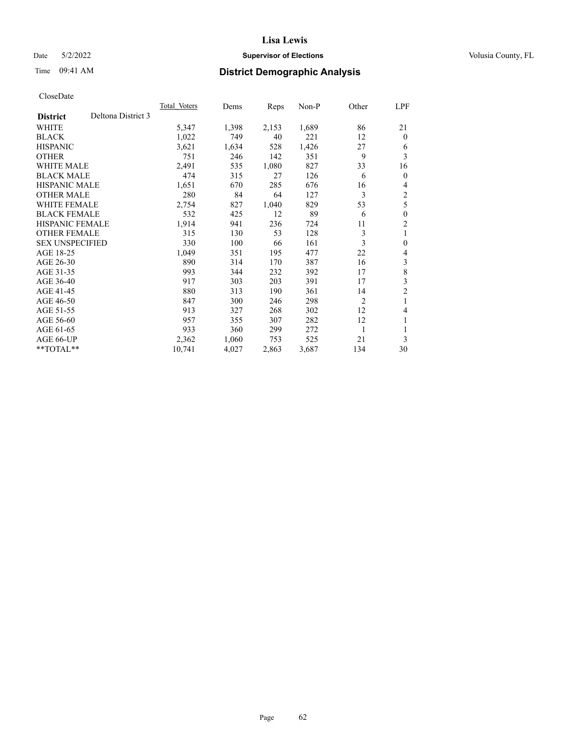# Date 5/2/2022 **Supervisor of Elections Supervisor of Elections** Volusia County, FL

# Time 09:41 AM **District Demographic Analysis**

|                                       | Total Voters | Dems  | Reps  | $Non-P$ | Other | LPF            |
|---------------------------------------|--------------|-------|-------|---------|-------|----------------|
| Deltona District 3<br><b>District</b> |              |       |       |         |       |                |
| WHITE                                 | 5,347        | 1,398 | 2,153 | 1,689   | 86    | 21             |
| <b>BLACK</b>                          | 1,022        | 749   | 40    | 221     | 12    | $\theta$       |
| <b>HISPANIC</b>                       | 3,621        | 1,634 | 528   | 1,426   | 27    | 6              |
| <b>OTHER</b>                          | 751          | 246   | 142   | 351     | 9     | 3              |
| <b>WHITE MALE</b>                     | 2,491        | 535   | 1,080 | 827     | 33    | 16             |
| <b>BLACK MALE</b>                     | 474          | 315   | 27    | 126     | 6     | $\theta$       |
| <b>HISPANIC MALE</b>                  | 1,651        | 670   | 285   | 676     | 16    | 4              |
| <b>OTHER MALE</b>                     | 280          | 84    | 64    | 127     | 3     | 2              |
| <b>WHITE FEMALE</b>                   | 2,754        | 827   | 1,040 | 829     | 53    | 5              |
| <b>BLACK FEMALE</b>                   | 532          | 425   | 12    | 89      | 6     | $\mathbf{0}$   |
| <b>HISPANIC FEMALE</b>                | 1,914        | 941   | 236   | 724     | 11    | $\overline{2}$ |
| <b>OTHER FEMALE</b>                   | 315          | 130   | 53    | 128     | 3     | 1              |
| <b>SEX UNSPECIFIED</b>                | 330          | 100   | 66    | 161     | 3     | $\theta$       |
| AGE 18-25                             | 1,049        | 351   | 195   | 477     | 22    | 4              |
| AGE 26-30                             | 890          | 314   | 170   | 387     | 16    | 3              |
| AGE 31-35                             | 993          | 344   | 232   | 392     | 17    | 8              |
| AGE 36-40                             | 917          | 303   | 203   | 391     | 17    | 3              |
| AGE 41-45                             | 880          | 313   | 190   | 361     | 14    | $\overline{2}$ |
| AGE 46-50                             | 847          | 300   | 246   | 298     | 2     | 1              |
| AGE 51-55                             | 913          | 327   | 268   | 302     | 12    | 4              |
| AGE 56-60                             | 957          | 355   | 307   | 282     | 12    | 1              |
| AGE 61-65                             | 933          | 360   | 299   | 272     | 1     |                |
| AGE 66-UP                             | 2,362        | 1,060 | 753   | 525     | 21    | 3              |
| $*$ $TOTAL**$                         | 10,741       | 4,027 | 2,863 | 3,687   | 134   | 30             |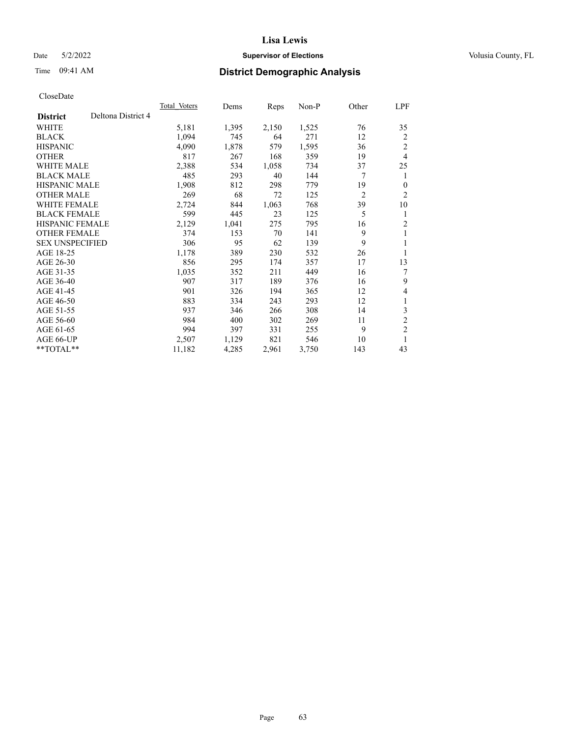# Date 5/2/2022 **Supervisor of Elections Supervisor of Elections** Volusia County, FL

# Time 09:41 AM **District Demographic Analysis**

|                        |                    | Total Voters | Dems  | Reps  | Non-P | Other          | LPF            |
|------------------------|--------------------|--------------|-------|-------|-------|----------------|----------------|
| <b>District</b>        | Deltona District 4 |              |       |       |       |                |                |
| WHITE                  |                    | 5,181        | 1,395 | 2,150 | 1,525 | 76             | 35             |
| <b>BLACK</b>           |                    | 1,094        | 745   | 64    | 271   | 12             | 2              |
| <b>HISPANIC</b>        |                    | 4,090        | 1,878 | 579   | 1,595 | 36             | 2              |
| <b>OTHER</b>           |                    | 817          | 267   | 168   | 359   | 19             | 4              |
| WHITE MALE             |                    | 2,388        | 534   | 1,058 | 734   | 37             | 25             |
| <b>BLACK MALE</b>      |                    | 485          | 293   | 40    | 144   | 7              | 1              |
| <b>HISPANIC MALE</b>   |                    | 1,908        | 812   | 298   | 779   | 19             | $\mathbf{0}$   |
| <b>OTHER MALE</b>      |                    | 269          | 68    | 72    | 125   | $\overline{2}$ | $\overline{2}$ |
| WHITE FEMALE           |                    | 2,724        | 844   | 1,063 | 768   | 39             | 10             |
| <b>BLACK FEMALE</b>    |                    | 599          | 445   | 23    | 125   | 5              | 1              |
| <b>HISPANIC FEMALE</b> |                    | 2,129        | 1,041 | 275   | 795   | 16             | $\overline{2}$ |
| <b>OTHER FEMALE</b>    |                    | 374          | 153   | 70    | 141   | 9              | 1              |
| <b>SEX UNSPECIFIED</b> |                    | 306          | 95    | 62    | 139   | 9              | 1              |
| AGE 18-25              |                    | 1,178        | 389   | 230   | 532   | 26             | 1              |
| AGE 26-30              |                    | 856          | 295   | 174   | 357   | 17             | 13             |
| AGE 31-35              |                    | 1,035        | 352   | 211   | 449   | 16             | 7              |
| AGE 36-40              |                    | 907          | 317   | 189   | 376   | 16             | 9              |
| AGE 41-45              |                    | 901          | 326   | 194   | 365   | 12             | 4              |
| AGE 46-50              |                    | 883          | 334   | 243   | 293   | 12             | 1              |
| AGE 51-55              |                    | 937          | 346   | 266   | 308   | 14             | 3              |
| AGE 56-60              |                    | 984          | 400   | 302   | 269   | 11             | $\overline{c}$ |
| AGE 61-65              |                    | 994          | 397   | 331   | 255   | 9              | $\overline{2}$ |
| AGE 66-UP              |                    | 2,507        | 1,129 | 821   | 546   | 10             | 1              |
| $**TOTAL**$            |                    | 11,182       | 4,285 | 2,961 | 3,750 | 143            | 43             |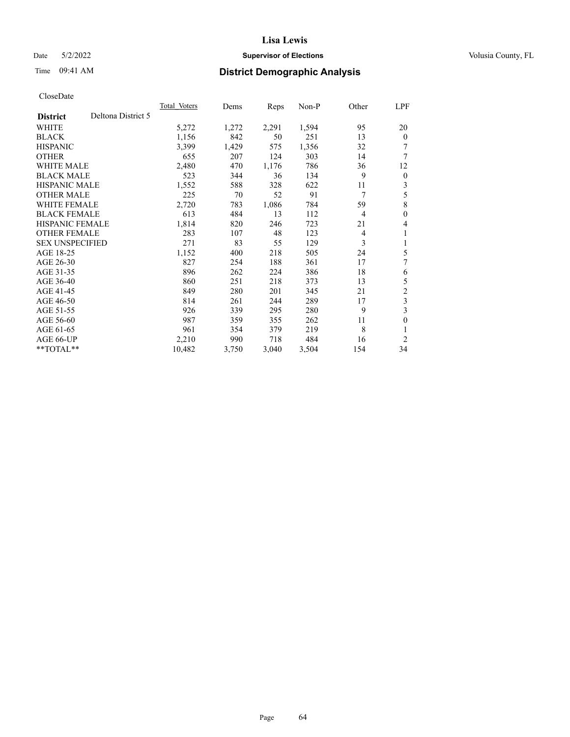# Date 5/2/2022 **Supervisor of Elections Supervisor of Elections** Volusia County, FL

# Time 09:41 AM **District Demographic Analysis**

|                                       | Total Voters | Dems  | Reps  | $Non-P$ | Other          | <b>LPF</b>     |
|---------------------------------------|--------------|-------|-------|---------|----------------|----------------|
| Deltona District 5<br><b>District</b> |              |       |       |         |                |                |
| WHITE                                 | 5,272        | 1,272 | 2,291 | 1,594   | 95             | 20             |
| <b>BLACK</b>                          | 1,156        | 842   | 50    | 251     | 13             | $\overline{0}$ |
| <b>HISPANIC</b>                       | 3,399        | 1,429 | 575   | 1,356   | 32             | 7              |
| <b>OTHER</b>                          | 655          | 207   | 124   | 303     | 14             | 7              |
| WHITE MALE                            | 2,480        | 470   | 1,176 | 786     | 36             | 12             |
| <b>BLACK MALE</b>                     | 523          | 344   | 36    | 134     | 9              | $\overline{0}$ |
| <b>HISPANIC MALE</b>                  | 1,552        | 588   | 328   | 622     | 11             | 3              |
| <b>OTHER MALE</b>                     | 225          | 70    | 52    | 91      | 7              | 5              |
| <b>WHITE FEMALE</b>                   | 2,720        | 783   | 1,086 | 784     | 59             | 8              |
| <b>BLACK FEMALE</b>                   | 613          | 484   | 13    | 112     | $\overline{4}$ | 0              |
| <b>HISPANIC FEMALE</b>                | 1,814        | 820   | 246   | 723     | 21             | 4              |
| <b>OTHER FEMALE</b>                   | 283          | 107   | 48    | 123     | 4              | 1              |
| <b>SEX UNSPECIFIED</b>                | 271          | 83    | 55    | 129     | 3              | 1              |
| AGE 18-25                             | 1,152        | 400   | 218   | 505     | 24             | 5              |
| AGE 26-30                             | 827          | 254   | 188   | 361     | 17             | 7              |
| AGE 31-35                             | 896          | 262   | 224   | 386     | 18             | 6              |
| AGE 36-40                             | 860          | 251   | 218   | 373     | 13             | 5              |
| AGE 41-45                             | 849          | 280   | 201   | 345     | 21             | $\overline{c}$ |
| AGE 46-50                             | 814          | 261   | 244   | 289     | 17             | 3              |
| AGE 51-55                             | 926          | 339   | 295   | 280     | 9              | 3              |
| AGE 56-60                             | 987          | 359   | 355   | 262     | 11             | 0              |
| AGE 61-65                             | 961          | 354   | 379   | 219     | 8              |                |
| AGE 66-UP                             | 2,210        | 990   | 718   | 484     | 16             | 2              |
| **TOTAL**                             | 10,482       | 3,750 | 3,040 | 3,504   | 154            | 34             |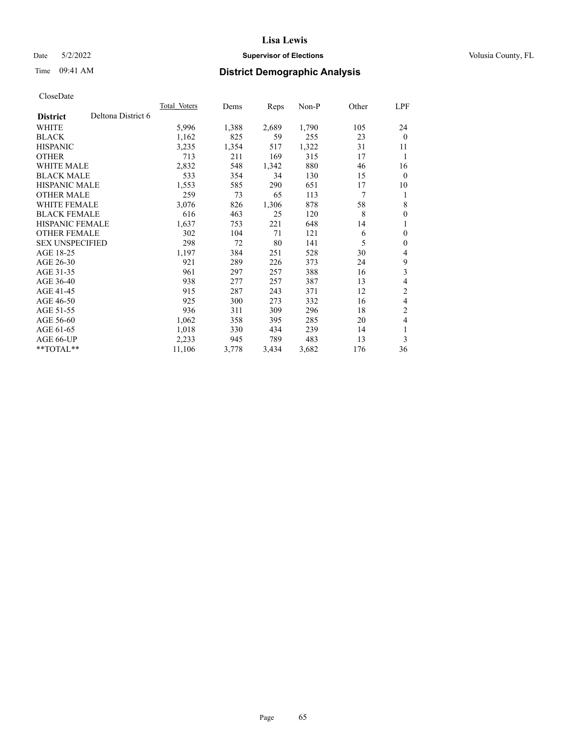# Date 5/2/2022 **Supervisor of Elections Supervisor of Elections** Volusia County, FL

# Time 09:41 AM **District Demographic Analysis**

|                        |                    | <b>Total Voters</b> | Dems  | Reps  | $Non-P$ | Other | LPF            |
|------------------------|--------------------|---------------------|-------|-------|---------|-------|----------------|
| <b>District</b>        | Deltona District 6 |                     |       |       |         |       |                |
| WHITE                  |                    | 5,996               | 1,388 | 2,689 | 1,790   | 105   | 24             |
| <b>BLACK</b>           |                    | 1,162               | 825   | 59    | 255     | 23    | $\theta$       |
| <b>HISPANIC</b>        |                    | 3,235               | 1,354 | 517   | 1,322   | 31    | 11             |
| <b>OTHER</b>           |                    | 713                 | 211   | 169   | 315     | 17    | 1              |
| <b>WHITE MALE</b>      |                    | 2,832               | 548   | 1,342 | 880     | 46    | 16             |
| <b>BLACK MALE</b>      |                    | 533                 | 354   | 34    | 130     | 15    | $\mathbf{0}$   |
| <b>HISPANIC MALE</b>   |                    | 1,553               | 585   | 290   | 651     | 17    | 10             |
| <b>OTHER MALE</b>      |                    | 259                 | 73    | 65    | 113     | 7     | 1              |
| WHITE FEMALE           |                    | 3,076               | 826   | 1,306 | 878     | 58    | 8              |
| <b>BLACK FEMALE</b>    |                    | 616                 | 463   | 25    | 120     | 8     | $\mathbf{0}$   |
| <b>HISPANIC FEMALE</b> |                    | 1,637               | 753   | 221   | 648     | 14    | 1              |
| <b>OTHER FEMALE</b>    |                    | 302                 | 104   | 71    | 121     | 6     | $\mathbf{0}$   |
| <b>SEX UNSPECIFIED</b> |                    | 298                 | 72    | 80    | 141     | 5     | $\mathbf{0}$   |
| AGE 18-25              |                    | 1,197               | 384   | 251   | 528     | 30    | 4              |
| AGE 26-30              |                    | 921                 | 289   | 226   | 373     | 24    | 9              |
| AGE 31-35              |                    | 961                 | 297   | 257   | 388     | 16    | 3              |
| AGE 36-40              |                    | 938                 | 277   | 257   | 387     | 13    | 4              |
| AGE 41-45              |                    | 915                 | 287   | 243   | 371     | 12    | $\mathfrak{2}$ |
| AGE 46-50              |                    | 925                 | 300   | 273   | 332     | 16    | 4              |
| AGE 51-55              |                    | 936                 | 311   | 309   | 296     | 18    | $\overline{2}$ |
| AGE 56-60              |                    | 1,062               | 358   | 395   | 285     | 20    | 4              |
| AGE 61-65              |                    | 1,018               | 330   | 434   | 239     | 14    | 1              |
| AGE 66-UP              |                    | 2,233               | 945   | 789   | 483     | 13    | 3              |
| $*$ $TOTAL**$          |                    | 11,106              | 3,778 | 3,434 | 3,682   | 176   | 36             |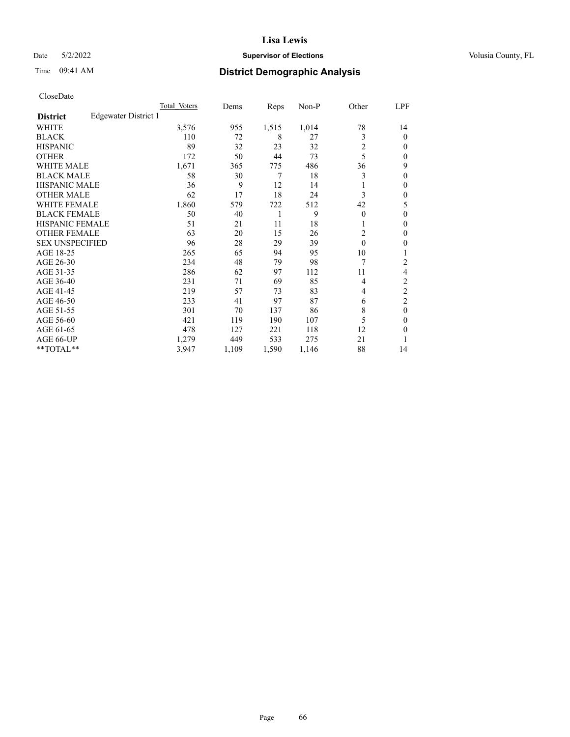# Date 5/2/2022 **Supervisor of Elections Supervisor of Elections** Volusia County, FL

# Time 09:41 AM **District Demographic Analysis**

|                        |                      | Total Voters | Dems  | Reps  | Non-P | Other    | LPF      |
|------------------------|----------------------|--------------|-------|-------|-------|----------|----------|
| <b>District</b>        | Edgewater District 1 |              |       |       |       |          |          |
| WHITE                  |                      | 3,576        | 955   | 1,515 | 1,014 | 78       | 14       |
| <b>BLACK</b>           |                      | 110          | 72    | 8     | 27    | 3        | $\theta$ |
| <b>HISPANIC</b>        |                      | 89           | 32    | 23    | 32    | 2        | 0        |
| <b>OTHER</b>           |                      | 172          | 50    | 44    | 73    | 5        | 0        |
| <b>WHITE MALE</b>      |                      | 1,671        | 365   | 775   | 486   | 36       | 9        |
| <b>BLACK MALE</b>      |                      | 58           | 30    | 7     | 18    | 3        | 0        |
| <b>HISPANIC MALE</b>   |                      | 36           | 9     | 12    | 14    | 1        | 0        |
| <b>OTHER MALE</b>      |                      | 62           | 17    | 18    | 24    | 3        | 0        |
| <b>WHITE FEMALE</b>    |                      | 1,860        | 579   | 722   | 512   | 42       | 5        |
| <b>BLACK FEMALE</b>    |                      | 50           | 40    | 1     | 9     | $\theta$ | 0        |
| <b>HISPANIC FEMALE</b> |                      | 51           | 21    | 11    | 18    | 1        | 0        |
| <b>OTHER FEMALE</b>    |                      | 63           | 20    | 15    | 26    | 2        | 0        |
| <b>SEX UNSPECIFIED</b> |                      | 96           | 28    | 29    | 39    | $\theta$ | 0        |
| AGE 18-25              |                      | 265          | 65    | 94    | 95    | 10       |          |
| AGE 26-30              |                      | 234          | 48    | 79    | 98    | 7        | 2        |
| AGE 31-35              |                      | 286          | 62    | 97    | 112   | 11       | 4        |
| AGE 36-40              |                      | 231          | 71    | 69    | 85    | 4        | 2        |
| AGE 41-45              |                      | 219          | 57    | 73    | 83    | 4        | 2        |
| AGE 46-50              |                      | 233          | 41    | 97    | 87    | 6        | 2        |
| AGE 51-55              |                      | 301          | 70    | 137   | 86    | 8        | $\theta$ |
| AGE 56-60              |                      | 421          | 119   | 190   | 107   | 5        | 0        |
| AGE 61-65              |                      | 478          | 127   | 221   | 118   | 12       | 0        |
| AGE 66-UP              |                      | 1,279        | 449   | 533   | 275   | 21       |          |
| **TOTAL**              |                      | 3,947        | 1,109 | 1,590 | 1,146 | 88       | 14       |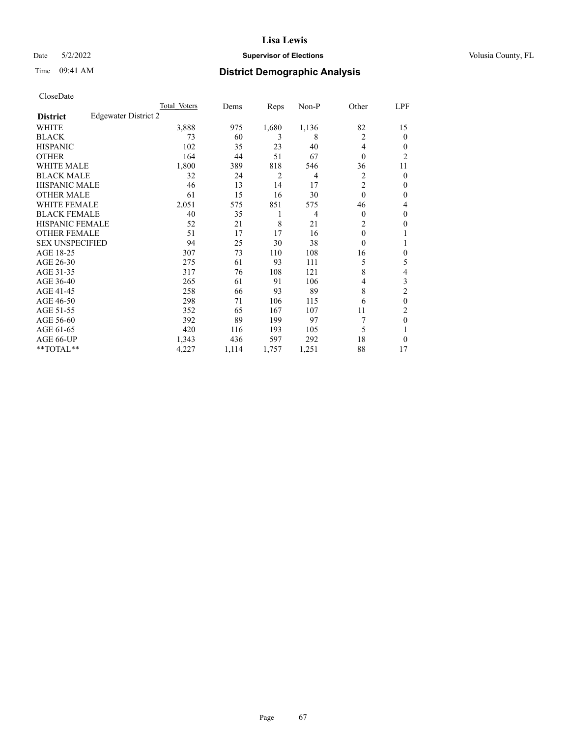# Date 5/2/2022 **Supervisor of Elections Supervisor of Elections** Volusia County, FL

# Time 09:41 AM **District Demographic Analysis**

|                        |                      | Total Voters | Dems  | Reps  | Non-P          | Other          | LPF            |
|------------------------|----------------------|--------------|-------|-------|----------------|----------------|----------------|
| <b>District</b>        | Edgewater District 2 |              |       |       |                |                |                |
| WHITE                  |                      | 3,888        | 975   | 1,680 | 1,136          | 82             | 15             |
| <b>BLACK</b>           |                      | 73           | 60    | 3     | 8              | $\overline{2}$ | 0              |
| <b>HISPANIC</b>        |                      | 102          | 35    | 23    | 40             | 4              | $_{0}$         |
| <b>OTHER</b>           |                      | 164          | 44    | 51    | 67             | $\theta$       | $\overline{c}$ |
| <b>WHITE MALE</b>      |                      | 1,800        | 389   | 818   | 546            | 36             | 11             |
| <b>BLACK MALE</b>      |                      | 32           | 24    | 2     | 4              | 2              | 0              |
| <b>HISPANIC MALE</b>   |                      | 46           | 13    | 14    | 17             | $\overline{2}$ | 0              |
| <b>OTHER MALE</b>      |                      | 61           | 15    | 16    | 30             | $\theta$       | 0              |
| <b>WHITE FEMALE</b>    |                      | 2,051        | 575   | 851   | 575            | 46             | 4              |
| <b>BLACK FEMALE</b>    |                      | 40           | 35    | 1     | $\overline{4}$ | $\Omega$       | 0              |
| <b>HISPANIC FEMALE</b> |                      | 52           | 21    | 8     | 21             | $\overline{2}$ | 0              |
| <b>OTHER FEMALE</b>    |                      | 51           | 17    | 17    | 16             | $\theta$       |                |
| <b>SEX UNSPECIFIED</b> |                      | 94           | 25    | 30    | 38             | $\Omega$       |                |
| AGE 18-25              |                      | 307          | 73    | 110   | 108            | 16             | 0              |
| AGE 26-30              |                      | 275          | 61    | 93    | 111            | 5              | 5              |
| AGE 31-35              |                      | 317          | 76    | 108   | 121            | 8              | 4              |
| AGE 36-40              |                      | 265          | 61    | 91    | 106            | 4              | 3              |
| AGE 41-45              |                      | 258          | 66    | 93    | 89             | 8              | 2              |
| AGE 46-50              |                      | 298          | 71    | 106   | 115            | 6              | 0              |
| AGE 51-55              |                      | 352          | 65    | 167   | 107            | 11             | 2              |
| AGE 56-60              |                      | 392          | 89    | 199   | 97             | 7              | $\theta$       |
| AGE 61-65              |                      | 420          | 116   | 193   | 105            | 5              |                |
| AGE 66-UP              |                      | 1,343        | 436   | 597   | 292            | 18             | 0              |
| **TOTAL**              |                      | 4,227        | 1,114 | 1,757 | 1,251          | 88             | 17             |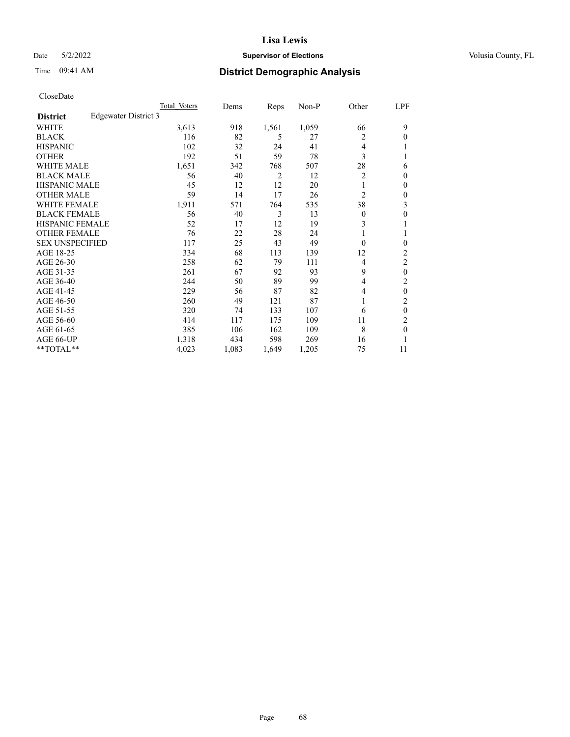# Date 5/2/2022 **Supervisor of Elections Supervisor of Elections** Volusia County, FL

# Time 09:41 AM **District Demographic Analysis**

|                        |                      | Total Voters | Dems  | Reps  | Non-P | Other          | LPF            |
|------------------------|----------------------|--------------|-------|-------|-------|----------------|----------------|
| <b>District</b>        | Edgewater District 3 |              |       |       |       |                |                |
| WHITE                  |                      | 3,613        | 918   | 1,561 | 1,059 | 66             | 9              |
| <b>BLACK</b>           |                      | 116          | 82    | 5     | 27    | 2              | 0              |
| <b>HISPANIC</b>        |                      | 102          | 32    | 24    | 41    | 4              |                |
| <b>OTHER</b>           |                      | 192          | 51    | 59    | 78    | 3              |                |
| WHITE MALE             |                      | 1,651        | 342   | 768   | 507   | 28             | 6              |
| <b>BLACK MALE</b>      |                      | 56           | 40    | 2     | 12    | 2              | $\Omega$       |
| <b>HISPANIC MALE</b>   |                      | 45           | 12    | 12    | 20    | 1              | 0              |
| <b>OTHER MALE</b>      |                      | 59           | 14    | 17    | 26    | $\overline{2}$ | 0              |
| WHITE FEMALE           |                      | 1,911        | 571   | 764   | 535   | 38             | 3              |
| <b>BLACK FEMALE</b>    |                      | 56           | 40    | 3     | 13    | $\Omega$       | 0              |
| <b>HISPANIC FEMALE</b> |                      | 52           | 17    | 12    | 19    | 3              |                |
| <b>OTHER FEMALE</b>    |                      | 76           | 22    | 28    | 24    | 1              |                |
| <b>SEX UNSPECIFIED</b> |                      | 117          | 25    | 43    | 49    | $\theta$       | 0              |
| AGE 18-25              |                      | 334          | 68    | 113   | 139   | 12             | 2              |
| AGE 26-30              |                      | 258          | 62    | 79    | 111   | 4              | $\overline{2}$ |
| AGE 31-35              |                      | 261          | 67    | 92    | 93    | 9              | 0              |
| AGE 36-40              |                      | 244          | 50    | 89    | 99    | 4              | 2              |
| AGE 41-45              |                      | 229          | 56    | 87    | 82    | 4              | $\theta$       |
| AGE 46-50              |                      | 260          | 49    | 121   | 87    | 1              | 2              |
| AGE 51-55              |                      | 320          | 74    | 133   | 107   | 6              | $\theta$       |
| AGE 56-60              |                      | 414          | 117   | 175   | 109   | 11             | 2              |
| AGE 61-65              |                      | 385          | 106   | 162   | 109   | 8              | $\mathbf{0}$   |
| AGE 66-UP              |                      | 1,318        | 434   | 598   | 269   | 16             |                |
| **TOTAL**              |                      | 4,023        | 1,083 | 1,649 | 1,205 | 75             | 11             |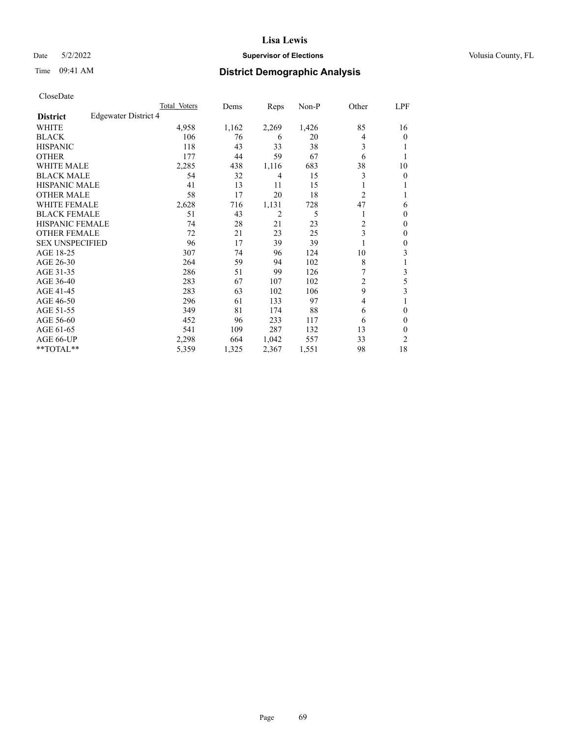# Date 5/2/2022 **Supervisor of Elections Supervisor of Elections** Volusia County, FL

# Time 09:41 AM **District Demographic Analysis**

|                        |                      | Total Voters | Dems  | Reps  | Non-P | Other          | LPF            |
|------------------------|----------------------|--------------|-------|-------|-------|----------------|----------------|
| <b>District</b>        | Edgewater District 4 |              |       |       |       |                |                |
| WHITE                  |                      | 4,958        | 1,162 | 2,269 | 1,426 | 85             | 16             |
| <b>BLACK</b>           |                      | 106          | 76    | 6     | 20    | 4              | $\mathbf{0}$   |
| <b>HISPANIC</b>        |                      | 118          | 43    | 33    | 38    | 3              |                |
| <b>OTHER</b>           |                      | 177          | 44    | 59    | 67    | 6              |                |
| <b>WHITE MALE</b>      |                      | 2,285        | 438   | 1,116 | 683   | 38             | 10             |
| <b>BLACK MALE</b>      |                      | 54           | 32    | 4     | 15    | 3              | 0              |
| <b>HISPANIC MALE</b>   |                      | 41           | 13    | 11    | 15    |                | 1              |
| <b>OTHER MALE</b>      |                      | 58           | 17    | 20    | 18    | 2              | 1              |
| WHITE FEMALE           |                      | 2,628        | 716   | 1,131 | 728   | 47             | 6              |
| <b>BLACK FEMALE</b>    |                      | 51           | 43    | 2     | 5     |                | $\mathbf{0}$   |
| HISPANIC FEMALE        |                      | 74           | 28    | 21    | 23    | $\overline{c}$ | 0              |
| <b>OTHER FEMALE</b>    |                      | 72           | 21    | 23    | 25    | 3              | $\theta$       |
| <b>SEX UNSPECIFIED</b> |                      | 96           | 17    | 39    | 39    |                | $\theta$       |
| AGE 18-25              |                      | 307          | 74    | 96    | 124   | 10             | 3              |
| AGE 26-30              |                      | 264          | 59    | 94    | 102   | 8              | 1              |
| AGE 31-35              |                      | 286          | 51    | 99    | 126   | 7              | 3              |
| AGE 36-40              |                      | 283          | 67    | 107   | 102   | 2              | 5              |
| AGE 41-45              |                      | 283          | 63    | 102   | 106   | 9              | 3              |
| AGE 46-50              |                      | 296          | 61    | 133   | 97    | 4              |                |
| AGE 51-55              |                      | 349          | 81    | 174   | 88    | 6              | 0              |
| AGE 56-60              |                      | 452          | 96    | 233   | 117   | 6              | $\theta$       |
| AGE 61-65              |                      | 541          | 109   | 287   | 132   | 13             | $\theta$       |
| AGE 66-UP              |                      | 2,298        | 664   | 1,042 | 557   | 33             | $\overline{2}$ |
| **TOTAL**              |                      | 5,359        | 1,325 | 2,367 | 1,551 | 98             | 18             |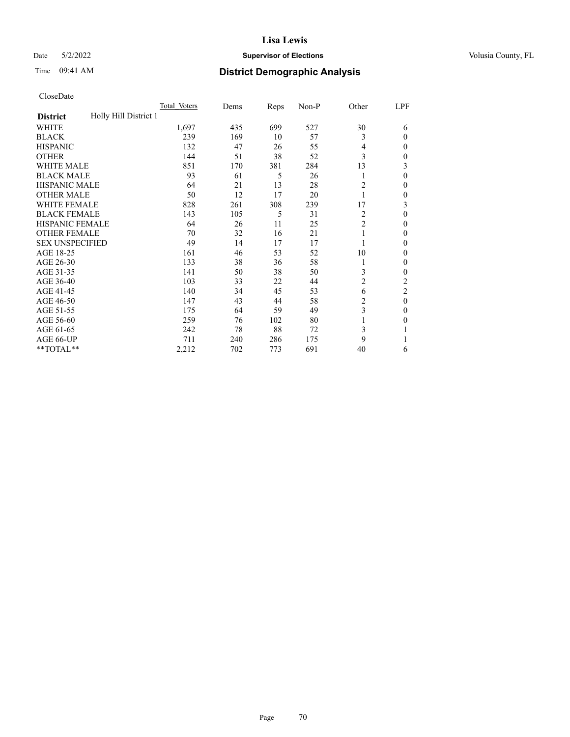# Date 5/2/2022 **Supervisor of Elections Supervisor of Elections** Volusia County, FL

# Time 09:41 AM **District Demographic Analysis**

|                                          | Total Voters | Dems | Reps | Non-P | Other          | LPF          |
|------------------------------------------|--------------|------|------|-------|----------------|--------------|
| Holly Hill District 1<br><b>District</b> |              |      |      |       |                |              |
| WHITE                                    | 1,697        | 435  | 699  | 527   | 30             | 6            |
| <b>BLACK</b>                             | 239          | 169  | 10   | 57    | 3              | $\Omega$     |
| <b>HISPANIC</b>                          | 132          | 47   | 26   | 55    | 4              | $\Omega$     |
| <b>OTHER</b>                             | 144          | 51   | 38   | 52    | 3              | 0            |
| WHITE MALE                               | 851          | 170  | 381  | 284   | 13             | 3            |
| <b>BLACK MALE</b>                        | 93           | 61   | 5    | 26    | 1              | $\theta$     |
| <b>HISPANIC MALE</b>                     | 64           | 21   | 13   | 28    | 2              | $\mathbf{0}$ |
| <b>OTHER MALE</b>                        | 50           | 12   | 17   | 20    | 1              | 0            |
| <b>WHITE FEMALE</b>                      | 828          | 261  | 308  | 239   | 17             | 3            |
| <b>BLACK FEMALE</b>                      | 143          | 105  | 5    | 31    | 2              | $\theta$     |
| <b>HISPANIC FEMALE</b>                   | 64           | 26   | 11   | 25    | $\overline{c}$ | 0            |
| <b>OTHER FEMALE</b>                      | 70           | 32   | 16   | 21    | 1              | 0            |
| <b>SEX UNSPECIFIED</b>                   | 49           | 14   | 17   | 17    |                | 0            |
| AGE 18-25                                | 161          | 46   | 53   | 52    | 10             | $\Omega$     |
| AGE 26-30                                | 133          | 38   | 36   | 58    | 1              | $\mathbf{0}$ |
| AGE 31-35                                | 141          | 50   | 38   | 50    | 3              | 0            |
| AGE 36-40                                | 103          | 33   | 22   | 44    | 2              | 2            |
| AGE 41-45                                | 140          | 34   | 45   | 53    | 6              | 2            |
| AGE 46-50                                | 147          | 43   | 44   | 58    | 2              | $\theta$     |
| AGE 51-55                                | 175          | 64   | 59   | 49    | 3              | $\Omega$     |
| AGE 56-60                                | 259          | 76   | 102  | 80    |                | 0            |
| AGE 61-65                                | 242          | 78   | 88   | 72    | 3              |              |
| AGE 66-UP                                | 711          | 240  | 286  | 175   | 9              |              |
| **TOTAL**                                | 2,212        | 702  | 773  | 691   | 40             | 6            |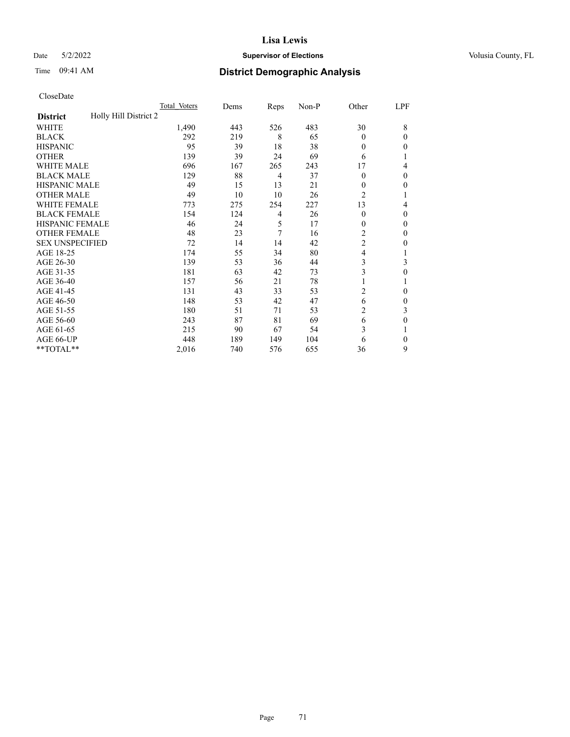# Date 5/2/2022 **Supervisor of Elections Supervisor of Elections** Volusia County, FL

# Time 09:41 AM **District Demographic Analysis**

|                                          | Total Voters | Dems | Reps           | Non-P | Other          | LPF      |
|------------------------------------------|--------------|------|----------------|-------|----------------|----------|
| Holly Hill District 2<br><b>District</b> |              |      |                |       |                |          |
| WHITE                                    | 1,490        | 443  | 526            | 483   | 30             | 8        |
| <b>BLACK</b>                             | 292          | 219  | 8              | 65    | $\theta$       | $\Omega$ |
| <b>HISPANIC</b>                          | 95           | 39   | 18             | 38    | $\theta$       | 0        |
| <b>OTHER</b>                             | 139          | 39   | 24             | 69    | 6              |          |
| WHITE MALE                               | 696          | 167  | 265            | 243   | 17             | 4        |
| <b>BLACK MALE</b>                        | 129          | 88   | 4              | 37    | $\Omega$       | $\Omega$ |
| <b>HISPANIC MALE</b>                     | 49           | 15   | 13             | 21    | 0              | 0        |
| <b>OTHER MALE</b>                        | 49           | 10   | 10             | 26    | $\overline{2}$ | 1        |
| WHITE FEMALE                             | 773          | 275  | 254            | 227   | 13             | 4        |
| <b>BLACK FEMALE</b>                      | 154          | 124  | $\overline{4}$ | 26    | $\Omega$       | $\Omega$ |
| <b>HISPANIC FEMALE</b>                   | 46           | 24   | 5              | 17    | $\Omega$       | 0        |
| <b>OTHER FEMALE</b>                      | 48           | 23   | 7              | 16    | 2              | 0        |
| <b>SEX UNSPECIFIED</b>                   | 72           | 14   | 14             | 42    | $\overline{c}$ | 0        |
| AGE 18-25                                | 174          | 55   | 34             | 80    | 4              |          |
| AGE 26-30                                | 139          | 53   | 36             | 44    | 3              | 3        |
| AGE 31-35                                | 181          | 63   | 42             | 73    | 3              | 0        |
| AGE 36-40                                | 157          | 56   | 21             | 78    | 1              |          |
| AGE 41-45                                | 131          | 43   | 33             | 53    | $\overline{2}$ | 0        |
| AGE 46-50                                | 148          | 53   | 42             | 47    | 6              | 0        |
| AGE 51-55                                | 180          | 51   | 71             | 53    | 2              | 3        |
| AGE 56-60                                | 243          | 87   | 81             | 69    | 6              | 0        |
| AGE 61-65                                | 215          | 90   | 67             | 54    | 3              |          |
| AGE 66-UP                                | 448          | 189  | 149            | 104   | 6              | $\Omega$ |
| **TOTAL**                                | 2,016        | 740  | 576            | 655   | 36             | 9        |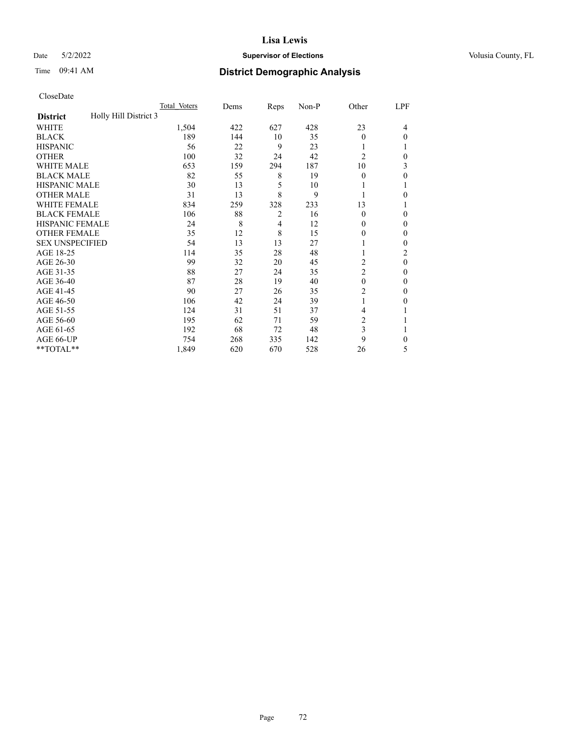# Date 5/2/2022 **Supervisor of Elections Supervisor of Elections** Volusia County, FL

# Time 09:41 AM **District Demographic Analysis**

|                                          | Total Voters | Dems | Reps           | Non-P | Other          | LPF      |
|------------------------------------------|--------------|------|----------------|-------|----------------|----------|
| Holly Hill District 3<br><b>District</b> |              |      |                |       |                |          |
| WHITE                                    | 1,504        | 422  | 627            | 428   | 23             | 4        |
| <b>BLACK</b>                             | 189          | 144  | 10             | 35    | $\theta$       | 0        |
| <b>HISPANIC</b>                          | 56           | 22   | 9              | 23    |                |          |
| <b>OTHER</b>                             | 100          | 32   | 24             | 42    | $\overline{2}$ | 0        |
| WHITE MALE                               | 653          | 159  | 294            | 187   | 10             | 3        |
| <b>BLACK MALE</b>                        | 82           | 55   | 8              | 19    | $\theta$       | 0        |
| <b>HISPANIC MALE</b>                     | 30           | 13   | 5              | 10    |                |          |
| <b>OTHER MALE</b>                        | 31           | 13   | 8              | 9     |                | 0        |
| <b>WHITE FEMALE</b>                      | 834          | 259  | 328            | 233   | 13             |          |
| <b>BLACK FEMALE</b>                      | 106          | 88   | $\overline{2}$ | 16    | $\theta$       | 0        |
| <b>HISPANIC FEMALE</b>                   | 24           | 8    | 4              | 12    | 0              | 0        |
| <b>OTHER FEMALE</b>                      | 35           | 12   | 8              | 15    | 0              | 0        |
| <b>SEX UNSPECIFIED</b>                   | 54           | 13   | 13             | 27    |                | 0        |
| AGE 18-25                                | 114          | 35   | 28             | 48    |                | 2        |
| AGE 26-30                                | 99           | 32   | 20             | 45    | $\overline{c}$ | $\theta$ |
| AGE 31-35                                | 88           | 27   | 24             | 35    | $\overline{c}$ | 0        |
| AGE 36-40                                | 87           | 28   | 19             | 40    | $\theta$       | 0        |
| AGE 41-45                                | 90           | 27   | 26             | 35    | 2              | 0        |
| AGE 46-50                                | 106          | 42   | 24             | 39    | 1              | 0        |
| AGE 51-55                                | 124          | 31   | 51             | 37    | 4              |          |
| AGE 56-60                                | 195          | 62   | 71             | 59    | 2              |          |
| AGE 61-65                                | 192          | 68   | 72             | 48    | 3              |          |
| AGE 66-UP                                | 754          | 268  | 335            | 142   | 9              | 0        |
| **TOTAL**                                | 1,849        | 620  | 670            | 528   | 26             | 5        |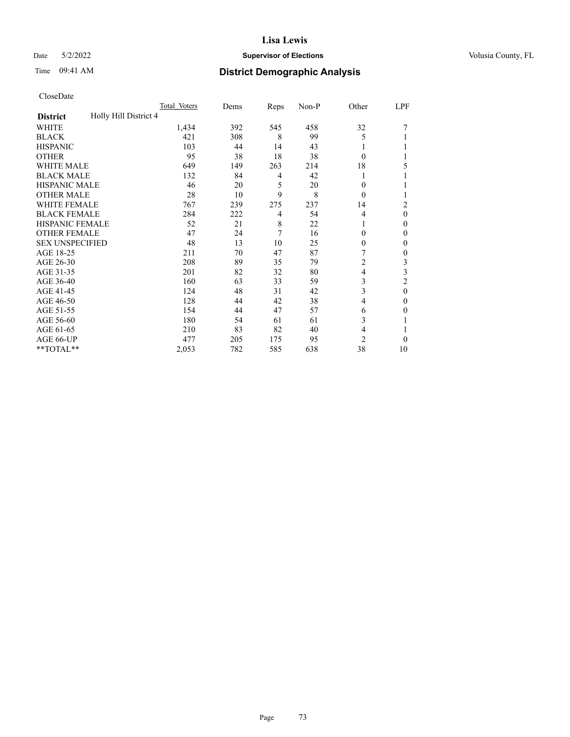## Date 5/2/2022 **Supervisor of Elections Supervisor of Elections** Volusia County, FL

| CloseDate |
|-----------|
|-----------|

|                                          | Total Voters | Dems | Reps           | Non-P | Other          | LPF          |
|------------------------------------------|--------------|------|----------------|-------|----------------|--------------|
| Holly Hill District 4<br><b>District</b> |              |      |                |       |                |              |
| WHITE                                    | 1,434        | 392  | 545            | 458   | 32             |              |
| <b>BLACK</b>                             | 421          | 308  | 8              | 99    | 5              |              |
| <b>HISPANIC</b>                          | 103          | 44   | 14             | 43    | 1              |              |
| <b>OTHER</b>                             | 95           | 38   | 18             | 38    | $\theta$       |              |
| <b>WHITE MALE</b>                        | 649          | 149  | 263            | 214   | 18             | 5            |
| <b>BLACK MALE</b>                        | 132          | 84   | $\overline{4}$ | 42    |                |              |
| HISPANIC MALE                            | 46           | 20   | 5              | 20    | 0              |              |
| <b>OTHER MALE</b>                        | 28           | 10   | 9              | 8     | $\Omega$       |              |
| <b>WHITE FEMALE</b>                      | 767          | 239  | 275            | 237   | 14             | 2            |
| <b>BLACK FEMALE</b>                      | 284          | 222  | $\overline{4}$ | 54    | 4              | $\theta$     |
| <b>HISPANIC FEMALE</b>                   | 52           | 21   | 8              | 22    |                | $\Omega$     |
| <b>OTHER FEMALE</b>                      | 47           | 24   | 7              | 16    | $\Omega$       | $\mathbf{0}$ |
| <b>SEX UNSPECIFIED</b>                   | 48           | 13   | 10             | 25    | $\Omega$       | $\mathbf{0}$ |
| AGE 18-25                                | 211          | 70   | 47             | 87    | 7              | $\mathbf{0}$ |
| AGE 26-30                                | 208          | 89   | 35             | 79    | 2              | 3            |
| AGE 31-35                                | 201          | 82   | 32             | 80    | 4              | 3            |
| AGE 36-40                                | 160          | 63   | 33             | 59    | 3              | 2            |
| AGE 41-45                                | 124          | 48   | 31             | 42    | 3              | $\theta$     |
| AGE 46-50                                | 128          | 44   | 42             | 38    | 4              | $\theta$     |
| AGE 51-55                                | 154          | 44   | 47             | 57    | 6              | $\Omega$     |
| AGE 56-60                                | 180          | 54   | 61             | 61    | 3              |              |
| AGE 61-65                                | 210          | 83   | 82             | 40    | 4              |              |
| AGE 66-UP                                | 477          | 205  | 175            | 95    | $\overline{2}$ | $\theta$     |
| $**TOTAL**$                              | 2,053        | 782  | 585            | 638   | 38             | 10           |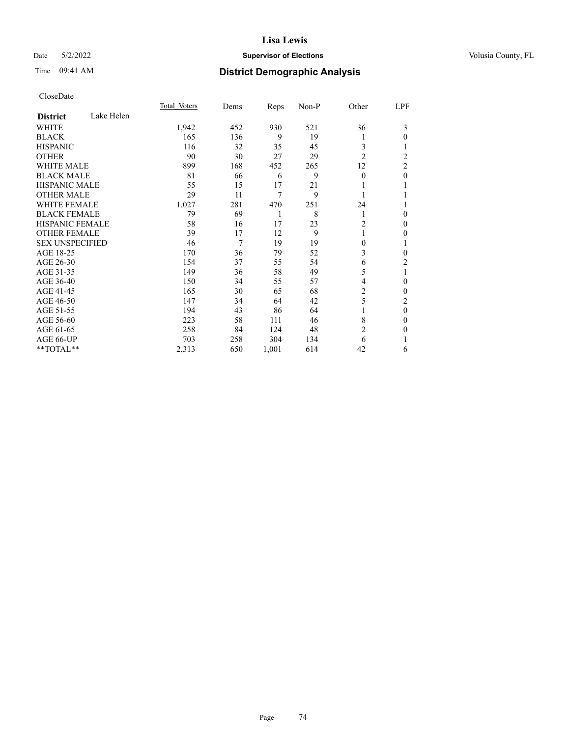## Date 5/2/2022 **Supervisor of Elections Supervisor of Elections** Volusia County, FL

# Time 09:41 AM **District Demographic Analysis**

|                               | Total Voters | Dems | Reps  | Non-P | Other          | LPF            |
|-------------------------------|--------------|------|-------|-------|----------------|----------------|
| Lake Helen<br><b>District</b> |              |      |       |       |                |                |
| WHITE                         | 1,942        | 452  | 930   | 521   | 36             | 3              |
| <b>BLACK</b>                  | 165          | 136  | 9     | 19    | 1              | 0              |
| <b>HISPANIC</b>               | 116          | 32   | 35    | 45    | 3              |                |
| <b>OTHER</b>                  | 90           | 30   | 27    | 29    | $\overline{2}$ | $\overline{2}$ |
| <b>WHITE MALE</b>             | 899          | 168  | 452   | 265   | 12             | $\overline{2}$ |
| <b>BLACK MALE</b>             | 81           | 66   | 6     | 9     | $\theta$       | 0              |
| <b>HISPANIC MALE</b>          | 55           | 15   | 17    | 21    |                |                |
| <b>OTHER MALE</b>             | 29           | 11   | 7     | 9     | 1              |                |
| <b>WHITE FEMALE</b>           | 1,027        | 281  | 470   | 251   | 24             |                |
| <b>BLACK FEMALE</b>           | 79           | 69   | 1     | 8     | 1              | 0              |
| <b>HISPANIC FEMALE</b>        | 58           | 16   | 17    | 23    | 2              | 0              |
| <b>OTHER FEMALE</b>           | 39           | 17   | 12    | 9     | 1              | 0              |
| <b>SEX UNSPECIFIED</b>        | 46           | 7    | 19    | 19    | $\theta$       | 1              |
| AGE 18-25                     | 170          | 36   | 79    | 52    | 3              | 0              |
| AGE 26-30                     | 154          | 37   | 55    | 54    | 6              | $\overline{c}$ |
| AGE 31-35                     | 149          | 36   | 58    | 49    | 5              | 1              |
| AGE 36-40                     | 150          | 34   | 55    | 57    | 4              | 0              |
| AGE 41-45                     | 165          | 30   | 65    | 68    | 2              | 0              |
| AGE 46-50                     | 147          | 34   | 64    | 42    | 5              | $\overline{c}$ |
| AGE 51-55                     | 194          | 43   | 86    | 64    | 1              | 0              |
| AGE 56-60                     | 223          | 58   | 111   | 46    | 8              | 0              |
| AGE 61-65                     | 258          | 84   | 124   | 48    | $\overline{c}$ | 0              |
| AGE 66-UP                     | 703          | 258  | 304   | 134   | 6              |                |
| **TOTAL**                     | 2,313        | 650  | 1,001 | 614   | 42             | 6              |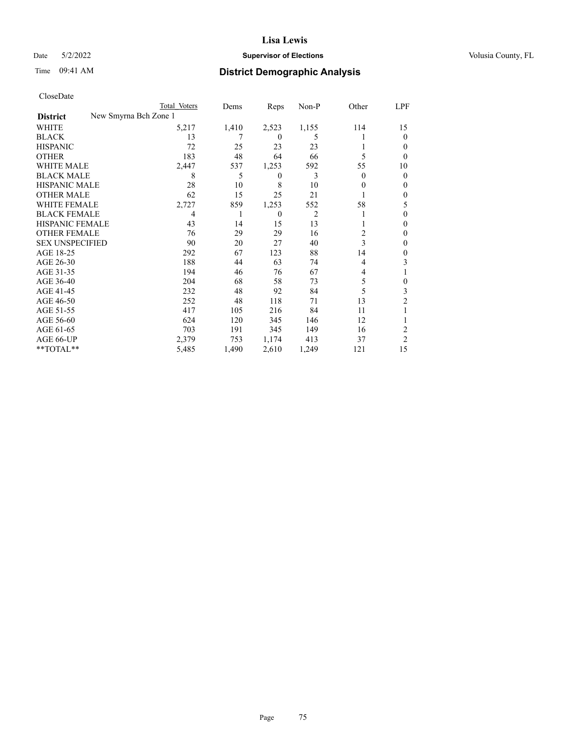## Date 5/2/2022 **Supervisor of Elections Supervisor of Elections** Volusia County, FL

| CloseDate              |                       |       |          |                |          |                  |
|------------------------|-----------------------|-------|----------|----------------|----------|------------------|
|                        | Total Voters          | Dems  | Reps     | Non-P          | Other    | LPF              |
| <b>District</b>        | New Smyrna Bch Zone 1 |       |          |                |          |                  |
| WHITE                  | 5,217                 | 1,410 | 2,523    | 1,155          | 114      | 15               |
| <b>BLACK</b>           | 13                    |       | $\Omega$ | 5              |          | $\overline{0}$   |
| <b>HISPANIC</b>        | 72                    | 25    | 23       | 23             |          | $\boldsymbol{0}$ |
| <b>OTHER</b>           | 183                   | 48    | 64       | 66             | 5        | $\overline{0}$   |
| <b>WHITE MALE</b>      | 2,447                 | 537   | 1,253    | 592            | 55       | 10               |
| <b>BLACK MALE</b>      | 8                     | 5     | $\theta$ | 3              | $\theta$ | $\overline{0}$   |
| <b>HISPANIC MALE</b>   | 28                    | 10    | 8        | 10             | $\theta$ | $\overline{0}$   |
| <b>OTHER MALE</b>      | 62                    | 15    | 25       | 21             | 1        | $\boldsymbol{0}$ |
| <b>WHITE FEMALE</b>    | 2,727                 | 859   | 1,253    | 552            | 58       | 5                |
| <b>BLACK FEMALE</b>    | 4                     | 1     | $\theta$ | $\overline{2}$ |          | $\overline{0}$   |
| <b>HISPANIC FEMALE</b> | 43                    | 14    | 15       | 13             |          | $\theta$         |
| <b>OTHER FEMALE</b>    | 76                    | 29    | 29       | 16             | 2        | $\theta$         |
| <b>SEX UNSPECIFIED</b> | 90                    | 20    | 27       | 40             | 3        | $\boldsymbol{0}$ |
| AGE 18-25              | 292                   | 67    | 123      | 88             | 14       | $\boldsymbol{0}$ |
| AGE 26-30              | 188                   | 44    | 63       | 74             | 4        | 3                |
| AGE 31-35              | 194                   | 46    | 76       | 67             | 4        | $\mathbf{1}$     |
| AGE 36-40              | 204                   | 68    | 58       | 73             | 5        | $\boldsymbol{0}$ |
| AGE 41-45              | 232                   | 48    | 92       | 84             | 5        | $\mathfrak{Z}$   |
| AGE 46-50              | 252                   | 48    | 118      | 71             | 13       | $\overline{c}$   |
| AGE 51-55              | 417                   | 105   | 216      | 84             | 11       | 1                |
| AGE 56-60              | 624                   | 120   | 345      | 146            | 12       | 1                |
| AGE 61-65              | 703                   | 191   | 345      | 149            | 16       | $\boldsymbol{2}$ |
| AGE 66-UP              | 2,379                 | 753   | 1,174    | 413            | 37       | $\overline{2}$   |
| **TOTAL**              | 5,485                 | 1,490 | 2,610    | 1,249          | 121      | 15               |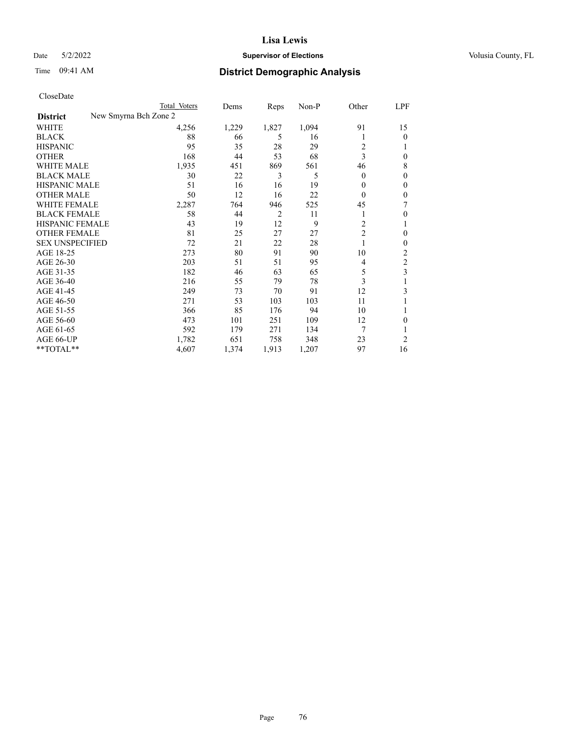## Date 5/2/2022 **Supervisor of Elections Supervisor of Elections** Volusia County, FL

| CloseDate |
|-----------|
|-----------|

| New Smyrna Bch Zone 2<br><b>District</b><br><b>WHITE</b><br>4,256<br>1,229<br>1,827<br>1,094<br>91<br><b>BLACK</b><br>88<br>66<br>5<br>16<br>1<br>28<br>$\overline{\mathbf{c}}$<br><b>HISPANIC</b><br>95<br>35<br>29<br>3<br>53<br><b>OTHER</b><br>168<br>44<br>68<br><b>WHITE MALE</b><br>1,935<br>869<br>451<br>561<br>46<br>3<br><b>BLACK MALE</b><br>30<br>22<br>5<br>$\overline{0}$<br><b>HISPANIC MALE</b><br>51<br>16<br>16<br>19<br>$\Omega$<br><b>OTHER MALE</b><br>50<br>12<br>16<br>22<br>$\Omega$<br><b>WHITE FEMALE</b><br>2,287<br>764<br>946<br>525<br>45 | LPF            |
|--------------------------------------------------------------------------------------------------------------------------------------------------------------------------------------------------------------------------------------------------------------------------------------------------------------------------------------------------------------------------------------------------------------------------------------------------------------------------------------------------------------------------------------------------------------------------|----------------|
|                                                                                                                                                                                                                                                                                                                                                                                                                                                                                                                                                                          |                |
|                                                                                                                                                                                                                                                                                                                                                                                                                                                                                                                                                                          | 15             |
|                                                                                                                                                                                                                                                                                                                                                                                                                                                                                                                                                                          | $\Omega$       |
|                                                                                                                                                                                                                                                                                                                                                                                                                                                                                                                                                                          |                |
|                                                                                                                                                                                                                                                                                                                                                                                                                                                                                                                                                                          | 0              |
|                                                                                                                                                                                                                                                                                                                                                                                                                                                                                                                                                                          | 8              |
|                                                                                                                                                                                                                                                                                                                                                                                                                                                                                                                                                                          | 0              |
|                                                                                                                                                                                                                                                                                                                                                                                                                                                                                                                                                                          | 0              |
|                                                                                                                                                                                                                                                                                                                                                                                                                                                                                                                                                                          | 0              |
|                                                                                                                                                                                                                                                                                                                                                                                                                                                                                                                                                                          | 7              |
| $\overline{2}$<br><b>BLACK FEMALE</b><br>58<br>44<br>11<br>1                                                                                                                                                                                                                                                                                                                                                                                                                                                                                                             | 0              |
| 9<br>2<br>HISPANIC FEMALE<br>43<br>19<br>12                                                                                                                                                                                                                                                                                                                                                                                                                                                                                                                              | 1              |
| $\overline{c}$<br><b>OTHER FEMALE</b><br>81<br>27<br>25<br>27                                                                                                                                                                                                                                                                                                                                                                                                                                                                                                            | 0              |
| <b>SEX UNSPECIFIED</b><br>72<br>21<br>22<br>28<br>1                                                                                                                                                                                                                                                                                                                                                                                                                                                                                                                      | 0              |
| AGE 18-25<br>91<br>273<br>80<br>10<br>90                                                                                                                                                                                                                                                                                                                                                                                                                                                                                                                                 | 2              |
| AGE 26-30<br>203<br>51<br>51<br>95<br>4                                                                                                                                                                                                                                                                                                                                                                                                                                                                                                                                  | 2              |
| AGE 31-35<br>182<br>46<br>63<br>5<br>65                                                                                                                                                                                                                                                                                                                                                                                                                                                                                                                                  | 3              |
| 3<br>AGE 36-40<br>216<br>55<br>79<br>78                                                                                                                                                                                                                                                                                                                                                                                                                                                                                                                                  |                |
| AGE 41-45<br>249<br>73<br>70<br>91<br>12                                                                                                                                                                                                                                                                                                                                                                                                                                                                                                                                 | 3              |
| AGE 46-50<br>271<br>53<br>103<br>103<br>11                                                                                                                                                                                                                                                                                                                                                                                                                                                                                                                               |                |
| AGE 51-55<br>366<br>85<br>176<br>10<br>94                                                                                                                                                                                                                                                                                                                                                                                                                                                                                                                                |                |
| AGE 56-60<br>473<br>12<br>101<br>251<br>109                                                                                                                                                                                                                                                                                                                                                                                                                                                                                                                              | 0              |
| 7<br>AGE 61-65<br>592<br>179<br>271<br>134                                                                                                                                                                                                                                                                                                                                                                                                                                                                                                                               |                |
| AGE 66-UP<br>758<br>23<br>1,782<br>651<br>348                                                                                                                                                                                                                                                                                                                                                                                                                                                                                                                            | $\overline{2}$ |
| **TOTAL**<br>4,607<br>97<br>1,374<br>1,913<br>1,207                                                                                                                                                                                                                                                                                                                                                                                                                                                                                                                      | 16             |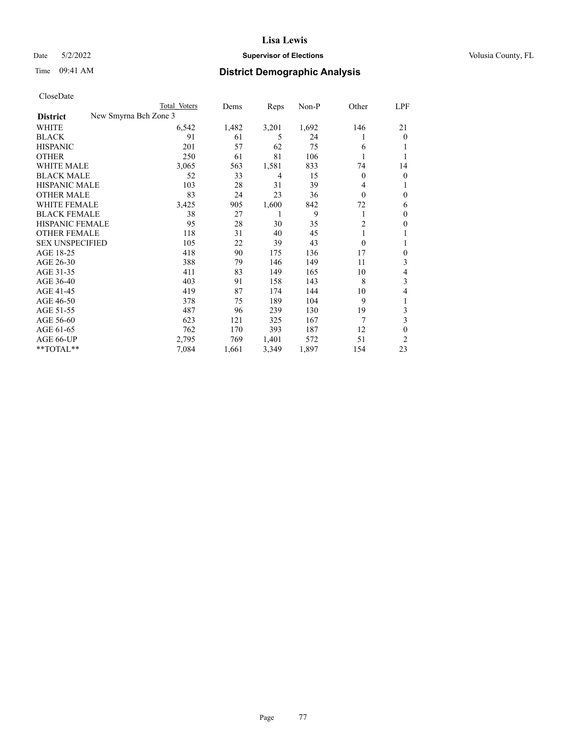## Date 5/2/2022 **Supervisor of Elections Supervisor of Elections** Volusia County, FL

| CloseDate |
|-----------|
|-----------|

| Total Voters | Dems                  | Reps  | $Non-P$ | Other          | LPF      |
|--------------|-----------------------|-------|---------|----------------|----------|
|              |                       |       |         |                |          |
| 6,542        | 1,482                 | 3,201 | 1,692   | 146            | 21       |
| 91           | 61                    | 5     | 24      | 1              | $\Omega$ |
| 201          | 57                    | 62    | 75      | 6              |          |
| 250          | 61                    | 81    | 106     | 1              |          |
| 3,065        | 563                   | 1,581 | 833     | 74             | 14       |
| 52           | 33                    | 4     | 15      | $\mathbf{0}$   | 0        |
| 103          | 28                    | 31    | 39      | 4              |          |
| 83           | 24                    | 23    | 36      | $\theta$       | 0        |
| 3,425        | 905                   | 1,600 | 842     | 72             | 6        |
| 38           | 27                    | 1     | 9       | 1              | 0        |
| 95           | 28                    | 30    | 35      | $\overline{c}$ | 0        |
| 118          | 31                    | 40    | 45      | 1              |          |
| 105          | 22                    | 39    | 43      | $\theta$       |          |
| 418          | 90                    | 175   | 136     | 17             | 0        |
| 388          | 79                    | 146   | 149     | 11             | 3        |
| 411          | 83                    | 149   | 165     | 10             | 4        |
| 403          | 91                    | 158   | 143     | 8              | 3        |
| 419          | 87                    | 174   | 144     | 10             | 4        |
| 378          | 75                    | 189   | 104     | 9              |          |
| 487          | 96                    | 239   | 130     | 19             | 3        |
| 623          | 121                   | 325   | 167     | 7              | 3        |
| 762          | 170                   | 393   | 187     | 12             | 0        |
| 2,795        | 769                   | 1,401 | 572     | 51             | 2        |
| 7,084        | 1,661                 | 3,349 | 1,897   | 154            | 23       |
|              | New Smyrna Bch Zone 3 |       |         |                |          |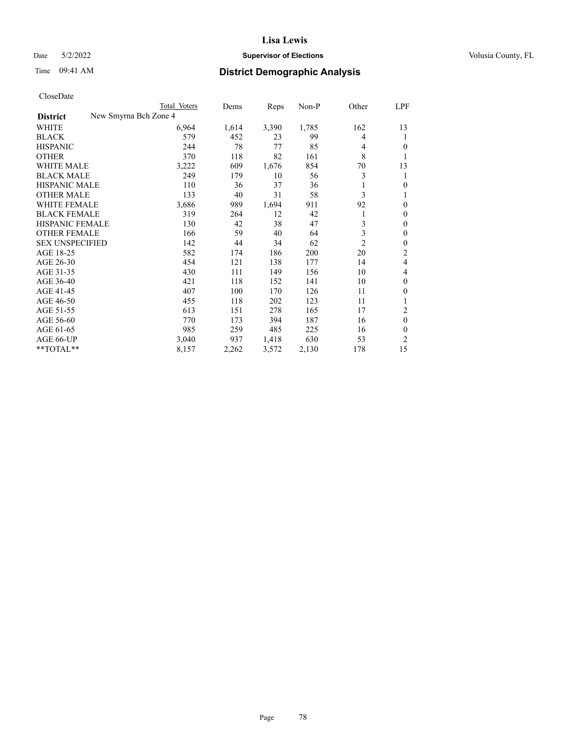## Date 5/2/2022 **Supervisor of Elections Supervisor of Elections** Volusia County, FL

| CloseDate |
|-----------|
|-----------|

|                                          | Total Voters | Dems  | Reps  | Non-P | Other          | LPF            |
|------------------------------------------|--------------|-------|-------|-------|----------------|----------------|
| New Smyrna Bch Zone 4<br><b>District</b> |              |       |       |       |                |                |
| WHITE                                    | 6,964        | 1,614 | 3,390 | 1,785 | 162            | 13             |
| <b>BLACK</b>                             | 579          | 452   | 23    | 99    | 4              | 1              |
| <b>HISPANIC</b>                          | 244          | 78    | 77    | 85    | 4              | 0              |
| <b>OTHER</b>                             | 370          | 118   | 82    | 161   | 8              | 1              |
| <b>WHITE MALE</b>                        | 3,222        | 609   | 1,676 | 854   | 70             | 13             |
| <b>BLACK MALE</b>                        | 249          | 179   | 10    | 56    | 3              | 1              |
| <b>HISPANIC MALE</b>                     | 110          | 36    | 37    | 36    |                | 0              |
| <b>OTHER MALE</b>                        | 133          | 40    | 31    | 58    | 3              | 1              |
| <b>WHITE FEMALE</b>                      | 3,686        | 989   | 1,694 | 911   | 92             | 0              |
| <b>BLACK FEMALE</b>                      | 319          | 264   | 12    | 42    | 1              | $\mathbf{0}$   |
| <b>HISPANIC FEMALE</b>                   | 130          | 42    | 38    | 47    | 3              | $\mathbf{0}$   |
| <b>OTHER FEMALE</b>                      | 166          | 59    | 40    | 64    | 3              | $\theta$       |
| <b>SEX UNSPECIFIED</b>                   | 142          | 44    | 34    | 62    | $\overline{2}$ | $\theta$       |
| AGE 18-25                                | 582          | 174   | 186   | 200   | 20             | 2              |
| AGE 26-30                                | 454          | 121   | 138   | 177   | 14             | 4              |
| AGE 31-35                                | 430          | 111   | 149   | 156   | 10             | 4              |
| AGE 36-40                                | 421          | 118   | 152   | 141   | 10             | $\theta$       |
| AGE 41-45                                | 407          | 100   | 170   | 126   | 11             | 0              |
| AGE 46-50                                | 455          | 118   | 202   | 123   | 11             | 1              |
| AGE 51-55                                | 613          | 151   | 278   | 165   | 17             | 2              |
| AGE 56-60                                | 770          | 173   | 394   | 187   | 16             | $\theta$       |
| AGE 61-65                                | 985          | 259   | 485   | 225   | 16             | $\theta$       |
| AGE 66-UP                                | 3,040        | 937   | 1,418 | 630   | 53             | $\overline{2}$ |
| **TOTAL**                                | 8,157        | 2,262 | 3,572 | 2,130 | 178            | 15             |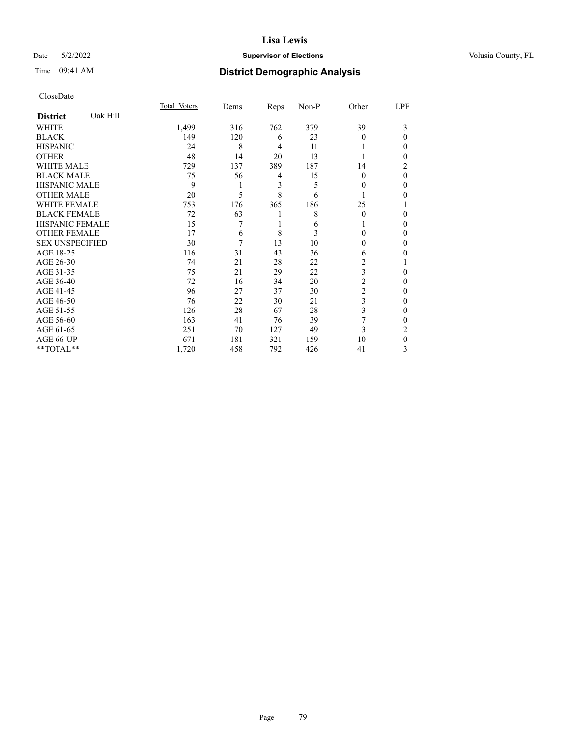### Date 5/2/2022 **Supervisor of Elections Supervisor of Elections** Volusia County, FL

# Time 09:41 AM **District Demographic Analysis**

|                             | Total Voters | Dems | Reps           | Non-P | Other          | LPF          |
|-----------------------------|--------------|------|----------------|-------|----------------|--------------|
| Oak Hill<br><b>District</b> |              |      |                |       |                |              |
| WHITE                       | 1,499        | 316  | 762            | 379   | 39             | 3            |
| <b>BLACK</b>                | 149          | 120  | 6              | 23    | $\Omega$       | $\theta$     |
| <b>HISPANIC</b>             | 24           | 8    | $\overline{4}$ | 11    |                | 0            |
| <b>OTHER</b>                | 48           | 14   | 20             | 13    |                | 0            |
| WHITE MALE                  | 729          | 137  | 389            | 187   | 14             | 2            |
| <b>BLACK MALE</b>           | 75           | 56   | 4              | 15    | $\Omega$       | $\theta$     |
| <b>HISPANIC MALE</b>        | 9            | 1    | 3              | 5     | 0              | 0            |
| <b>OTHER MALE</b>           | 20           | 5    | 8              | 6     |                | 0            |
| <b>WHITE FEMALE</b>         | 753          | 176  | 365            | 186   | 25             |              |
| <b>BLACK FEMALE</b>         | 72           | 63   | 1              | 8     | $\Omega$       | 0            |
| <b>HISPANIC FEMALE</b>      | 15           | 7    | 1              | 6     |                | 0            |
| <b>OTHER FEMALE</b>         | 17           | 6    | 8              | 3     | 0              | 0            |
| <b>SEX UNSPECIFIED</b>      | 30           | 7    | 13             | 10    | $\Omega$       | 0            |
| AGE 18-25                   | 116          | 31   | 43             | 36    | 6              | 0            |
| AGE 26-30                   | 74           | 21   | 28             | 22    | 2              |              |
| AGE 31-35                   | 75           | 21   | 29             | 22    | 3              | 0            |
| AGE 36-40                   | 72           | 16   | 34             | 20    | $\overline{2}$ | 0            |
| AGE 41-45                   | 96           | 27   | 37             | 30    | $\overline{c}$ | 0            |
| AGE 46-50                   | 76           | 22   | 30             | 21    | 3              | 0            |
| AGE 51-55                   | 126          | 28   | 67             | 28    | 3              | $\mathbf{0}$ |
| AGE 56-60                   | 163          | 41   | 76             | 39    | 7              | 0            |
| AGE 61-65                   | 251          | 70   | 127            | 49    | 3              | 2            |
| AGE 66-UP                   | 671          | 181  | 321            | 159   | 10             | $\theta$     |
| **TOTAL**                   | 1,720        | 458  | 792            | 426   | 41             | 3            |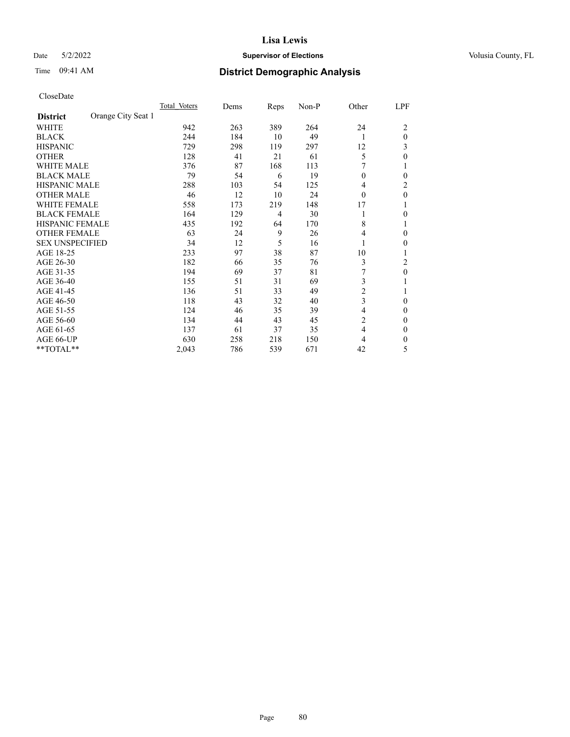## Date 5/2/2022 **Supervisor of Elections Supervisor of Elections** Volusia County, FL

# Time 09:41 AM **District Demographic Analysis**

|                        |                    | Total Voters | Dems | Reps | Non-P | Other          | LPF      |
|------------------------|--------------------|--------------|------|------|-------|----------------|----------|
| <b>District</b>        | Orange City Seat 1 |              |      |      |       |                |          |
| WHITE                  |                    | 942          | 263  | 389  | 264   | 24             | 2        |
| <b>BLACK</b>           |                    | 244          | 184  | 10   | 49    | 1              | $\theta$ |
| <b>HISPANIC</b>        |                    | 729          | 298  | 119  | 297   | 12             | 3        |
| <b>OTHER</b>           |                    | 128          | 41   | 21   | 61    | 5              | 0        |
| WHITE MALE             |                    | 376          | 87   | 168  | 113   |                |          |
| <b>BLACK MALE</b>      |                    | 79           | 54   | 6    | 19    | $\theta$       | 0        |
| <b>HISPANIC MALE</b>   |                    | 288          | 103  | 54   | 125   | 4              | 2        |
| <b>OTHER MALE</b>      |                    | 46           | 12   | 10   | 24    | $\theta$       | 0        |
| WHITE FEMALE           |                    | 558          | 173  | 219  | 148   | 17             |          |
| <b>BLACK FEMALE</b>    |                    | 164          | 129  | 4    | 30    | 1              | 0        |
| <b>HISPANIC FEMALE</b> |                    | 435          | 192  | 64   | 170   | 8              |          |
| <b>OTHER FEMALE</b>    |                    | 63           | 24   | 9    | 26    | 4              | 0        |
| <b>SEX UNSPECIFIED</b> |                    | 34           | 12   | 5    | 16    | 1              | 0        |
| AGE 18-25              |                    | 233          | 97   | 38   | 87    | 10             |          |
| AGE 26-30              |                    | 182          | 66   | 35   | 76    | 3              | 2        |
| AGE 31-35              |                    | 194          | 69   | 37   | 81    |                | 0        |
| AGE 36-40              |                    | 155          | 51   | 31   | 69    | 3              |          |
| AGE 41-45              |                    | 136          | 51   | 33   | 49    | $\overline{c}$ |          |
| AGE 46-50              |                    | 118          | 43   | 32   | 40    | 3              | $\Omega$ |
| AGE 51-55              |                    | 124          | 46   | 35   | 39    | 4              | 0        |
| AGE 56-60              |                    | 134          | 44   | 43   | 45    | $\overline{c}$ | 0        |
| AGE 61-65              |                    | 137          | 61   | 37   | 35    | 4              | 0        |
| AGE 66-UP              |                    | 630          | 258  | 218  | 150   | 4              | 0        |
| **TOTAL**              |                    | 2,043        | 786  | 539  | 671   | 42             | 5        |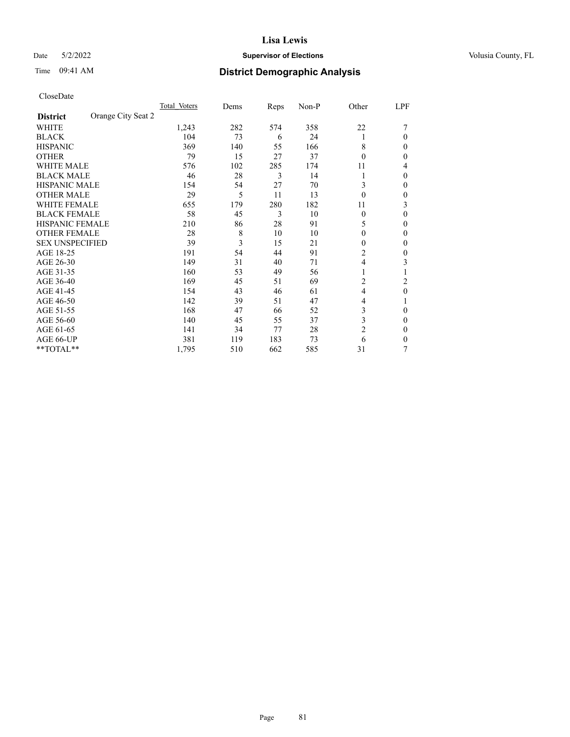## Date 5/2/2022 **Supervisor of Elections Supervisor of Elections** Volusia County, FL

| CloseDate |
|-----------|
|-----------|

|                                       | Total Voters | Dems | Reps | Non-P | Other          | LPF |
|---------------------------------------|--------------|------|------|-------|----------------|-----|
| Orange City Seat 2<br><b>District</b> |              |      |      |       |                |     |
| WHITE                                 | 1,243        | 282  | 574  | 358   | 22             |     |
| <b>BLACK</b>                          | 104          | 73   | 6    | 24    | 1              | 0   |
| <b>HISPANIC</b>                       | 369          | 140  | 55   | 166   | 8              | 0   |
| <b>OTHER</b>                          | 79           | 15   | 27   | 37    | $\theta$       | 0   |
| <b>WHITE MALE</b>                     | 576          | 102  | 285  | 174   | 11             | 4   |
| <b>BLACK MALE</b>                     | 46           | 28   | 3    | 14    |                | 0   |
| <b>HISPANIC MALE</b>                  | 154          | 54   | 27   | 70    | 3              | 0   |
| <b>OTHER MALE</b>                     | 29           | 5    | 11   | 13    | $\theta$       | 0   |
| <b>WHITE FEMALE</b>                   | 655          | 179  | 280  | 182   | 11             | 3   |
| <b>BLACK FEMALE</b>                   | 58           | 45   | 3    | 10    | $\Omega$       | 0   |
| <b>HISPANIC FEMALE</b>                | 210          | 86   | 28   | 91    | 5              | 0   |
| <b>OTHER FEMALE</b>                   | 28           | 8    | 10   | 10    | $\theta$       | 0   |
| <b>SEX UNSPECIFIED</b>                | 39           | 3    | 15   | 21    | $\theta$       | 0   |
| AGE 18-25                             | 191          | 54   | 44   | 91    | 2              | 0   |
| AGE 26-30                             | 149          | 31   | 40   | 71    | 4              | 3   |
| AGE 31-35                             | 160          | 53   | 49   | 56    | 1              |     |
| AGE 36-40                             | 169          | 45   | 51   | 69    | 2              | 2   |
| AGE 41-45                             | 154          | 43   | 46   | 61    | $\overline{4}$ | 0   |
| AGE 46-50                             | 142          | 39   | 51   | 47    | 4              |     |
| AGE 51-55                             | 168          | 47   | 66   | 52    | 3              | 0   |
| AGE 56-60                             | 140          | 45   | 55   | 37    | 3              | 0   |
| AGE 61-65                             | 141          | 34   | 77   | 28    | 2              | 0   |
| AGE 66-UP                             | 381          | 119  | 183  | 73    | 6              | 0   |
| **TOTAL**                             | 1,795        | 510  | 662  | 585   | 31             | 7   |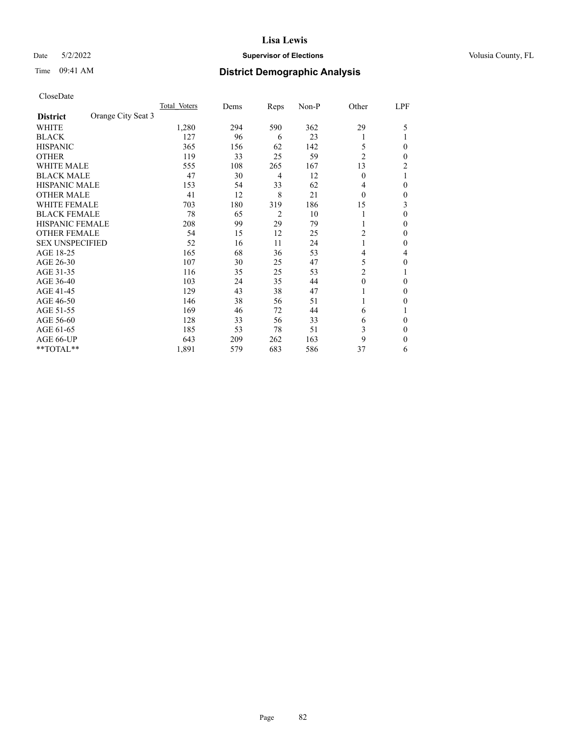## Date 5/2/2022 **Supervisor of Elections Supervisor of Elections** Volusia County, FL

# Time 09:41 AM **District Demographic Analysis**

|                        |                    | Total Voters | Dems | Reps           | Non-P | Other          | LPF |
|------------------------|--------------------|--------------|------|----------------|-------|----------------|-----|
| <b>District</b>        | Orange City Seat 3 |              |      |                |       |                |     |
| WHITE                  |                    | 1,280        | 294  | 590            | 362   | 29             | 5   |
| <b>BLACK</b>           |                    | 127          | 96   | 6              | 23    |                |     |
| <b>HISPANIC</b>        |                    | 365          | 156  | 62             | 142   | 5              | 0   |
| <b>OTHER</b>           |                    | 119          | 33   | 25             | 59    | $\overline{2}$ | 0   |
| WHITE MALE             |                    | 555          | 108  | 265            | 167   | 13             | 2   |
| <b>BLACK MALE</b>      |                    | 47           | 30   | 4              | 12    | $\theta$       |     |
| <b>HISPANIC MALE</b>   |                    | 153          | 54   | 33             | 62    | 4              | 0   |
| <b>OTHER MALE</b>      |                    | 41           | 12   | 8              | 21    | $\theta$       | 0   |
| <b>WHITE FEMALE</b>    |                    | 703          | 180  | 319            | 186   | 15             | 3   |
| <b>BLACK FEMALE</b>    |                    | 78           | 65   | $\overline{2}$ | 10    |                | 0   |
| <b>HISPANIC FEMALE</b> |                    | 208          | 99   | 29             | 79    |                | 0   |
| <b>OTHER FEMALE</b>    |                    | 54           | 15   | 12             | 25    | 2              | 0   |
| <b>SEX UNSPECIFIED</b> |                    | 52           | 16   | 11             | 24    |                | 0   |
| AGE 18-25              |                    | 165          | 68   | 36             | 53    | 4              | 4   |
| AGE 26-30              |                    | 107          | 30   | 25             | 47    | 5              | 0   |
| AGE 31-35              |                    | 116          | 35   | 25             | 53    | 2              |     |
| AGE 36-40              |                    | 103          | 24   | 35             | 44    | $\theta$       | 0   |
| AGE 41-45              |                    | 129          | 43   | 38             | 47    |                | 0   |
| AGE 46-50              |                    | 146          | 38   | 56             | 51    | 1              | 0   |
| AGE 51-55              |                    | 169          | 46   | 72             | 44    | 6              |     |
| AGE 56-60              |                    | 128          | 33   | 56             | 33    | 6              | 0   |
| AGE 61-65              |                    | 185          | 53   | 78             | 51    | 3              | 0   |
| AGE 66-UP              |                    | 643          | 209  | 262            | 163   | 9              | 0   |
| **TOTAL**              |                    | 1,891        | 579  | 683            | 586   | 37             | 6   |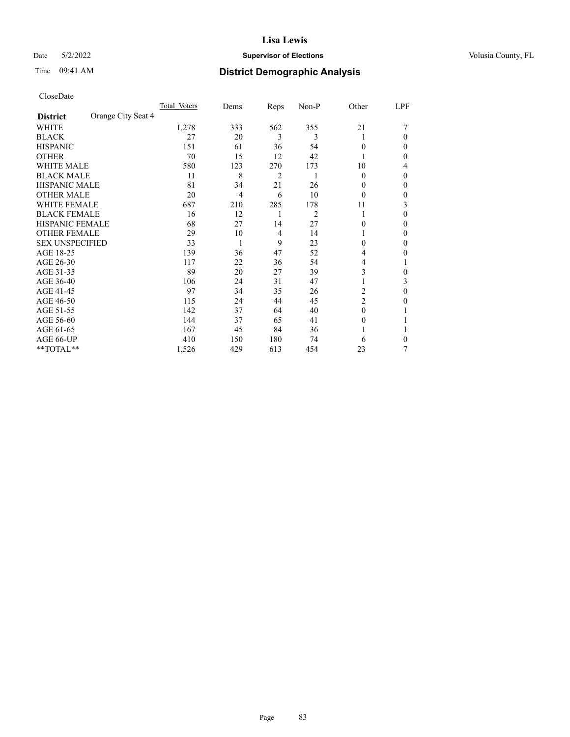## Date 5/2/2022 **Supervisor of Elections Supervisor of Elections** Volusia County, FL

# Time 09:41 AM **District Demographic Analysis**

|                        |                    | Total Voters | Dems | Reps | Non-P          | Other          | LPF    |
|------------------------|--------------------|--------------|------|------|----------------|----------------|--------|
| <b>District</b>        | Orange City Seat 4 |              |      |      |                |                |        |
| WHITE                  |                    | 1,278        | 333  | 562  | 355            | 21             |        |
| <b>BLACK</b>           |                    | 27           | 20   | 3    | 3              |                | 0      |
| <b>HISPANIC</b>        |                    | 151          | 61   | 36   | 54             | $\Omega$       | $_{0}$ |
| <b>OTHER</b>           |                    | 70           | 15   | 12   | 42             |                | 0      |
| <b>WHITE MALE</b>      |                    | 580          | 123  | 270  | 173            | 10             | 4      |
| <b>BLACK MALE</b>      |                    | 11           | 8    | 2    | 1              | $\Omega$       | 0      |
| <b>HISPANIC MALE</b>   |                    | 81           | 34   | 21   | 26             | 0              | 0      |
| <b>OTHER MALE</b>      |                    | 20           | 4    | 6    | 10             | $\theta$       | 0      |
| WHITE FEMALE           |                    | 687          | 210  | 285  | 178            | 11             | 3      |
| <b>BLACK FEMALE</b>    |                    | 16           | 12   | 1    | $\overline{c}$ | 1              | 0      |
| <b>HISPANIC FEMALE</b> |                    | 68           | 27   | 14   | 27             | 0              | 0      |
| <b>OTHER FEMALE</b>    |                    | 29           | 10   | 4    | 14             |                | 0      |
| <b>SEX UNSPECIFIED</b> |                    | 33           | 1    | 9    | 23             | $\Omega$       | 0      |
| AGE 18-25              |                    | 139          | 36   | 47   | 52             | 4              | 0      |
| AGE 26-30              |                    | 117          | 22   | 36   | 54             | 4              |        |
| AGE 31-35              |                    | 89           | 20   | 27   | 39             | 3              | 0      |
| AGE 36-40              |                    | 106          | 24   | 31   | 47             |                | 3      |
| AGE 41-45              |                    | 97           | 34   | 35   | 26             | 2              | 0      |
| AGE 46-50              |                    | 115          | 24   | 44   | 45             | $\overline{2}$ | 0      |
| AGE 51-55              |                    | 142          | 37   | 64   | 40             | $\Omega$       |        |
| AGE 56-60              |                    | 144          | 37   | 65   | 41             | $\theta$       |        |
| AGE 61-65              |                    | 167          | 45   | 84   | 36             |                |        |
| AGE 66-UP              |                    | 410          | 150  | 180  | 74             | 6              | 0      |
| **TOTAL**              |                    | 1,526        | 429  | 613  | 454            | 23             | 7      |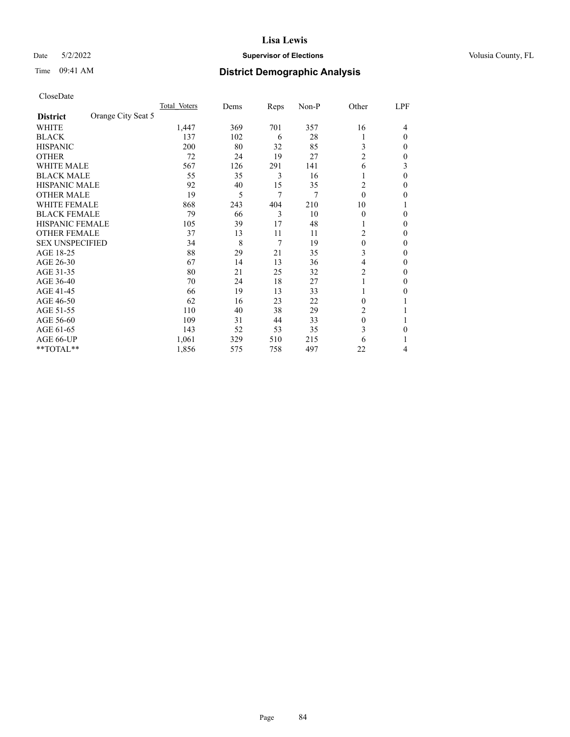## Date 5/2/2022 **Supervisor of Elections Supervisor of Elections** Volusia County, FL

# Time 09:41 AM **District Demographic Analysis**

|                        |                    | Total Voters | Dems | Reps | Non-P | Other          | LPF      |
|------------------------|--------------------|--------------|------|------|-------|----------------|----------|
| <b>District</b>        | Orange City Seat 5 |              |      |      |       |                |          |
| WHITE                  |                    | 1,447        | 369  | 701  | 357   | 16             | 4        |
| <b>BLACK</b>           |                    | 137          | 102  | 6    | 28    |                | $\Omega$ |
| <b>HISPANIC</b>        |                    | 200          | 80   | 32   | 85    | 3              | 0        |
| <b>OTHER</b>           |                    | 72           | 24   | 19   | 27    | $\overline{2}$ | 0        |
| WHITE MALE             |                    | 567          | 126  | 291  | 141   | 6              | 3        |
| <b>BLACK MALE</b>      |                    | 55           | 35   | 3    | 16    |                | $\Omega$ |
| <b>HISPANIC MALE</b>   |                    | 92           | 40   | 15   | 35    | 2              | 0        |
| <b>OTHER MALE</b>      |                    | 19           | 5    | 7    | 7     | $\theta$       | 0        |
| WHITE FEMALE           |                    | 868          | 243  | 404  | 210   | 10             |          |
| <b>BLACK FEMALE</b>    |                    | 79           | 66   | 3    | 10    | $\Omega$       | 0        |
| <b>HISPANIC FEMALE</b> |                    | 105          | 39   | 17   | 48    |                | 0        |
| <b>OTHER FEMALE</b>    |                    | 37           | 13   | 11   | 11    | 2              | 0        |
| <b>SEX UNSPECIFIED</b> |                    | 34           | 8    | 7    | 19    | $\theta$       | 0        |
| AGE 18-25              |                    | 88           | 29   | 21   | 35    | 3              | 0        |
| AGE 26-30              |                    | 67           | 14   | 13   | 36    | 4              | 0        |
| AGE 31-35              |                    | 80           | 21   | 25   | 32    | $\overline{c}$ | 0        |
| AGE 36-40              |                    | 70           | 24   | 18   | 27    | 1              | 0        |
| AGE 41-45              |                    | 66           | 19   | 13   | 33    |                | 0        |
| AGE 46-50              |                    | 62           | 16   | 23   | 22    | $\Omega$       |          |
| AGE 51-55              |                    | 110          | 40   | 38   | 29    | 2              |          |
| AGE 56-60              |                    | 109          | 31   | 44   | 33    | $\theta$       |          |
| AGE 61-65              |                    | 143          | 52   | 53   | 35    | 3              | 0        |
| AGE 66-UP              |                    | 1,061        | 329  | 510  | 215   | 6              |          |
| **TOTAL**              |                    | 1,856        | 575  | 758  | 497   | 22             | 4        |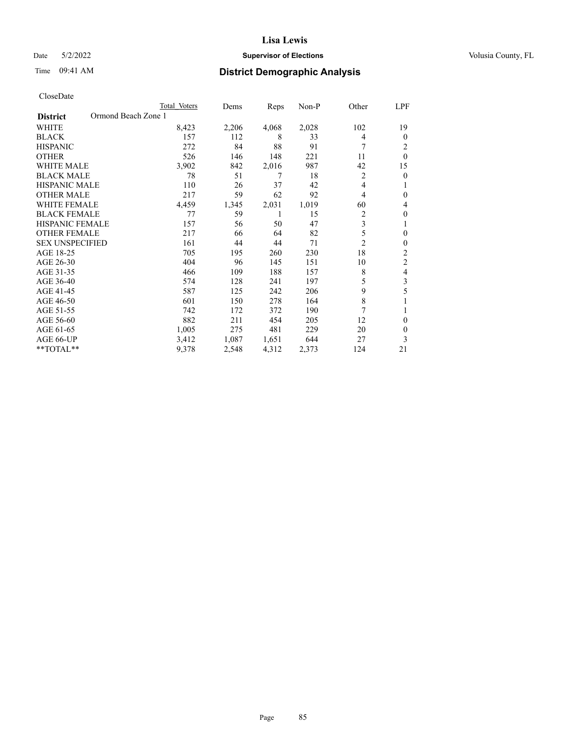## Date 5/2/2022 **Supervisor of Elections Supervisor of Elections** Volusia County, FL

# Time 09:41 AM **District Demographic Analysis**

|                                        | Total Voters | Dems  | Reps  | Non-P | Other          | LPF            |
|----------------------------------------|--------------|-------|-------|-------|----------------|----------------|
| Ormond Beach Zone 1<br><b>District</b> |              |       |       |       |                |                |
| WHITE                                  | 8,423        | 2,206 | 4,068 | 2,028 | 102            | 19             |
| <b>BLACK</b>                           | 157          | 112   | 8     | 33    | 4              | $\mathbf{0}$   |
| <b>HISPANIC</b>                        | 272          | 84    | 88    | 91    | 7              | 2              |
| <b>OTHER</b>                           | 526          | 146   | 148   | 221   | 11             | $\theta$       |
| <b>WHITE MALE</b>                      | 3,902        | 842   | 2,016 | 987   | 42             | 15             |
| <b>BLACK MALE</b>                      | 78           | 51    | 7     | 18    | 2              | $\mathbf{0}$   |
| <b>HISPANIC MALE</b>                   | 110          | 26    | 37    | 42    | 4              | 1              |
| <b>OTHER MALE</b>                      | 217          | 59    | 62    | 92    | 4              | $\mathbf{0}$   |
| WHITE FEMALE                           | 4,459        | 1,345 | 2,031 | 1,019 | 60             | 4              |
| <b>BLACK FEMALE</b>                    | 77           | 59    |       | 15    | $\overline{c}$ | $\theta$       |
| <b>HISPANIC FEMALE</b>                 | 157          | 56    | 50    | 47    | 3              | 1              |
| <b>OTHER FEMALE</b>                    | 217          | 66    | 64    | 82    | 5              | $\theta$       |
| <b>SEX UNSPECIFIED</b>                 | 161          | 44    | 44    | 71    | $\overline{2}$ | $\theta$       |
| AGE 18-25                              | 705          | 195   | 260   | 230   | 18             | $\overline{2}$ |
| AGE 26-30                              | 404          | 96    | 145   | 151   | 10             | $\overline{2}$ |
| AGE 31-35                              | 466          | 109   | 188   | 157   | 8              | 4              |
| AGE 36-40                              | 574          | 128   | 241   | 197   | 5              | 3              |
| AGE 41-45                              | 587          | 125   | 242   | 206   | 9              | 5              |
| AGE 46-50                              | 601          | 150   | 278   | 164   | 8              |                |
| AGE 51-55                              | 742          | 172   | 372   | 190   | 7              | 1              |
| AGE 56-60                              | 882          | 211   | 454   | 205   | 12             | $\theta$       |
| AGE 61-65                              | 1,005        | 275   | 481   | 229   | 20             | $\theta$       |
| AGE 66-UP                              | 3,412        | 1,087 | 1,651 | 644   | 27             | 3              |
| **TOTAL**                              | 9,378        | 2,548 | 4,312 | 2,373 | 124            | 21             |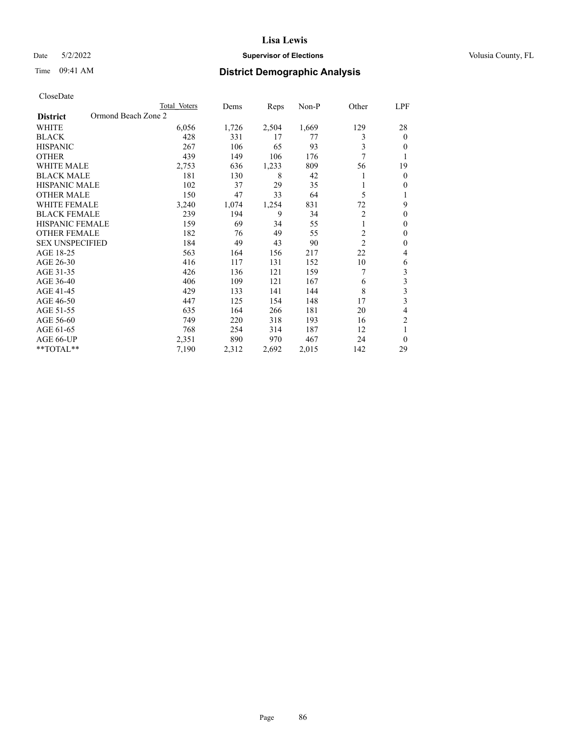## Date 5/2/2022 **Supervisor of Elections Supervisor of Elections** Volusia County, FL

# Time 09:41 AM **District Demographic Analysis**

|                                        | Total Voters | Dems  | Reps  | $Non-P$ | Other          | LPF            |
|----------------------------------------|--------------|-------|-------|---------|----------------|----------------|
| Ormond Beach Zone 2<br><b>District</b> |              |       |       |         |                |                |
| WHITE                                  | 6,056        | 1,726 | 2,504 | 1,669   | 129            | 28             |
| <b>BLACK</b>                           | 428          | 331   | 17    | 77      | 3              | $\theta$       |
| <b>HISPANIC</b>                        | 267          | 106   | 65    | 93      | 3              | $\theta$       |
| <b>OTHER</b>                           | 439          | 149   | 106   | 176     | 7              |                |
| <b>WHITE MALE</b>                      | 2,753        | 636   | 1,233 | 809     | 56             | 19             |
| <b>BLACK MALE</b>                      | 181          | 130   | 8     | 42      |                | $\theta$       |
| HISPANIC MALE                          | 102          | 37    | 29    | 35      |                | $\mathbf{0}$   |
| <b>OTHER MALE</b>                      | 150          | 47    | 33    | 64      | 5              |                |
| <b>WHITE FEMALE</b>                    | 3,240        | 1,074 | 1,254 | 831     | 72             | 9              |
| <b>BLACK FEMALE</b>                    | 239          | 194   | 9     | 34      | $\overline{c}$ | $\theta$       |
| <b>HISPANIC FEMALE</b>                 | 159          | 69    | 34    | 55      | 1              | $\mathbf{0}$   |
| <b>OTHER FEMALE</b>                    | 182          | 76    | 49    | 55      | $\overline{c}$ | $\theta$       |
| <b>SEX UNSPECIFIED</b>                 | 184          | 49    | 43    | 90      | $\overline{2}$ | $\theta$       |
| AGE 18-25                              | 563          | 164   | 156   | 217     | 22             | 4              |
| AGE 26-30                              | 416          | 117   | 131   | 152     | 10             | 6              |
| AGE 31-35                              | 426          | 136   | 121   | 159     | 7              | 3              |
| AGE 36-40                              | 406          | 109   | 121   | 167     | 6              | 3              |
| AGE 41-45                              | 429          | 133   | 141   | 144     | 8              | 3              |
| AGE 46-50                              | 447          | 125   | 154   | 148     | 17             | 3              |
| AGE 51-55                              | 635          | 164   | 266   | 181     | 20             | 4              |
| AGE 56-60                              | 749          | 220   | 318   | 193     | 16             | $\overline{2}$ |
| AGE 61-65                              | 768          | 254   | 314   | 187     | 12             | 1              |
| AGE 66-UP                              | 2,351        | 890   | 970   | 467     | 24             | $\theta$       |
| **TOTAL**                              | 7,190        | 2,312 | 2,692 | 2,015   | 142            | 29             |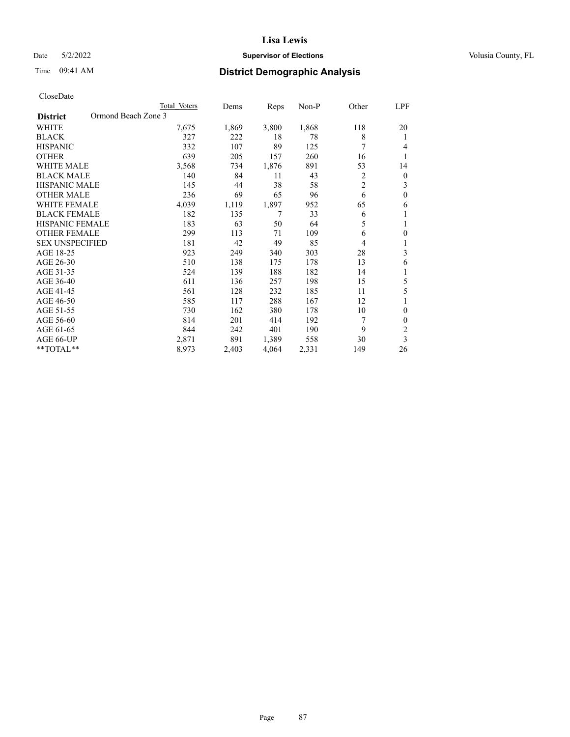## Date 5/2/2022 **Supervisor of Elections Supervisor of Elections** Volusia County, FL

# Time 09:41 AM **District Demographic Analysis**

|                                        | Total Voters | Dems  | Reps  | Non-P | Other          | LPF              |
|----------------------------------------|--------------|-------|-------|-------|----------------|------------------|
| Ormond Beach Zone 3<br><b>District</b> |              |       |       |       |                |                  |
| WHITE                                  | 7,675        | 1,869 | 3,800 | 1,868 | 118            | 20               |
| <b>BLACK</b>                           | 327          | 222   | 18    | 78    | 8              | 1                |
| <b>HISPANIC</b>                        | 332          | 107   | 89    | 125   | 7              | 4                |
| <b>OTHER</b>                           | 639          | 205   | 157   | 260   | 16             | 1                |
| <b>WHITE MALE</b>                      | 3,568        | 734   | 1,876 | 891   | 53             | 14               |
| <b>BLACK MALE</b>                      | 140          | 84    | 11    | 43    | 2              | $\boldsymbol{0}$ |
| <b>HISPANIC MALE</b>                   | 145          | 44    | 38    | 58    | $\overline{c}$ | 3                |
| <b>OTHER MALE</b>                      | 236          | 69    | 65    | 96    | 6              | $\theta$         |
| <b>WHITE FEMALE</b>                    | 4,039        | 1,119 | 1,897 | 952   | 65             | 6                |
| <b>BLACK FEMALE</b>                    | 182          | 135   | 7     | 33    | 6              | 1                |
| <b>HISPANIC FEMALE</b>                 | 183          | 63    | 50    | 64    | 5              | 1                |
| <b>OTHER FEMALE</b>                    | 299          | 113   | 71    | 109   | 6              | $\theta$         |
| <b>SEX UNSPECIFIED</b>                 | 181          | 42    | 49    | 85    | 4              | 1                |
| AGE 18-25                              | 923          | 249   | 340   | 303   | 28             | 3                |
| AGE 26-30                              | 510          | 138   | 175   | 178   | 13             | 6                |
| AGE 31-35                              | 524          | 139   | 188   | 182   | 14             | 1                |
| AGE 36-40                              | 611          | 136   | 257   | 198   | 15             | 5                |
| AGE 41-45                              | 561          | 128   | 232   | 185   | 11             | 5                |
| AGE 46-50                              | 585          | 117   | 288   | 167   | 12             | 1                |
| AGE 51-55                              | 730          | 162   | 380   | 178   | 10             | $\theta$         |
| AGE 56-60                              | 814          | 201   | 414   | 192   | 7              | $\theta$         |
| AGE 61-65                              | 844          | 242   | 401   | 190   | 9              | 2                |
| AGE 66-UP                              | 2,871        | 891   | 1,389 | 558   | 30             | 3                |
| **TOTAL**                              | 8,973        | 2,403 | 4,064 | 2,331 | 149            | 26               |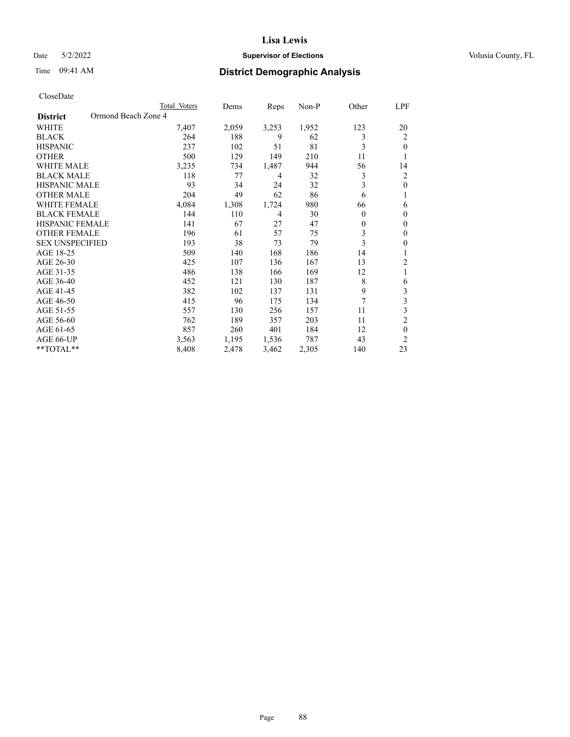## Date 5/2/2022 **Supervisor of Elections Supervisor of Elections** Volusia County, FL

# Time 09:41 AM **District Demographic Analysis**

|                                        | Total Voters | Dems  | Reps  | Non-P | Other    | LPF            |
|----------------------------------------|--------------|-------|-------|-------|----------|----------------|
| Ormond Beach Zone 4<br><b>District</b> |              |       |       |       |          |                |
| WHITE                                  | 7,407        | 2,059 | 3,253 | 1,952 | 123      | 20             |
| <b>BLACK</b>                           | 264          | 188   | 9     | 62    | 3        | 2              |
| <b>HISPANIC</b>                        | 237          | 102   | 51    | 81    | 3        | $\theta$       |
| <b>OTHER</b>                           | 500          | 129   | 149   | 210   | 11       |                |
| <b>WHITE MALE</b>                      | 3,235        | 734   | 1,487 | 944   | 56       | 14             |
| <b>BLACK MALE</b>                      | 118          | 77    | 4     | 32    | 3        | 2              |
| <b>HISPANIC MALE</b>                   | 93           | 34    | 24    | 32    | 3        | $\theta$       |
| <b>OTHER MALE</b>                      | 204          | 49    | 62    | 86    | 6        | 1              |
| <b>WHITE FEMALE</b>                    | 4,084        | 1,308 | 1,724 | 980   | 66       | 6              |
| <b>BLACK FEMALE</b>                    | 144          | 110   | 4     | 30    | $\theta$ | $\theta$       |
| <b>HISPANIC FEMALE</b>                 | 141          | 67    | 27    | 47    | $\theta$ | $\theta$       |
| <b>OTHER FEMALE</b>                    | 196          | 61    | 57    | 75    | 3        | $\theta$       |
| <b>SEX UNSPECIFIED</b>                 | 193          | 38    | 73    | 79    | 3        | $\theta$       |
| AGE 18-25                              | 509          | 140   | 168   | 186   | 14       |                |
| AGE 26-30                              | 425          | 107   | 136   | 167   | 13       | $\overline{c}$ |
| AGE 31-35                              | 486          | 138   | 166   | 169   | 12       | 1              |
| AGE 36-40                              | 452          | 121   | 130   | 187   | 8        | 6              |
| AGE 41-45                              | 382          | 102   | 137   | 131   | 9        | 3              |
| AGE 46-50                              | 415          | 96    | 175   | 134   | 7        | 3              |
| AGE 51-55                              | 557          | 130   | 256   | 157   | 11       | 3              |
| AGE 56-60                              | 762          | 189   | 357   | 203   | 11       | $\overline{c}$ |
| AGE 61-65                              | 857          | 260   | 401   | 184   | 12       | $\theta$       |
| AGE 66-UP                              | 3,563        | 1,195 | 1,536 | 787   | 43       | $\overline{c}$ |
| **TOTAL**                              | 8,408        | 2,478 | 3,462 | 2,305 | 140      | 23             |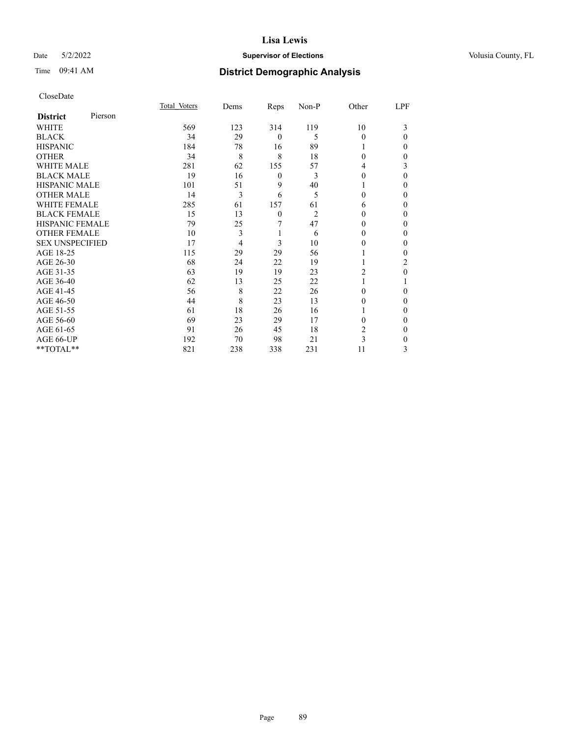## Date 5/2/2022 **Supervisor of Elections Supervisor of Elections** Volusia County, FL

| CloseDate |
|-----------|
|-----------|

|                        |         | Total Voters | Dems | Reps             | Non-P          | Other    | LPF      |
|------------------------|---------|--------------|------|------------------|----------------|----------|----------|
| <b>District</b>        | Pierson |              |      |                  |                |          |          |
| WHITE                  |         | 569          | 123  | 314              | 119            | 10       | 3        |
| <b>BLACK</b>           |         | 34           | 29   | $\mathbf{0}$     | 5              | $\Omega$ | $\Omega$ |
| <b>HISPANIC</b>        |         | 184          | 78   | 16               | 89             |          | 0        |
| <b>OTHER</b>           |         | 34           | 8    | 8                | 18             | $\Omega$ | 0        |
| <b>WHITE MALE</b>      |         | 281          | 62   | 155              | 57             | 4        | 3        |
| <b>BLACK MALE</b>      |         | 19           | 16   | $\boldsymbol{0}$ | 3              | $\theta$ | $\Omega$ |
| <b>HISPANIC MALE</b>   |         | 101          | 51   | 9                | 40             |          | 0        |
| <b>OTHER MALE</b>      |         | 14           | 3    | 6                | 5              | 0        | $\Omega$ |
| <b>WHITE FEMALE</b>    |         | 285          | 61   | 157              | 61             | 6        | 0        |
| <b>BLACK FEMALE</b>    |         | 15           | 13   | $\mathbf{0}$     | $\overline{c}$ | 0        | 0        |
| <b>HISPANIC FEMALE</b> |         | 79           | 25   | 7                | 47             | 0        | 0        |
| <b>OTHER FEMALE</b>    |         | 10           | 3    | 1                | 6              | 0        | 0        |
| <b>SEX UNSPECIFIED</b> |         | 17           | 4    | 3                | 10             | 0        | 0        |
| AGE 18-25              |         | 115          | 29   | 29               | 56             |          | 0        |
| AGE 26-30              |         | 68           | 24   | 22               | 19             |          | 2        |
| AGE 31-35              |         | 63           | 19   | 19               | 23             | 2        | 0        |
| AGE 36-40              |         | 62           | 13   | 25               | 22             |          |          |
| AGE 41-45              |         | 56           | 8    | 22               | 26             | 0        | 0        |
| AGE 46-50              |         | 44           | 8    | 23               | 13             | 0        | $\Omega$ |
| AGE 51-55              |         | 61           | 18   | 26               | 16             |          | 0        |
| AGE 56-60              |         | 69           | 23   | 29               | 17             | 0        | 0        |
| AGE 61-65              |         | 91           | 26   | 45               | 18             | 2        | $\Omega$ |
| AGE 66-UP              |         | 192          | 70   | 98               | 21             | 3        | 0        |
| **TOTAL**              |         | 821          | 238  | 338              | 231            | 11       | 3        |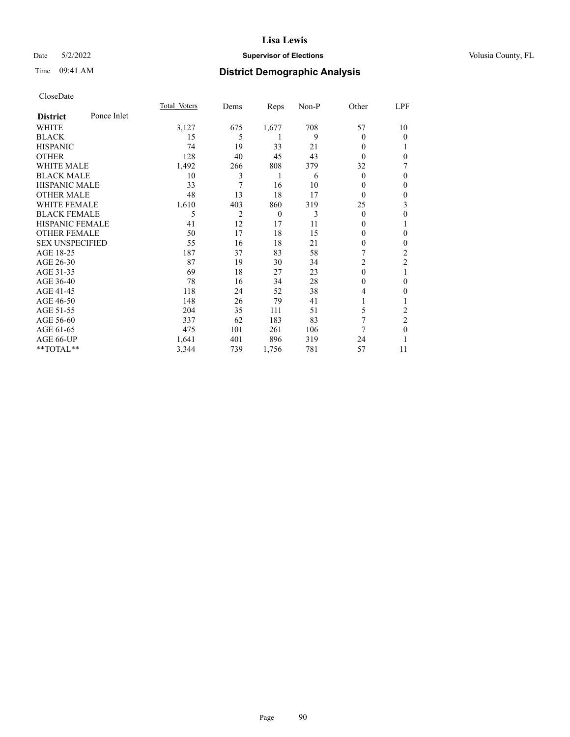## Date 5/2/2022 **Supervisor of Elections Supervisor of Elections** Volusia County, FL

# Time 09:41 AM **District Demographic Analysis**

|                        |             | Total Voters | Dems | Reps     | Non-P | Other          | LPF            |
|------------------------|-------------|--------------|------|----------|-------|----------------|----------------|
| <b>District</b>        | Ponce Inlet |              |      |          |       |                |                |
| WHITE                  |             | 3,127        | 675  | 1,677    | 708   | 57             | 10             |
| <b>BLACK</b>           |             | 15           | 5    | 1        | 9     | 0              | 0              |
| <b>HISPANIC</b>        |             | 74           | 19   | 33       | 21    | 0              |                |
| <b>OTHER</b>           |             | 128          | 40   | 45       | 43    | 0              | 0              |
| WHITE MALE             |             | 1,492        | 266  | 808      | 379   | 32             | 7              |
| <b>BLACK MALE</b>      |             | 10           | 3    | 1        | 6     | $\theta$       | 0              |
| <b>HISPANIC MALE</b>   |             | 33           | 7    | 16       | 10    | 0              | $\theta$       |
| <b>OTHER MALE</b>      |             | 48           | 13   | 18       | 17    | $\overline{0}$ | $\mathbf{0}$   |
| <b>WHITE FEMALE</b>    |             | 1,610        | 403  | 860      | 319   | 25             | 3              |
| <b>BLACK FEMALE</b>    |             | 5            | 2    | $\theta$ | 3     | $\theta$       | $\mathbf{0}$   |
| <b>HISPANIC FEMALE</b> |             | 41           | 12   | 17       | 11    | 0              | 1              |
| <b>OTHER FEMALE</b>    |             | 50           | 17   | 18       | 15    | 0              | 0              |
| <b>SEX UNSPECIFIED</b> |             | 55           | 16   | 18       | 21    | 0              | 0              |
| AGE 18-25              |             | 187          | 37   | 83       | 58    | 7              | $\overline{2}$ |
| AGE 26-30              |             | 87           | 19   | 30       | 34    | 2              | $\overline{2}$ |
| AGE 31-35              |             | 69           | 18   | 27       | 23    | $\mathbf{0}$   |                |
| AGE 36-40              |             | 78           | 16   | 34       | 28    | 0              | $\theta$       |
| AGE 41-45              |             | 118          | 24   | 52       | 38    | 4              | $\Omega$       |
| AGE 46-50              |             | 148          | 26   | 79       | 41    |                |                |
| AGE 51-55              |             | 204          | 35   | 111      | 51    | 5              | 2              |
| AGE 56-60              |             | 337          | 62   | 183      | 83    | 7              | $\overline{2}$ |
| AGE 61-65              |             | 475          | 101  | 261      | 106   | 7              | $\theta$       |
| AGE 66-UP              |             | 1,641        | 401  | 896      | 319   | 24             |                |
| **TOTAL**              |             | 3,344        | 739  | 1,756    | 781   | 57             | 11             |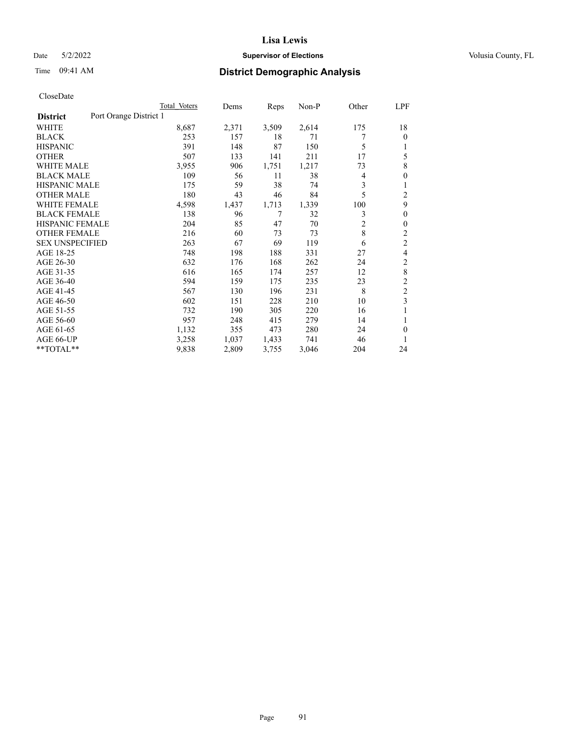## Date 5/2/2022 **Supervisor of Elections Supervisor of Elections** Volusia County, FL

# Time 09:41 AM **District Demographic Analysis**

|                                           | Total Voters | Dems  | Reps  | $Non-P$ | Other          | LPF            |
|-------------------------------------------|--------------|-------|-------|---------|----------------|----------------|
| Port Orange District 1<br><b>District</b> |              |       |       |         |                |                |
| WHITE                                     | 8,687        | 2,371 | 3,509 | 2,614   | 175            | 18             |
| <b>BLACK</b>                              | 253          | 157   | 18    | 71      |                | 0              |
| <b>HISPANIC</b>                           | 391          | 148   | 87    | 150     | 5              |                |
| <b>OTHER</b>                              | 507          | 133   | 141   | 211     | 17             | 5              |
| <b>WHITE MALE</b>                         | 3,955        | 906   | 1,751 | 1,217   | 73             | 8              |
| <b>BLACK MALE</b>                         | 109          | 56    | 11    | 38      | 4              | 0              |
| <b>HISPANIC MALE</b>                      | 175          | 59    | 38    | 74      | 3              |                |
| <b>OTHER MALE</b>                         | 180          | 43    | 46    | 84      | 5              | 2              |
| <b>WHITE FEMALE</b>                       | 4,598        | 1,437 | 1,713 | 1,339   | 100            | 9              |
| <b>BLACK FEMALE</b>                       | 138          | 96    | 7     | 32      | 3              | $\theta$       |
| <b>HISPANIC FEMALE</b>                    | 204          | 85    | 47    | 70      | $\overline{c}$ | 0              |
| <b>OTHER FEMALE</b>                       | 216          | 60    | 73    | 73      | 8              | $\overline{c}$ |
| <b>SEX UNSPECIFIED</b>                    | 263          | 67    | 69    | 119     | 6              | $\overline{c}$ |
| AGE 18-25                                 | 748          | 198   | 188   | 331     | 27             | 4              |
| AGE 26-30                                 | 632          | 176   | 168   | 262     | 24             | 2              |
| AGE 31-35                                 | 616          | 165   | 174   | 257     | 12             | 8              |
| AGE 36-40                                 | 594          | 159   | 175   | 235     | 23             | 2              |
| AGE 41-45                                 | 567          | 130   | 196   | 231     | 8              | $\overline{c}$ |
| AGE 46-50                                 | 602          | 151   | 228   | 210     | 10             | 3              |
| AGE 51-55                                 | 732          | 190   | 305   | 220     | 16             |                |
| AGE 56-60                                 | 957          | 248   | 415   | 279     | 14             | 1              |
| AGE 61-65                                 | 1,132        | 355   | 473   | 280     | 24             | 0              |
| AGE 66-UP                                 | 3,258        | 1,037 | 1,433 | 741     | 46             | 1              |
| **TOTAL**                                 | 9,838        | 2,809 | 3,755 | 3,046   | 204            | 24             |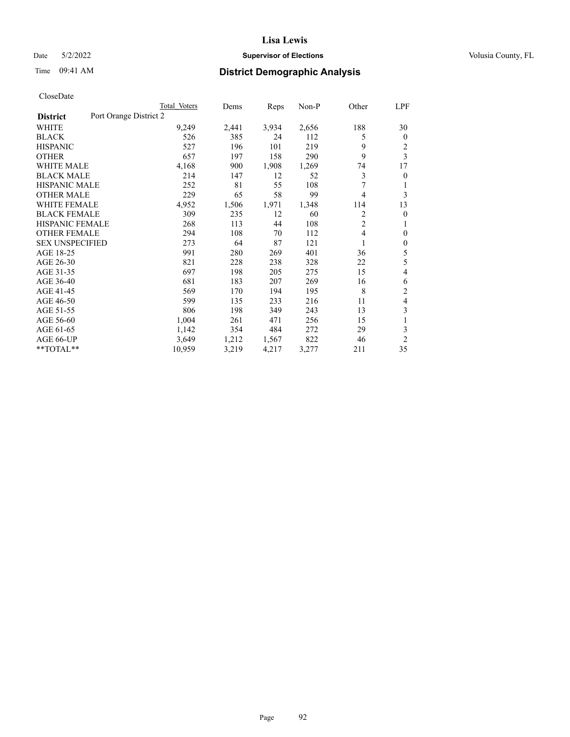## Date 5/2/2022 **Supervisor of Elections Supervisor of Elections** Volusia County, FL

# Time 09:41 AM **District Demographic Analysis**

|                                           | Total Voters | Dems  | Reps  | $Non-P$ | Other          | LPF            |
|-------------------------------------------|--------------|-------|-------|---------|----------------|----------------|
| Port Orange District 2<br><b>District</b> |              |       |       |         |                |                |
| WHITE                                     | 9,249        | 2,441 | 3,934 | 2,656   | 188            | 30             |
| <b>BLACK</b>                              | 526          | 385   | 24    | 112     | 5              | $\mathbf{0}$   |
| <b>HISPANIC</b>                           | 527          | 196   | 101   | 219     | 9              | 2              |
| <b>OTHER</b>                              | 657          | 197   | 158   | 290     | 9              | 3              |
| <b>WHITE MALE</b>                         | 4,168        | 900   | 1,908 | 1,269   | 74             | 17             |
| <b>BLACK MALE</b>                         | 214          | 147   | 12    | 52      | 3              | $\theta$       |
| <b>HISPANIC MALE</b>                      | 252          | 81    | 55    | 108     | 7              | 1              |
| <b>OTHER MALE</b>                         | 229          | 65    | 58    | 99      | 4              | 3              |
| <b>WHITE FEMALE</b>                       | 4,952        | 1,506 | 1,971 | 1,348   | 114            | 13             |
| <b>BLACK FEMALE</b>                       | 309          | 235   | 12    | 60      | 2              | $\overline{0}$ |
| <b>HISPANIC FEMALE</b>                    | 268          | 113   | 44    | 108     | $\overline{2}$ | 1              |
| <b>OTHER FEMALE</b>                       | 294          | 108   | 70    | 112     | 4              | $\theta$       |
| <b>SEX UNSPECIFIED</b>                    | 273          | 64    | 87    | 121     | 1              | $\mathbf{0}$   |
| AGE 18-25                                 | 991          | 280   | 269   | 401     | 36             | 5              |
| AGE 26-30                                 | 821          | 228   | 238   | 328     | 22             | 5              |
| AGE 31-35                                 | 697          | 198   | 205   | 275     | 15             | 4              |
| AGE 36-40                                 | 681          | 183   | 207   | 269     | 16             | 6              |
| AGE 41-45                                 | 569          | 170   | 194   | 195     | 8              | $\overline{2}$ |
| AGE 46-50                                 | 599          | 135   | 233   | 216     | 11             | 4              |
| AGE 51-55                                 | 806          | 198   | 349   | 243     | 13             | 3              |
| AGE 56-60                                 | 1,004        | 261   | 471   | 256     | 15             | 1              |
| AGE 61-65                                 | 1,142        | 354   | 484   | 272     | 29             | 3              |
| AGE 66-UP                                 | 3,649        | 1,212 | 1,567 | 822     | 46             | $\overline{2}$ |
| **TOTAL**                                 | 10,959       | 3,219 | 4,217 | 3,277   | 211            | 35             |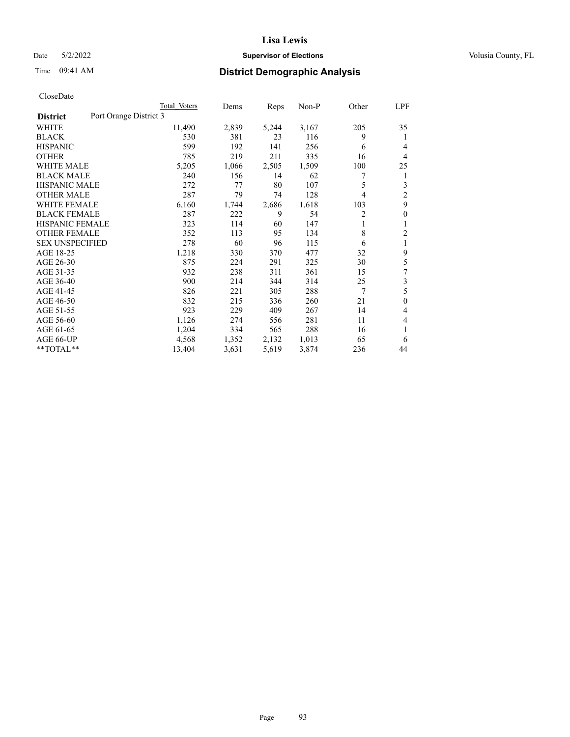## Date 5/2/2022 **Supervisor of Elections Supervisor of Elections** Volusia County, FL

# Time 09:41 AM **District Demographic Analysis**

|                                           | Total Voters | Dems  | Reps  | Non-P | Other | LPF            |
|-------------------------------------------|--------------|-------|-------|-------|-------|----------------|
| Port Orange District 3<br><b>District</b> |              |       |       |       |       |                |
| WHITE                                     | 11,490       | 2,839 | 5,244 | 3,167 | 205   | 35             |
| <b>BLACK</b>                              | 530          | 381   | 23    | 116   | 9     | 1              |
| <b>HISPANIC</b>                           | 599          | 192   | 141   | 256   | 6     | 4              |
| <b>OTHER</b>                              | 785          | 219   | 211   | 335   | 16    | 4              |
| <b>WHITE MALE</b>                         | 5,205        | 1,066 | 2,505 | 1,509 | 100   | 25             |
| <b>BLACK MALE</b>                         | 240          | 156   | 14    | 62    | 7     | 1              |
| HISPANIC MALE                             | 272          | 77    | 80    | 107   | 5     | 3              |
| <b>OTHER MALE</b>                         | 287          | 79    | 74    | 128   | 4     | $\overline{2}$ |
| <b>WHITE FEMALE</b>                       | 6,160        | 1,744 | 2,686 | 1,618 | 103   | 9              |
| <b>BLACK FEMALE</b>                       | 287          | 222   | 9     | 54    | 2     | $\mathbf{0}$   |
| <b>HISPANIC FEMALE</b>                    | 323          | 114   | 60    | 147   | 1     | 1              |
| <b>OTHER FEMALE</b>                       | 352          | 113   | 95    | 134   | 8     | $\overline{2}$ |
| <b>SEX UNSPECIFIED</b>                    | 278          | 60    | 96    | 115   | 6     | 1              |
| AGE 18-25                                 | 1,218        | 330   | 370   | 477   | 32    | 9              |
| AGE 26-30                                 | 875          | 224   | 291   | 325   | 30    | 5              |
| AGE 31-35                                 | 932          | 238   | 311   | 361   | 15    | 7              |
| AGE 36-40                                 | 900          | 214   | 344   | 314   | 25    | 3              |
| AGE 41-45                                 | 826          | 221   | 305   | 288   | 7     | 5              |
| AGE 46-50                                 | 832          | 215   | 336   | 260   | 21    | $\mathbf{0}$   |
| AGE 51-55                                 | 923          | 229   | 409   | 267   | 14    | 4              |
| AGE 56-60                                 | 1,126        | 274   | 556   | 281   | 11    | 4              |
| AGE 61-65                                 | 1,204        | 334   | 565   | 288   | 16    | 1              |
| AGE 66-UP                                 | 4,568        | 1,352 | 2,132 | 1,013 | 65    | 6              |
| **TOTAL**                                 | 13,404       | 3,631 | 5,619 | 3,874 | 236   | 44             |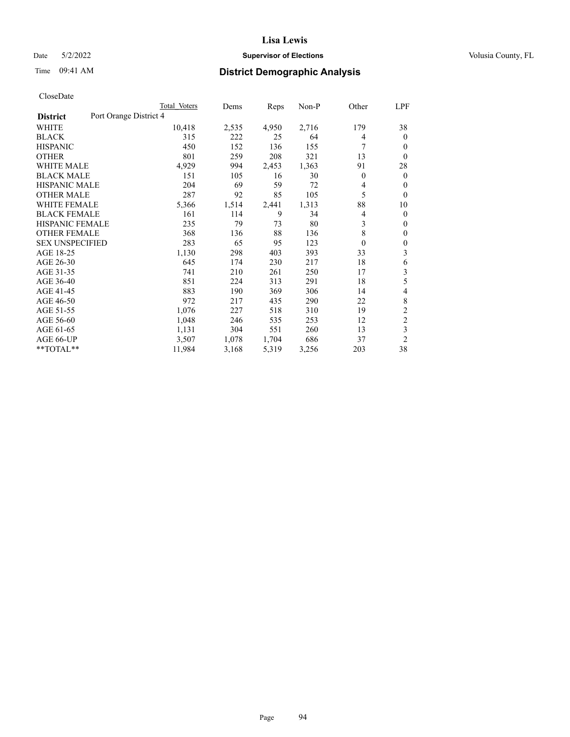## Date 5/2/2022 **Supervisor of Elections Supervisor of Elections** Volusia County, FL

# Time 09:41 AM **District Demographic Analysis**

|                                           | Total Voters | Dems  | Reps  | Non-P | Other        | LPF            |
|-------------------------------------------|--------------|-------|-------|-------|--------------|----------------|
| Port Orange District 4<br><b>District</b> |              |       |       |       |              |                |
| WHITE                                     | 10,418       | 2,535 | 4,950 | 2,716 | 179          | 38             |
| <b>BLACK</b>                              | 315          | 222   | 25    | 64    | 4            | $\mathbf{0}$   |
| <b>HISPANIC</b>                           | 450          | 152   | 136   | 155   | 7            | $\Omega$       |
| <b>OTHER</b>                              | 801          | 259   | 208   | 321   | 13           | $\theta$       |
| <b>WHITE MALE</b>                         | 4,929        | 994   | 2,453 | 1,363 | 91           | 28             |
| <b>BLACK MALE</b>                         | 151          | 105   | 16    | 30    | $\mathbf{0}$ | $\mathbf{0}$   |
| <b>HISPANIC MALE</b>                      | 204          | 69    | 59    | 72    | 4            | $\theta$       |
| <b>OTHER MALE</b>                         | 287          | 92    | 85    | 105   | 5            | $\mathbf{0}$   |
| <b>WHITE FEMALE</b>                       | 5,366        | 1,514 | 2,441 | 1,313 | 88           | 10             |
| <b>BLACK FEMALE</b>                       | 161          | 114   | 9     | 34    | 4            | $\mathbf{0}$   |
| <b>HISPANIC FEMALE</b>                    | 235          | 79    | 73    | 80    | 3            | $\Omega$       |
| <b>OTHER FEMALE</b>                       | 368          | 136   | 88    | 136   | 8            | $\theta$       |
| <b>SEX UNSPECIFIED</b>                    | 283          | 65    | 95    | 123   | $\mathbf{0}$ | $\theta$       |
| AGE 18-25                                 | 1,130        | 298   | 403   | 393   | 33           | 3              |
| AGE 26-30                                 | 645          | 174   | 230   | 217   | 18           | 6              |
| AGE 31-35                                 | 741          | 210   | 261   | 250   | 17           | 3              |
| AGE 36-40                                 | 851          | 224   | 313   | 291   | 18           | 5              |
| AGE 41-45                                 | 883          | 190   | 369   | 306   | 14           | 4              |
| AGE 46-50                                 | 972          | 217   | 435   | 290   | 22           | 8              |
| AGE 51-55                                 | 1,076        | 227   | 518   | 310   | 19           | $\overline{c}$ |
| AGE 56-60                                 | 1,048        | 246   | 535   | 253   | 12           | $\overline{2}$ |
| AGE 61-65                                 | 1,131        | 304   | 551   | 260   | 13           | 3              |
| AGE 66-UP                                 | 3,507        | 1,078 | 1,704 | 686   | 37           | $\overline{2}$ |
| $*$ $TOTAL**$                             | 11,984       | 3,168 | 5,319 | 3,256 | 203          | 38             |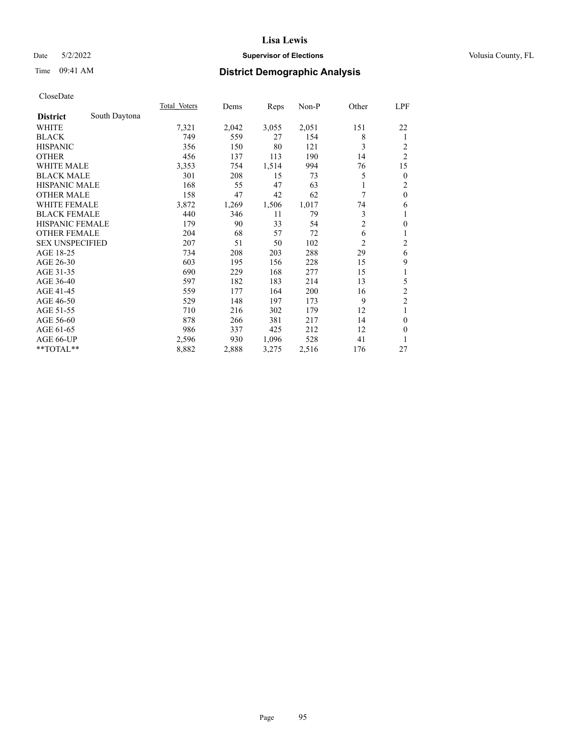## Date 5/2/2022 **Supervisor of Elections Supervisor of Elections** Volusia County, FL

# Time 09:41 AM **District Demographic Analysis**

|                        |               | Total Voters | Dems  | Reps  | $Non-P$ | Other          | LPF            |
|------------------------|---------------|--------------|-------|-------|---------|----------------|----------------|
| <b>District</b>        | South Daytona |              |       |       |         |                |                |
| WHITE                  |               | 7,321        | 2,042 | 3,055 | 2,051   | 151            | 22             |
| <b>BLACK</b>           |               | 749          | 559   | 27    | 154     | 8              | 1              |
| <b>HISPANIC</b>        |               | 356          | 150   | 80    | 121     | 3              | 2              |
| <b>OTHER</b>           |               | 456          | 137   | 113   | 190     | 14             | $\overline{c}$ |
| WHITE MALE             |               | 3,353        | 754   | 1,514 | 994     | 76             | 15             |
| <b>BLACK MALE</b>      |               | 301          | 208   | 15    | 73      | 5              | $\mathbf{0}$   |
| HISPANIC MALE          |               | 168          | 55    | 47    | 63      | 1              | $\overline{c}$ |
| <b>OTHER MALE</b>      |               | 158          | 47    | 42    | 62      | 7              | $\mathbf{0}$   |
| <b>WHITE FEMALE</b>    |               | 3,872        | 1,269 | 1,506 | 1,017   | 74             | 6              |
| <b>BLACK FEMALE</b>    |               | 440          | 346   | 11    | 79      | 3              | 1              |
| HISPANIC FEMALE        |               | 179          | 90    | 33    | 54      | $\overline{c}$ | $\theta$       |
| <b>OTHER FEMALE</b>    |               | 204          | 68    | 57    | 72      | 6              | 1              |
| <b>SEX UNSPECIFIED</b> |               | 207          | 51    | 50    | 102     | $\overline{c}$ | $\overline{c}$ |
| AGE 18-25              |               | 734          | 208   | 203   | 288     | 29             | 6              |
| AGE 26-30              |               | 603          | 195   | 156   | 228     | 15             | 9              |
| AGE 31-35              |               | 690          | 229   | 168   | 277     | 15             | 1              |
| AGE 36-40              |               | 597          | 182   | 183   | 214     | 13             | 5              |
| AGE 41-45              |               | 559          | 177   | 164   | 200     | 16             | $\overline{c}$ |
| AGE 46-50              |               | 529          | 148   | 197   | 173     | 9              | $\overline{2}$ |
| AGE 51-55              |               | 710          | 216   | 302   | 179     | 12             | 1              |
| AGE 56-60              |               | 878          | 266   | 381   | 217     | 14             | $\mathbf{0}$   |
| AGE 61-65              |               | 986          | 337   | 425   | 212     | 12             | $\theta$       |
| AGE 66-UP              |               | 2,596        | 930   | 1,096 | 528     | 41             | 1              |
| **TOTAL**              |               | 8,882        | 2,888 | 3,275 | 2,516   | 176            | 27             |